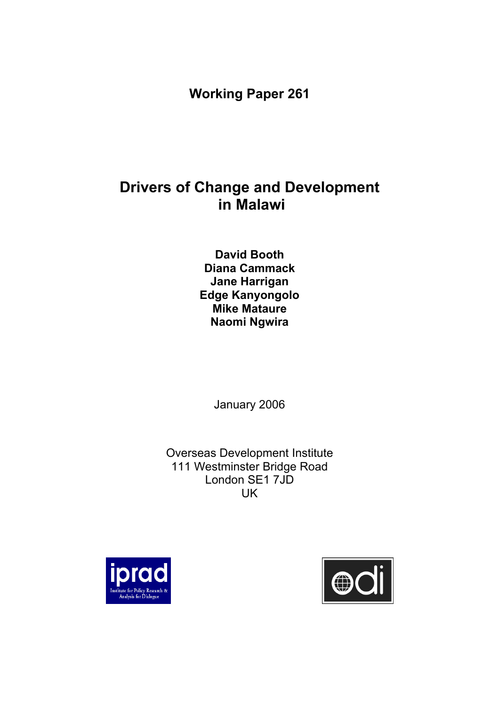**Working Paper 261** 

# **Drivers of Change and Development in Malawi**

**David Booth Diana Cammack Jane Harrigan Edge Kanyongolo Mike Mataure Naomi Ngwira** 

January 2006

Overseas Development Institute 111 Westminster Bridge Road London SE1 7JD UK



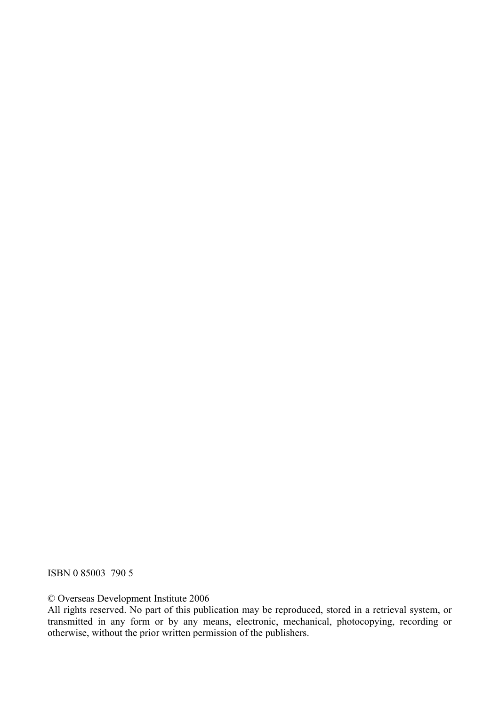ISBN 0 85003 790 5

© Overseas Development Institute 2006

All rights reserved. No part of this publication may be reproduced, stored in a retrieval system, or transmitted in any form or by any means, electronic, mechanical, photocopying, recording or otherwise, without the prior written permission of the publishers.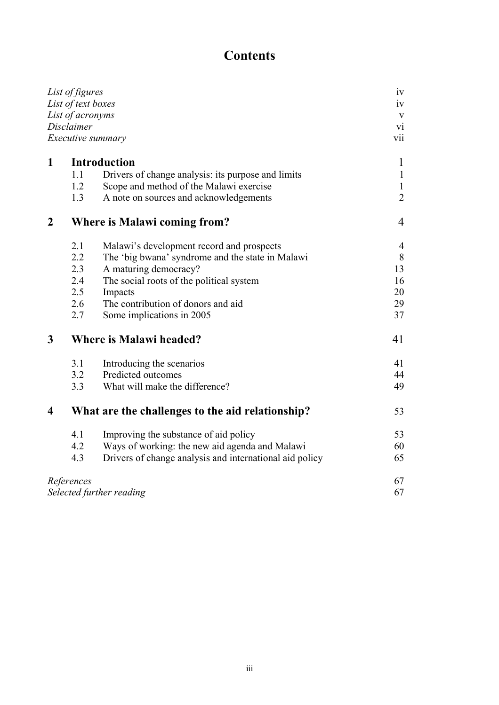# **Contents**

| List of figures<br>List of text boxes<br>List of acronyms<br>Disclaimer<br><i>Executive summary</i> |                                     |                                                         |    |  |              |     |                                                    |                |
|-----------------------------------------------------------------------------------------------------|-------------------------------------|---------------------------------------------------------|----|--|--------------|-----|----------------------------------------------------|----------------|
|                                                                                                     |                                     |                                                         |    |  | $\mathbf{1}$ |     | <b>Introduction</b>                                | $\mathbf{1}$   |
|                                                                                                     |                                     |                                                         |    |  |              | 1.1 | Drivers of change analysis: its purpose and limits | $\mathbf{1}$   |
|                                                                                                     |                                     |                                                         |    |  |              | 1.2 | Scope and method of the Malawi exercise            | $\mathbf{1}$   |
|                                                                                                     |                                     |                                                         |    |  |              | 1.3 | A note on sources and acknowledgements             | $\overline{2}$ |
| $\boldsymbol{2}$                                                                                    | <b>Where is Malawi coming from?</b> |                                                         | 4  |  |              |     |                                                    |                |
|                                                                                                     | 2.1                                 | Malawi's development record and prospects               | 4  |  |              |     |                                                    |                |
|                                                                                                     | 2.2                                 | The 'big bwana' syndrome and the state in Malawi        | 8  |  |              |     |                                                    |                |
|                                                                                                     | 2.3                                 | A maturing democracy?                                   | 13 |  |              |     |                                                    |                |
|                                                                                                     | 2.4                                 | The social roots of the political system                | 16 |  |              |     |                                                    |                |
|                                                                                                     | 2.5                                 | Impacts                                                 | 20 |  |              |     |                                                    |                |
|                                                                                                     | 2.6                                 | The contribution of donors and aid                      | 29 |  |              |     |                                                    |                |
|                                                                                                     | 2.7                                 | Some implications in 2005                               | 37 |  |              |     |                                                    |                |
| $\mathbf{3}$                                                                                        | <b>Where is Malawi headed?</b>      |                                                         | 41 |  |              |     |                                                    |                |
|                                                                                                     | 3.1                                 | Introducing the scenarios                               | 41 |  |              |     |                                                    |                |
|                                                                                                     | 3.2                                 | Predicted outcomes                                      | 44 |  |              |     |                                                    |                |
|                                                                                                     | 3.3                                 | What will make the difference?                          | 49 |  |              |     |                                                    |                |
| $\overline{\mathbf{4}}$                                                                             |                                     | What are the challenges to the aid relationship?        | 53 |  |              |     |                                                    |                |
|                                                                                                     | 4.1                                 | Improving the substance of aid policy                   | 53 |  |              |     |                                                    |                |
|                                                                                                     | 4.2                                 | Ways of working: the new aid agenda and Malawi          | 60 |  |              |     |                                                    |                |
|                                                                                                     | 4.3                                 | Drivers of change analysis and international aid policy | 65 |  |              |     |                                                    |                |
|                                                                                                     | References                          |                                                         | 67 |  |              |     |                                                    |                |
| Selected further reading                                                                            |                                     |                                                         |    |  |              |     |                                                    |                |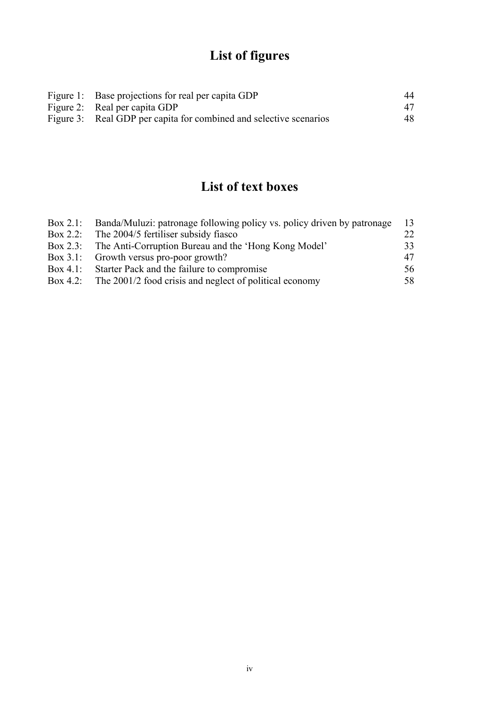# **List of figures**

| Figure 1: Base projections for real per capita GDP                 | 44 |
|--------------------------------------------------------------------|----|
| Figure 2: Real per capita GDP                                      | 47 |
| Figure 3: Real GDP per capita for combined and selective scenarios | 48 |

# **List of text boxes**

| Box 2.1: Banda/Muluzi: patronage following policy vs. policy driven by patronage | - 13         |
|----------------------------------------------------------------------------------|--------------|
| Box 2.2: The 2004/5 fertiliser subsidy fiasco                                    | $22_{\circ}$ |
| Box 2.3: The Anti-Corruption Bureau and the 'Hong Kong Model'                    | 33           |
| Box 3.1: Growth versus pro-poor growth?                                          | 47           |
| Box 4.1: Starter Pack and the failure to compromise                              | 56           |
| Box 4.2: The 2001/2 food crisis and neglect of political economy                 | 58           |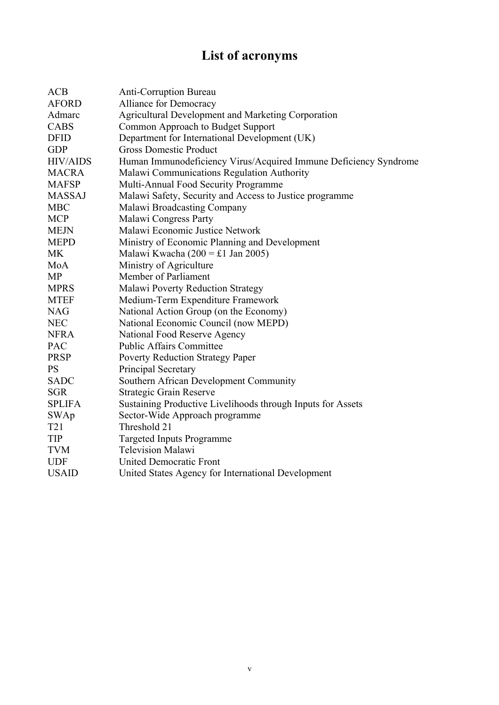# **List of acronyms**

| <b>ACB</b>      | <b>Anti-Corruption Bureau</b>                                    |
|-----------------|------------------------------------------------------------------|
| <b>AFORD</b>    | Alliance for Democracy                                           |
| Admarc          | Agricultural Development and Marketing Corporation               |
| <b>CABS</b>     | Common Approach to Budget Support                                |
| <b>DFID</b>     | Department for International Development (UK)                    |
| <b>GDP</b>      | <b>Gross Domestic Product</b>                                    |
| <b>HIV/AIDS</b> | Human Immunodeficiency Virus/Acquired Immune Deficiency Syndrome |
| <b>MACRA</b>    | Malawi Communications Regulation Authority                       |
| <b>MAFSP</b>    | Multi-Annual Food Security Programme                             |
| <b>MASSAJ</b>   | Malawi Safety, Security and Access to Justice programme          |
| <b>MBC</b>      | Malawi Broadcasting Company                                      |
| <b>MCP</b>      | Malawi Congress Party                                            |
| <b>MEJN</b>     | Malawi Economic Justice Network                                  |
| <b>MEPD</b>     | Ministry of Economic Planning and Development                    |
| <b>MK</b>       | Malawi Kwacha (200 = £1 Jan 2005)                                |
| MoA             | Ministry of Agriculture                                          |
| <b>MP</b>       | Member of Parliament                                             |
| <b>MPRS</b>     | Malawi Poverty Reduction Strategy                                |
| <b>MTEF</b>     | Medium-Term Expenditure Framework                                |
| <b>NAG</b>      | National Action Group (on the Economy)                           |
| <b>NEC</b>      | National Economic Council (now MEPD)                             |
| <b>NFRA</b>     | National Food Reserve Agency                                     |
| PAC             | <b>Public Affairs Committee</b>                                  |
| <b>PRSP</b>     | <b>Poverty Reduction Strategy Paper</b>                          |
| <b>PS</b>       | Principal Secretary                                              |
| <b>SADC</b>     | Southern African Development Community                           |
| <b>SGR</b>      | Strategic Grain Reserve                                          |
| <b>SPLIFA</b>   | Sustaining Productive Livelihoods through Inputs for Assets      |
| <b>SWAp</b>     | Sector-Wide Approach programme                                   |
| T <sub>21</sub> | Threshold 21                                                     |
| <b>TIP</b>      | <b>Targeted Inputs Programme</b>                                 |
| <b>TVM</b>      | <b>Television Malawi</b>                                         |
| <b>UDF</b>      | <b>United Democratic Front</b>                                   |
| <b>USAID</b>    | United States Agency for International Development               |
|                 |                                                                  |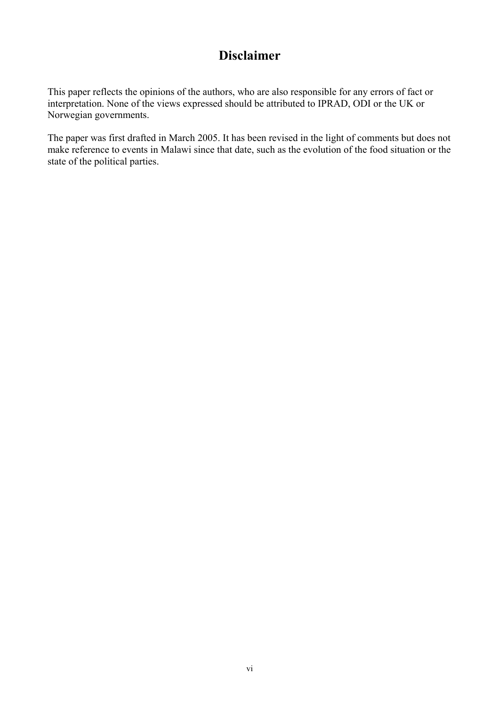# **Disclaimer**

This paper reflects the opinions of the authors, who are also responsible for any errors of fact or interpretation. None of the views expressed should be attributed to IPRAD, ODI or the UK or Norwegian governments.

The paper was first drafted in March 2005. It has been revised in the light of comments but does not make reference to events in Malawi since that date, such as the evolution of the food situation or the state of the political parties.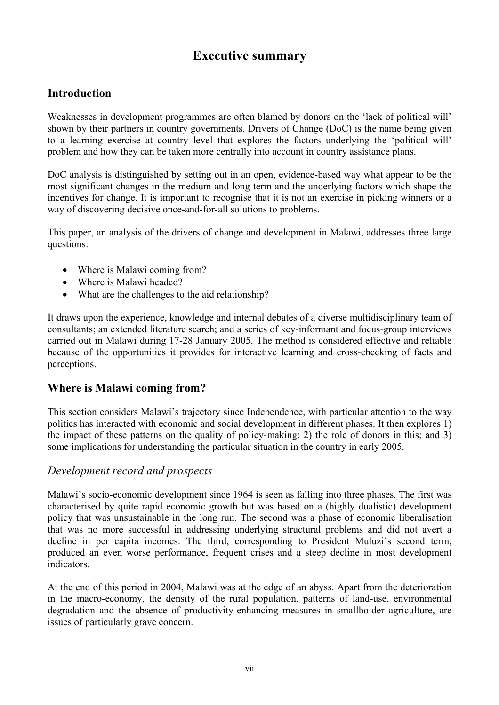# **Executive summary**

# **Introduction**

Weaknesses in development programmes are often blamed by donors on the 'lack of political will' shown by their partners in country governments. Drivers of Change (DoC) is the name being given to a learning exercise at country level that explores the factors underlying the 'political will' problem and how they can be taken more centrally into account in country assistance plans.

DoC analysis is distinguished by setting out in an open, evidence-based way what appear to be the most significant changes in the medium and long term and the underlying factors which shape the incentives for change. It is important to recognise that it is not an exercise in picking winners or a way of discovering decisive once-and-for-all solutions to problems.

This paper, an analysis of the drivers of change and development in Malawi, addresses three large questions:

- Where is Malawi coming from?
- Where is Malawi headed?
- What are the challenges to the aid relationship?

It draws upon the experience, knowledge and internal debates of a diverse multidisciplinary team of consultants; an extended literature search; and a series of key-informant and focus-group interviews carried out in Malawi during 17-28 January 2005. The method is considered effective and reliable because of the opportunities it provides for interactive learning and cross-checking of facts and perceptions.

# **Where is Malawi coming from?**

This section considers Malawi's trajectory since Independence, with particular attention to the way politics has interacted with economic and social development in different phases. It then explores 1) the impact of these patterns on the quality of policy-making; 2) the role of donors in this; and 3) some implications for understanding the particular situation in the country in early 2005.

#### *Development record and prospects*

Malawi's socio-economic development since 1964 is seen as falling into three phases. The first was characterised by quite rapid economic growth but was based on a (highly dualistic) development policy that was unsustainable in the long run. The second was a phase of economic liberalisation that was no more successful in addressing underlying structural problems and did not avert a decline in per capita incomes. The third, corresponding to President Muluzi's second term, produced an even worse performance, frequent crises and a steep decline in most development indicators.

At the end of this period in 2004, Malawi was at the edge of an abyss. Apart from the deterioration in the macro-economy, the density of the rural population, patterns of land-use, environmental degradation and the absence of productivity-enhancing measures in smallholder agriculture, are issues of particularly grave concern.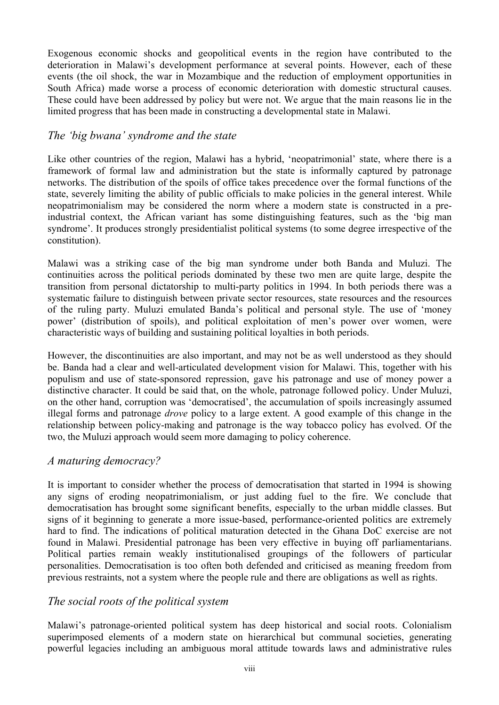Exogenous economic shocks and geopolitical events in the region have contributed to the deterioration in Malawi's development performance at several points. However, each of these events (the oil shock, the war in Mozambique and the reduction of employment opportunities in South Africa) made worse a process of economic deterioration with domestic structural causes. These could have been addressed by policy but were not. We argue that the main reasons lie in the limited progress that has been made in constructing a developmental state in Malawi.

#### *The 'big bwana' syndrome and the state*

Like other countries of the region, Malawi has a hybrid, 'neopatrimonial' state, where there is a framework of formal law and administration but the state is informally captured by patronage networks. The distribution of the spoils of office takes precedence over the formal functions of the state, severely limiting the ability of public officials to make policies in the general interest. While neopatrimonialism may be considered the norm where a modern state is constructed in a preindustrial context, the African variant has some distinguishing features, such as the 'big man syndrome'. It produces strongly presidentialist political systems (to some degree irrespective of the constitution).

Malawi was a striking case of the big man syndrome under both Banda and Muluzi. The continuities across the political periods dominated by these two men are quite large, despite the transition from personal dictatorship to multi-party politics in 1994. In both periods there was a systematic failure to distinguish between private sector resources, state resources and the resources of the ruling party. Muluzi emulated Banda's political and personal style. The use of 'money power' (distribution of spoils), and political exploitation of men's power over women, were characteristic ways of building and sustaining political loyalties in both periods.

However, the discontinuities are also important, and may not be as well understood as they should be. Banda had a clear and well-articulated development vision for Malawi. This, together with his populism and use of state-sponsored repression, gave his patronage and use of money power a distinctive character. It could be said that, on the whole, patronage followed policy. Under Muluzi, on the other hand, corruption was 'democratised', the accumulation of spoils increasingly assumed illegal forms and patronage *drove* policy to a large extent. A good example of this change in the relationship between policy-making and patronage is the way tobacco policy has evolved. Of the two, the Muluzi approach would seem more damaging to policy coherence.

#### *A maturing democracy?*

It is important to consider whether the process of democratisation that started in 1994 is showing any signs of eroding neopatrimonialism, or just adding fuel to the fire. We conclude that democratisation has brought some significant benefits, especially to the urban middle classes. But signs of it beginning to generate a more issue-based, performance-oriented politics are extremely hard to find. The indications of political maturation detected in the Ghana DoC exercise are not found in Malawi. Presidential patronage has been very effective in buying off parliamentarians. Political parties remain weakly institutionalised groupings of the followers of particular personalities. Democratisation is too often both defended and criticised as meaning freedom from previous restraints, not a system where the people rule and there are obligations as well as rights.

# *The social roots of the political system*

Malawi's patronage-oriented political system has deep historical and social roots. Colonialism superimposed elements of a modern state on hierarchical but communal societies, generating powerful legacies including an ambiguous moral attitude towards laws and administrative rules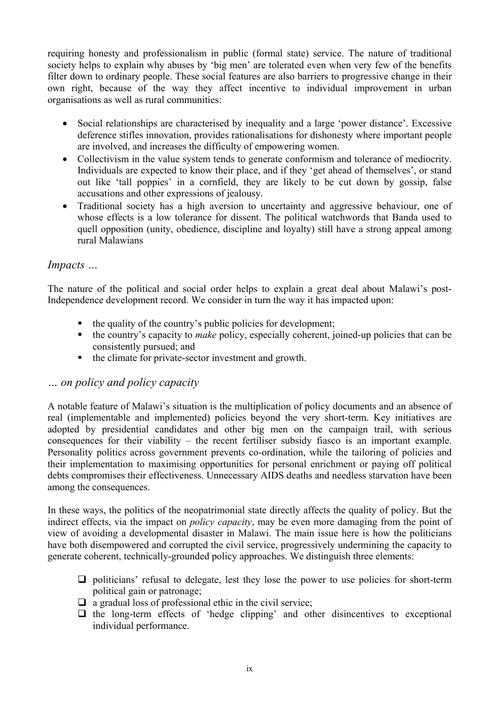requiring honesty and professionalism in public (formal state) service. The nature of traditional society helps to explain why abuses by 'big men' are tolerated even when very few of the benefits filter down to ordinary people. These social features are also barriers to progressive change in their own right, because of the way they affect incentive to individual improvement in urban organisations as well as rural communities:

- Social relationships are characterised by inequality and a large 'power distance'. Excessive deference stifles innovation, provides rationalisations for dishonesty where important people are involved, and increases the difficulty of empowering women.
- Collectivism in the value system tends to generate conformism and tolerance of mediocrity. Individuals are expected to know their place, and if they 'get ahead of themselves', or stand out like 'tall poppies' in a cornfield, they are likely to be cut down by gossip, false accusations and other expressions of jealousy.
- Traditional society has a high aversion to uncertainty and aggressive behaviour, one of whose effects is a low tolerance for dissent. The political watchwords that Banda used to quell opposition (unity, obedience, discipline and loyalty) still have a strong appeal among rural Malawians

#### *Impacts …*

The nature of the political and social order helps to explain a great deal about Malawi's post-Independence development record. We consider in turn the way it has impacted upon:

- $\blacksquare$  the quality of the country's public policies for development;
- the country's capacity to *make* policy, especially coherent, joined-up policies that can be consistently pursued; and
- the climate for private-sector investment and growth.

#### *… on policy and policy capacity*

A notable feature of Malawi's situation is the multiplication of policy documents and an absence of real (implementable and implemented) policies beyond the very short-term. Key initiatives are adopted by presidential candidates and other big men on the campaign trail, with serious consequences for their viability – the recent fertiliser subsidy fiasco is an important example. Personality politics across government prevents co-ordination, while the tailoring of policies and their implementation to maximising opportunities for personal enrichment or paying off political debts compromises their effectiveness. Unnecessary AIDS deaths and needless starvation have been among the consequences.

In these ways, the politics of the neopatrimonial state directly affects the quality of policy. But the indirect effects, via the impact on *policy capacity*, may be even more damaging from the point of view of avoiding a developmental disaster in Malawi. The main issue here is how the politicians have both disempowered and corrupted the civil service, progressively undermining the capacity to generate coherent, technically-grounded policy approaches. We distinguish three elements:

- $\Box$  politicians' refusal to delegate, lest they lose the power to use policies for short-term political gain or patronage;
- $\Box$  a gradual loss of professional ethic in the civil service;
- $\Box$  the long-term effects of 'hedge clipping' and other disincentives to exceptional individual performance.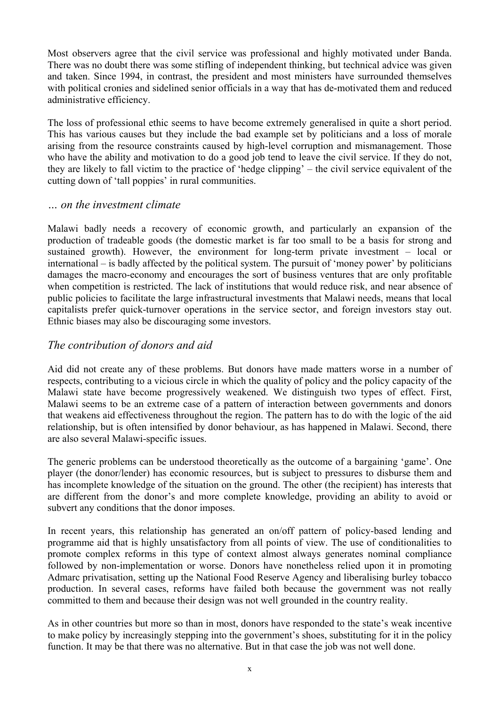Most observers agree that the civil service was professional and highly motivated under Banda. There was no doubt there was some stifling of independent thinking, but technical advice was given and taken. Since 1994, in contrast, the president and most ministers have surrounded themselves with political cronies and sidelined senior officials in a way that has de-motivated them and reduced administrative efficiency.

The loss of professional ethic seems to have become extremely generalised in quite a short period. This has various causes but they include the bad example set by politicians and a loss of morale arising from the resource constraints caused by high-level corruption and mismanagement. Those who have the ability and motivation to do a good job tend to leave the civil service. If they do not, they are likely to fall victim to the practice of 'hedge clipping' – the civil service equivalent of the cutting down of 'tall poppies' in rural communities.

#### *… on the investment climate*

Malawi badly needs a recovery of economic growth, and particularly an expansion of the production of tradeable goods (the domestic market is far too small to be a basis for strong and sustained growth). However, the environment for long-term private investment – local or international – is badly affected by the political system. The pursuit of 'money power' by politicians damages the macro-economy and encourages the sort of business ventures that are only profitable when competition is restricted. The lack of institutions that would reduce risk, and near absence of public policies to facilitate the large infrastructural investments that Malawi needs, means that local capitalists prefer quick-turnover operations in the service sector, and foreign investors stay out. Ethnic biases may also be discouraging some investors.

#### *The contribution of donors and aid*

Aid did not create any of these problems. But donors have made matters worse in a number of respects, contributing to a vicious circle in which the quality of policy and the policy capacity of the Malawi state have become progressively weakened. We distinguish two types of effect. First, Malawi seems to be an extreme case of a pattern of interaction between governments and donors that weakens aid effectiveness throughout the region. The pattern has to do with the logic of the aid relationship, but is often intensified by donor behaviour, as has happened in Malawi. Second, there are also several Malawi-specific issues.

The generic problems can be understood theoretically as the outcome of a bargaining 'game'. One player (the donor/lender) has economic resources, but is subject to pressures to disburse them and has incomplete knowledge of the situation on the ground. The other (the recipient) has interests that are different from the donor's and more complete knowledge, providing an ability to avoid or subvert any conditions that the donor imposes.

In recent years, this relationship has generated an on/off pattern of policy-based lending and programme aid that is highly unsatisfactory from all points of view. The use of conditionalities to promote complex reforms in this type of context almost always generates nominal compliance followed by non-implementation or worse. Donors have nonetheless relied upon it in promoting Admarc privatisation, setting up the National Food Reserve Agency and liberalising burley tobacco production. In several cases, reforms have failed both because the government was not really committed to them and because their design was not well grounded in the country reality.

As in other countries but more so than in most, donors have responded to the state's weak incentive to make policy by increasingly stepping into the government's shoes, substituting for it in the policy function. It may be that there was no alternative. But in that case the job was not well done.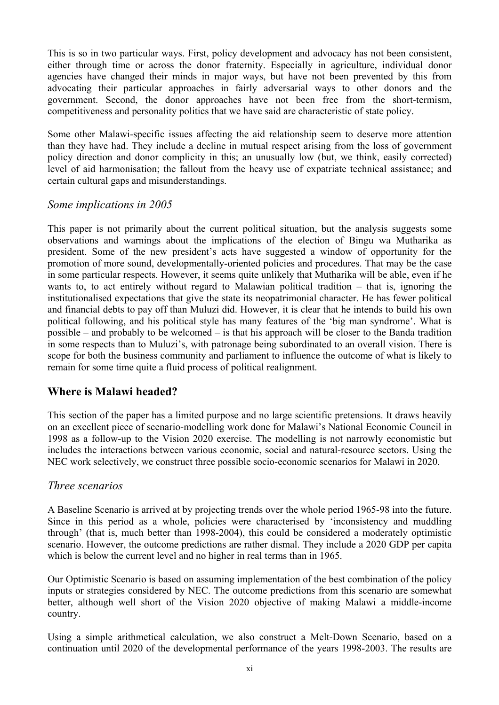This is so in two particular ways. First, policy development and advocacy has not been consistent, either through time or across the donor fraternity. Especially in agriculture, individual donor agencies have changed their minds in major ways, but have not been prevented by this from advocating their particular approaches in fairly adversarial ways to other donors and the government. Second, the donor approaches have not been free from the short-termism, competitiveness and personality politics that we have said are characteristic of state policy.

Some other Malawi-specific issues affecting the aid relationship seem to deserve more attention than they have had. They include a decline in mutual respect arising from the loss of government policy direction and donor complicity in this; an unusually low (but, we think, easily corrected) level of aid harmonisation; the fallout from the heavy use of expatriate technical assistance; and certain cultural gaps and misunderstandings.

#### *Some implications in 2005*

This paper is not primarily about the current political situation, but the analysis suggests some observations and warnings about the implications of the election of Bingu wa Mutharika as president. Some of the new president's acts have suggested a window of opportunity for the promotion of more sound, developmentally-oriented policies and procedures. That may be the case in some particular respects. However, it seems quite unlikely that Mutharika will be able, even if he wants to, to act entirely without regard to Malawian political tradition – that is, ignoring the institutionalised expectations that give the state its neopatrimonial character. He has fewer political and financial debts to pay off than Muluzi did. However, it is clear that he intends to build his own political following, and his political style has many features of the 'big man syndrome'. What is possible – and probably to be welcomed – is that his approach will be closer to the Banda tradition in some respects than to Muluzi's, with patronage being subordinated to an overall vision. There is scope for both the business community and parliament to influence the outcome of what is likely to remain for some time quite a fluid process of political realignment.

# **Where is Malawi headed?**

This section of the paper has a limited purpose and no large scientific pretensions. It draws heavily on an excellent piece of scenario-modelling work done for Malawi's National Economic Council in 1998 as a follow-up to the Vision 2020 exercise. The modelling is not narrowly economistic but includes the interactions between various economic, social and natural-resource sectors. Using the NEC work selectively, we construct three possible socio-economic scenarios for Malawi in 2020.

#### *Three scenarios*

A Baseline Scenario is arrived at by projecting trends over the whole period 1965-98 into the future. Since in this period as a whole, policies were characterised by 'inconsistency and muddling through' (that is, much better than 1998-2004), this could be considered a moderately optimistic scenario. However, the outcome predictions are rather dismal. They include a 2020 GDP per capita which is below the current level and no higher in real terms than in 1965.

Our Optimistic Scenario is based on assuming implementation of the best combination of the policy inputs or strategies considered by NEC. The outcome predictions from this scenario are somewhat better, although well short of the Vision 2020 objective of making Malawi a middle-income country.

Using a simple arithmetical calculation, we also construct a Melt-Down Scenario, based on a continuation until 2020 of the developmental performance of the years 1998-2003. The results are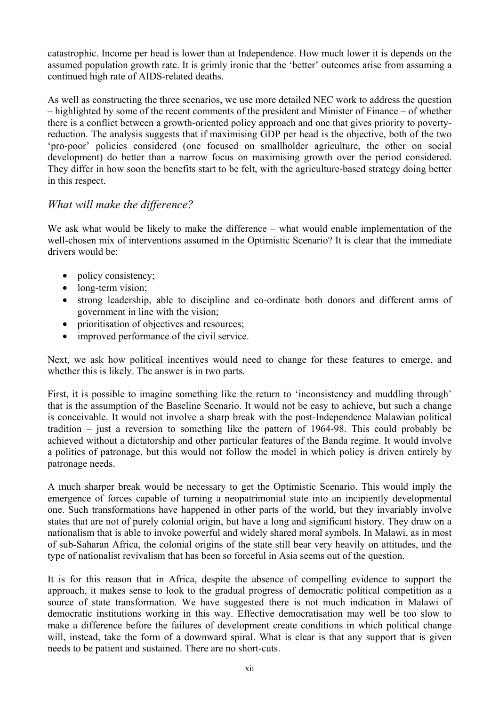catastrophic. Income per head is lower than at Independence. How much lower it is depends on the assumed population growth rate. It is grimly ironic that the 'better' outcomes arise from assuming a continued high rate of AIDS-related deaths.

As well as constructing the three scenarios, we use more detailed NEC work to address the question – highlighted by some of the recent comments of the president and Minister of Finance – of whether there is a conflict between a growth-oriented policy approach and one that gives priority to povertyreduction. The analysis suggests that if maximising GDP per head is the objective, both of the two 'pro-poor' policies considered (one focused on smallholder agriculture, the other on social development) do better than a narrow focus on maximising growth over the period considered. They differ in how soon the benefits start to be felt, with the agriculture-based strategy doing better in this respect.

#### *What will make the difference?*

We ask what would be likely to make the difference – what would enable implementation of the well-chosen mix of interventions assumed in the Optimistic Scenario? It is clear that the immediate drivers would be:

- policy consistency;
- long-term vision;
- strong leadership, able to discipline and co-ordinate both donors and different arms of government in line with the vision;
- prioritisation of objectives and resources;
- improved performance of the civil service.

Next, we ask how political incentives would need to change for these features to emerge, and whether this is likely. The answer is in two parts.

First, it is possible to imagine something like the return to 'inconsistency and muddling through' that is the assumption of the Baseline Scenario. It would not be easy to achieve, but such a change is conceivable. It would not involve a sharp break with the post-Independence Malawian political tradition – just a reversion to something like the pattern of 1964-98. This could probably be achieved without a dictatorship and other particular features of the Banda regime. It would involve a politics of patronage, but this would not follow the model in which policy is driven entirely by patronage needs.

A much sharper break would be necessary to get the Optimistic Scenario. This would imply the emergence of forces capable of turning a neopatrimonial state into an incipiently developmental one. Such transformations have happened in other parts of the world, but they invariably involve states that are not of purely colonial origin, but have a long and significant history. They draw on a nationalism that is able to invoke powerful and widely shared moral symbols. In Malawi, as in most of sub-Saharan Africa, the colonial origins of the state still bear very heavily on attitudes, and the type of nationalist revivalism that has been so forceful in Asia seems out of the question.

It is for this reason that in Africa, despite the absence of compelling evidence to support the approach, it makes sense to look to the gradual progress of democratic political competition as a source of state transformation. We have suggested there is not much indication in Malawi of democratic institutions working in this way. Effective democratisation may well be too slow to make a difference before the failures of development create conditions in which political change will, instead, take the form of a downward spiral. What is clear is that any support that is given needs to be patient and sustained. There are no short-cuts.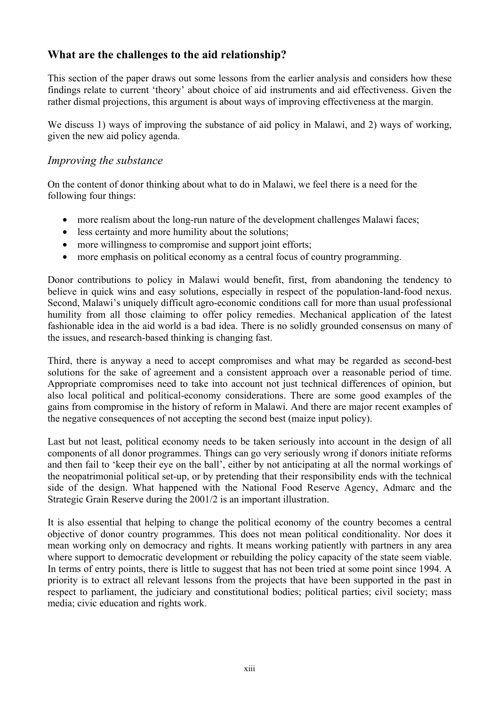# **What are the challenges to the aid relationship?**

This section of the paper draws out some lessons from the earlier analysis and considers how these findings relate to current 'theory' about choice of aid instruments and aid effectiveness. Given the rather dismal projections, this argument is about ways of improving effectiveness at the margin.

We discuss 1) ways of improving the substance of aid policy in Malawi, and 2) ways of working, given the new aid policy agenda.

#### *Improving the substance*

On the content of donor thinking about what to do in Malawi, we feel there is a need for the following four things:

- more realism about the long-run nature of the development challenges Malawi faces;
- less certainty and more humility about the solutions;
- more willingness to compromise and support joint efforts;
- more emphasis on political economy as a central focus of country programming.

Donor contributions to policy in Malawi would benefit, first, from abandoning the tendency to believe in quick wins and easy solutions, especially in respect of the population-land-food nexus. Second, Malawi's uniquely difficult agro-economic conditions call for more than usual professional humility from all those claiming to offer policy remedies. Mechanical application of the latest fashionable idea in the aid world is a bad idea. There is no solidly grounded consensus on many of the issues, and research-based thinking is changing fast.

Third, there is anyway a need to accept compromises and what may be regarded as second-best solutions for the sake of agreement and a consistent approach over a reasonable period of time. Appropriate compromises need to take into account not just technical differences of opinion, but also local political and political-economy considerations. There are some good examples of the gains from compromise in the history of reform in Malawi. And there are major recent examples of the negative consequences of not accepting the second best (maize input policy).

Last but not least, political economy needs to be taken seriously into account in the design of all components of all donor programmes. Things can go very seriously wrong if donors initiate reforms and then fail to 'keep their eye on the ball', either by not anticipating at all the normal workings of the neopatrimonial political set-up, or by pretending that their responsibility ends with the technical side of the design. What happened with the National Food Reserve Agency, Admarc and the Strategic Grain Reserve during the 2001/2 is an important illustration.

It is also essential that helping to change the political economy of the country becomes a central objective of donor country programmes. This does not mean political conditionality. Nor does it mean working only on democracy and rights. It means working patiently with partners in any area where support to democratic development or rebuilding the policy capacity of the state seem viable. In terms of entry points, there is little to suggest that has not been tried at some point since 1994. A priority is to extract all relevant lessons from the projects that have been supported in the past in respect to parliament, the judiciary and constitutional bodies; political parties; civil society; mass media; civic education and rights work.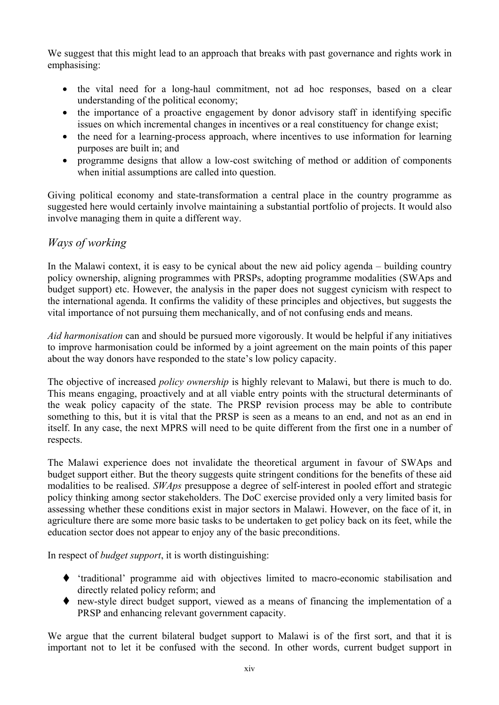We suggest that this might lead to an approach that breaks with past governance and rights work in emphasising:

- the vital need for a long-haul commitment, not ad hoc responses, based on a clear understanding of the political economy;
- the importance of a proactive engagement by donor advisory staff in identifying specific issues on which incremental changes in incentives or a real constituency for change exist;
- the need for a learning-process approach, where incentives to use information for learning purposes are built in; and
- programme designs that allow a low-cost switching of method or addition of components when initial assumptions are called into question.

Giving political economy and state-transformation a central place in the country programme as suggested here would certainly involve maintaining a substantial portfolio of projects. It would also involve managing them in quite a different way.

#### *Ways of working*

In the Malawi context, it is easy to be cynical about the new aid policy agenda – building country policy ownership, aligning programmes with PRSPs, adopting programme modalities (SWAps and budget support) etc. However, the analysis in the paper does not suggest cynicism with respect to the international agenda. It confirms the validity of these principles and objectives, but suggests the vital importance of not pursuing them mechanically, and of not confusing ends and means.

*Aid harmonisation* can and should be pursued more vigorously. It would be helpful if any initiatives to improve harmonisation could be informed by a joint agreement on the main points of this paper about the way donors have responded to the state's low policy capacity.

The objective of increased *policy ownership* is highly relevant to Malawi, but there is much to do. This means engaging, proactively and at all viable entry points with the structural determinants of the weak policy capacity of the state. The PRSP revision process may be able to contribute something to this, but it is vital that the PRSP is seen as a means to an end, and not as an end in itself. In any case, the next MPRS will need to be quite different from the first one in a number of respects.

The Malawi experience does not invalidate the theoretical argument in favour of SWAps and budget support either. But the theory suggests quite stringent conditions for the benefits of these aid modalities to be realised. *SWAps* presuppose a degree of self-interest in pooled effort and strategic policy thinking among sector stakeholders. The DoC exercise provided only a very limited basis for assessing whether these conditions exist in major sectors in Malawi. However, on the face of it, in agriculture there are some more basic tasks to be undertaken to get policy back on its feet, while the education sector does not appear to enjoy any of the basic preconditions.

In respect of *budget support*, it is worth distinguishing:

- 'traditional' programme aid with objectives limited to macro-economic stabilisation and directly related policy reform; and
- new-style direct budget support, viewed as a means of financing the implementation of a PRSP and enhancing relevant government capacity.

We argue that the current bilateral budget support to Malawi is of the first sort, and that it is important not to let it be confused with the second. In other words, current budget support in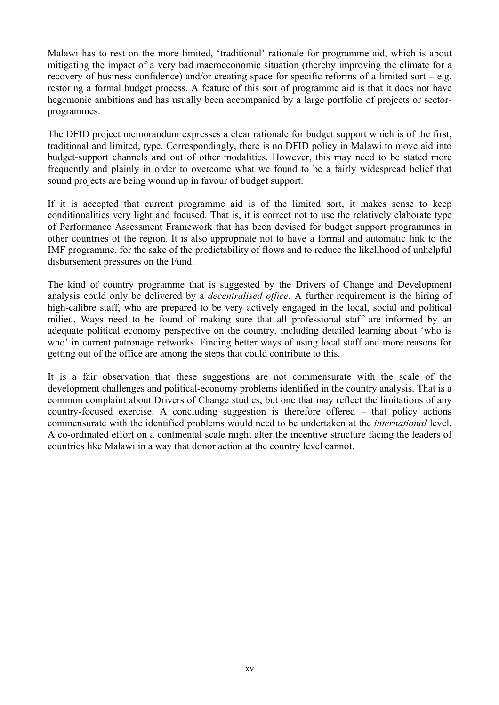Malawi has to rest on the more limited, 'traditional' rationale for programme aid, which is about mitigating the impact of a very bad macroeconomic situation (thereby improving the climate for a recovery of business confidence) and/or creating space for specific reforms of a limited sort – e.g. restoring a formal budget process. A feature of this sort of programme aid is that it does not have hegemonic ambitions and has usually been accompanied by a large portfolio of projects or sectorprogrammes.

The DFID project memorandum expresses a clear rationale for budget support which is of the first, traditional and limited, type. Correspondingly, there is no DFID policy in Malawi to move aid into budget-support channels and out of other modalities. However, this may need to be stated more frequently and plainly in order to overcome what we found to be a fairly widespread belief that sound projects are being wound up in favour of budget support.

If it is accepted that current programme aid is of the limited sort, it makes sense to keep conditionalities very light and focused. That is, it is correct not to use the relatively elaborate type of Performance Assessment Framework that has been devised for budget support programmes in other countries of the region. It is also appropriate not to have a formal and automatic link to the IMF programme, for the sake of the predictability of flows and to reduce the likelihood of unhelpful disbursement pressures on the Fund.

The kind of country programme that is suggested by the Drivers of Change and Development analysis could only be delivered by a *decentralised office*. A further requirement is the hiring of high-calibre staff, who are prepared to be very actively engaged in the local, social and political milieu. Ways need to be found of making sure that all professional staff are informed by an adequate political economy perspective on the country, including detailed learning about 'who is who' in current patronage networks. Finding better ways of using local staff and more reasons for getting out of the office are among the steps that could contribute to this.

It is a fair observation that these suggestions are not commensurate with the scale of the development challenges and political-economy problems identified in the country analysis. That is a common complaint about Drivers of Change studies, but one that may reflect the limitations of any country-focused exercise. A concluding suggestion is therefore offered – that policy actions commensurate with the identified problems would need to be undertaken at the *international* level. A co-ordinated effort on a continental scale might alter the incentive structure facing the leaders of countries like Malawi in a way that donor action at the country level cannot.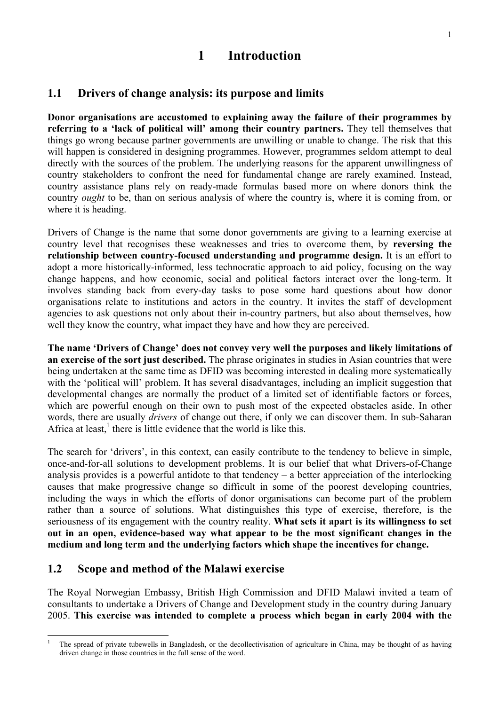# **1 Introduction**

### **1.1 Drivers of change analysis: its purpose and limits**

**Donor organisations are accustomed to explaining away the failure of their programmes by referring to a 'lack of political will' among their country partners.** They tell themselves that things go wrong because partner governments are unwilling or unable to change. The risk that this will happen is considered in designing programmes. However, programmes seldom attempt to deal directly with the sources of the problem. The underlying reasons for the apparent unwillingness of country stakeholders to confront the need for fundamental change are rarely examined. Instead, country assistance plans rely on ready-made formulas based more on where donors think the country *ought* to be, than on serious analysis of where the country is, where it is coming from, or where it is heading.

Drivers of Change is the name that some donor governments are giving to a learning exercise at country level that recognises these weaknesses and tries to overcome them, by **reversing the relationship between country-focused understanding and programme design.** It is an effort to adopt a more historically-informed, less technocratic approach to aid policy, focusing on the way change happens, and how economic, social and political factors interact over the long-term. It involves standing back from every-day tasks to pose some hard questions about how donor organisations relate to institutions and actors in the country. It invites the staff of development agencies to ask questions not only about their in-country partners, but also about themselves, how well they know the country, what impact they have and how they are perceived.

**The name 'Drivers of Change' does not convey very well the purposes and likely limitations of an exercise of the sort just described.** The phrase originates in studies in Asian countries that were being undertaken at the same time as DFID was becoming interested in dealing more systematically with the 'political will' problem. It has several disadvantages, including an implicit suggestion that developmental changes are normally the product of a limited set of identifiable factors or forces, which are powerful enough on their own to push most of the expected obstacles aside. In other words, there are usually *drivers* of change out there, if only we can discover them. In sub-Saharan Africa at least, $<sup>1</sup>$  there is little evidence that the world is like this.</sup>

The search for 'drivers', in this context, can easily contribute to the tendency to believe in simple, once-and-for-all solutions to development problems. It is our belief that what Drivers-of-Change analysis provides is a powerful antidote to that tendency – a better appreciation of the interlocking causes that make progressive change so difficult in some of the poorest developing countries, including the ways in which the efforts of donor organisations can become part of the problem rather than a source of solutions. What distinguishes this type of exercise, therefore, is the seriousness of its engagement with the country reality. **What sets it apart is its willingness to set out in an open, evidence-based way what appear to be the most significant changes in the medium and long term and the underlying factors which shape the incentives for change.**

#### **1.2 Scope and method of the Malawi exercise**

The Royal Norwegian Embassy, British High Commission and DFID Malawi invited a team of consultants to undertake a Drivers of Change and Development study in the country during January 2005. **This exercise was intended to complete a process which began in early 2004 with the** 

 $\overline{1}$ <sup>1</sup> The spread of private tubewells in Bangladesh, or the decollectivisation of agriculture in China, may be thought of as having driven change in those countries in the full sense of the word.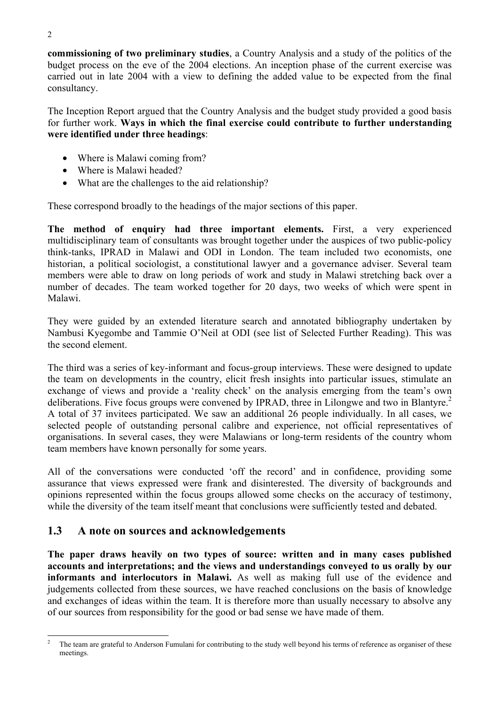**commissioning of two preliminary studies**, a Country Analysis and a study of the politics of the budget process on the eve of the 2004 elections. An inception phase of the current exercise was carried out in late 2004 with a view to defining the added value to be expected from the final consultancy.

The Inception Report argued that the Country Analysis and the budget study provided a good basis for further work. **Ways in which the final exercise could contribute to further understanding were identified under three headings**:

- Where is Malawi coming from?
- Where is Malawi headed?
- What are the challenges to the aid relationship?

These correspond broadly to the headings of the major sections of this paper.

**The method of enquiry had three important elements.** First, a very experienced multidisciplinary team of consultants was brought together under the auspices of two public-policy think-tanks, IPRAD in Malawi and ODI in London. The team included two economists, one historian, a political sociologist, a constitutional lawyer and a governance adviser. Several team members were able to draw on long periods of work and study in Malawi stretching back over a number of decades. The team worked together for 20 days, two weeks of which were spent in Malawi.

They were guided by an extended literature search and annotated bibliography undertaken by Nambusi Kyegombe and Tammie O'Neil at ODI (see list of Selected Further Reading). This was the second element.

The third was a series of key-informant and focus-group interviews. These were designed to update the team on developments in the country, elicit fresh insights into particular issues, stimulate an exchange of views and provide a 'reality check' on the analysis emerging from the team's own deliberations. Five focus groups were convened by IPRAD, three in Lilongwe and two in Blantyre.<sup>2</sup> A total of 37 invitees participated. We saw an additional 26 people individually. In all cases, we selected people of outstanding personal calibre and experience, not official representatives of organisations. In several cases, they were Malawians or long-term residents of the country whom team members have known personally for some years.

All of the conversations were conducted 'off the record' and in confidence, providing some assurance that views expressed were frank and disinterested. The diversity of backgrounds and opinions represented within the focus groups allowed some checks on the accuracy of testimony, while the diversity of the team itself meant that conclusions were sufficiently tested and debated.

# **1.3 A note on sources and acknowledgements**

**The paper draws heavily on two types of source: written and in many cases published accounts and interpretations; and the views and understandings conveyed to us orally by our informants and interlocutors in Malawi.** As well as making full use of the evidence and judgements collected from these sources, we have reached conclusions on the basis of knowledge and exchanges of ideas within the team. It is therefore more than usually necessary to absolve any of our sources from responsibility for the good or bad sense we have made of them.

 The team are grateful to Anderson Fumulani for contributing to the study well beyond his terms of reference as organiser of these meetings.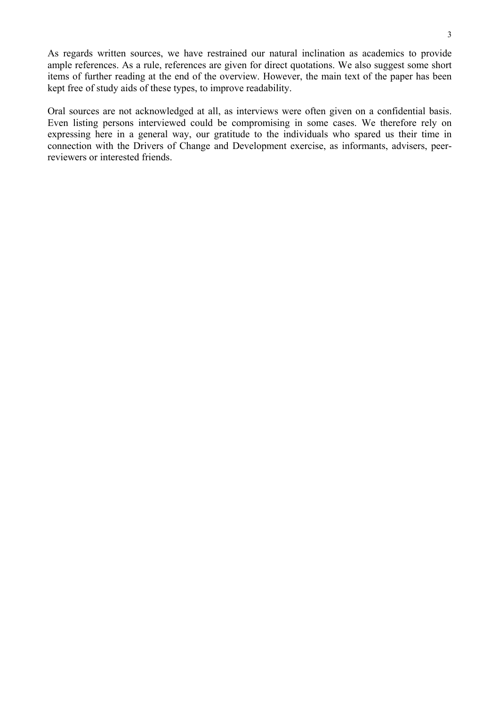As regards written sources, we have restrained our natural inclination as academics to provide ample references. As a rule, references are given for direct quotations. We also suggest some short items of further reading at the end of the overview. However, the main text of the paper has been kept free of study aids of these types, to improve readability.

Oral sources are not acknowledged at all, as interviews were often given on a confidential basis. Even listing persons interviewed could be compromising in some cases. We therefore rely on expressing here in a general way, our gratitude to the individuals who spared us their time in connection with the Drivers of Change and Development exercise, as informants, advisers, peerreviewers or interested friends.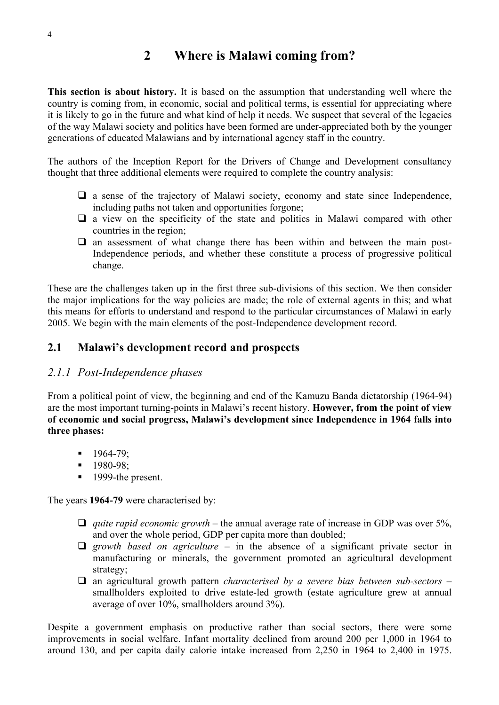# **2 Where is Malawi coming from?**

**This section is about history.** It is based on the assumption that understanding well where the country is coming from, in economic, social and political terms, is essential for appreciating where it is likely to go in the future and what kind of help it needs. We suspect that several of the legacies of the way Malawi society and politics have been formed are under-appreciated both by the younger generations of educated Malawians and by international agency staff in the country.

The authors of the Inception Report for the Drivers of Change and Development consultancy thought that three additional elements were required to complete the country analysis:

- $\Box$  a sense of the trajectory of Malawi society, economy and state since Independence, including paths not taken and opportunities forgone;
- $\Box$  a view on the specificity of the state and politics in Malawi compared with other countries in the region;
- $\Box$  an assessment of what change there has been within and between the main post-Independence periods, and whether these constitute a process of progressive political change.

These are the challenges taken up in the first three sub-divisions of this section. We then consider the major implications for the way policies are made; the role of external agents in this; and what this means for efforts to understand and respond to the particular circumstances of Malawi in early 2005. We begin with the main elements of the post-Independence development record.

### **2.1 Malawi's development record and prospects**

#### *2.1.1 Post-Independence phases*

From a political point of view, the beginning and end of the Kamuzu Banda dictatorship (1964-94) are the most important turning-points in Malawi's recent history. **However, from the point of view of economic and social progress, Malawi's development since Independence in 1964 falls into three phases:** 

- $1964 79$ ;
- **1980-98**:
- **1999-the present.**

The years **1964-79** were characterised by:

- *quite rapid economic growth* the annual average rate of increase in GDP was over 5%, and over the whole period, GDP per capita more than doubled;
- $\Box$  growth based on agriculture in the absence of a significant private sector in manufacturing or minerals, the government promoted an agricultural development strategy;
- an agricultural growth pattern *characterised by a severe bias between sub-sectors* smallholders exploited to drive estate-led growth (estate agriculture grew at annual average of over 10%, smallholders around 3%).

Despite a government emphasis on productive rather than social sectors, there were some improvements in social welfare. Infant mortality declined from around 200 per 1,000 in 1964 to around 130, and per capita daily calorie intake increased from 2,250 in 1964 to 2,400 in 1975.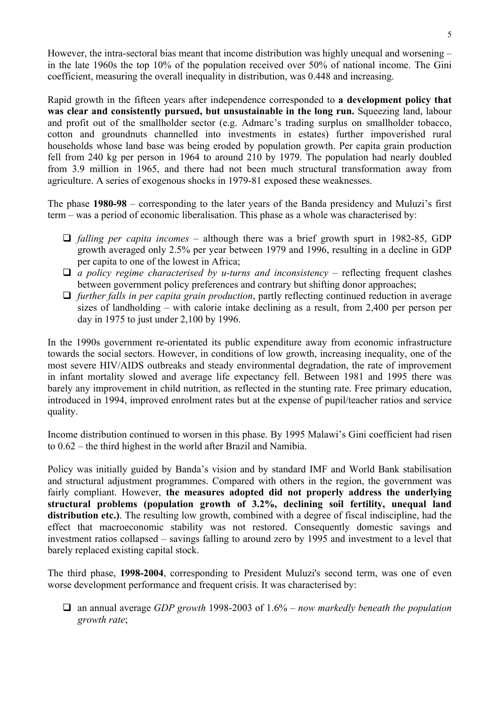However, the intra-sectoral bias meant that income distribution was highly unequal and worsening – in the late 1960s the top 10% of the population received over 50% of national income. The Gini coefficient, measuring the overall inequality in distribution, was 0.448 and increasing.

Rapid growth in the fifteen years after independence corresponded to **a development policy that was clear and consistently pursued, but unsustainable in the long run.** Squeezing land, labour and profit out of the smallholder sector (e.g. Admarc's trading surplus on smallholder tobacco, cotton and groundnuts channelled into investments in estates) further impoverished rural households whose land base was being eroded by population growth. Per capita grain production fell from 240 kg per person in 1964 to around 210 by 1979. The population had nearly doubled from 3.9 million in 1965, and there had not been much structural transformation away from agriculture. A series of exogenous shocks in 1979-81 exposed these weaknesses.

The phase **1980-98** – corresponding to the later years of the Banda presidency and Muluzi's first term – was a period of economic liberalisation. This phase as a whole was characterised by:

- *falling per capita incomes* although there was a brief growth spurt in 1982-85, GDP growth averaged only 2.5% per year between 1979 and 1996, resulting in a decline in GDP per capita to one of the lowest in Africa;
- $\Box$  *a policy regime characterised by u-turns and inconsistency* reflecting frequent clashes between government policy preferences and contrary but shifting donor approaches;
- *further falls in per capita grain production*, partly reflecting continued reduction in average sizes of landholding – with calorie intake declining as a result, from 2,400 per person per day in 1975 to just under 2,100 by 1996.

In the 1990s government re-orientated its public expenditure away from economic infrastructure towards the social sectors. However, in conditions of low growth, increasing inequality, one of the most severe HIV/AIDS outbreaks and steady environmental degradation, the rate of improvement in infant mortality slowed and average life expectancy fell. Between 1981 and 1995 there was barely any improvement in child nutrition, as reflected in the stunting rate. Free primary education, introduced in 1994, improved enrolment rates but at the expense of pupil/teacher ratios and service quality.

Income distribution continued to worsen in this phase. By 1995 Malawi's Gini coefficient had risen to 0.62 – the third highest in the world after Brazil and Namibia.

Policy was initially guided by Banda's vision and by standard IMF and World Bank stabilisation and structural adjustment programmes. Compared with others in the region, the government was fairly compliant. However, **the measures adopted did not properly address the underlying structural problems (population growth of 3.2%, declining soil fertility, unequal land distribution etc.)**. The resulting low growth, combined with a degree of fiscal indiscipline, had the effect that macroeconomic stability was not restored. Consequently domestic savings and investment ratios collapsed – savings falling to around zero by 1995 and investment to a level that barely replaced existing capital stock.

The third phase, **1998-2004**, corresponding to President Muluzi's second term, was one of even worse development performance and frequent crisis. It was characterised by:

 an annual average *GDP growth* 1998-2003 of 1.6% – *now markedly beneath the population growth rate*;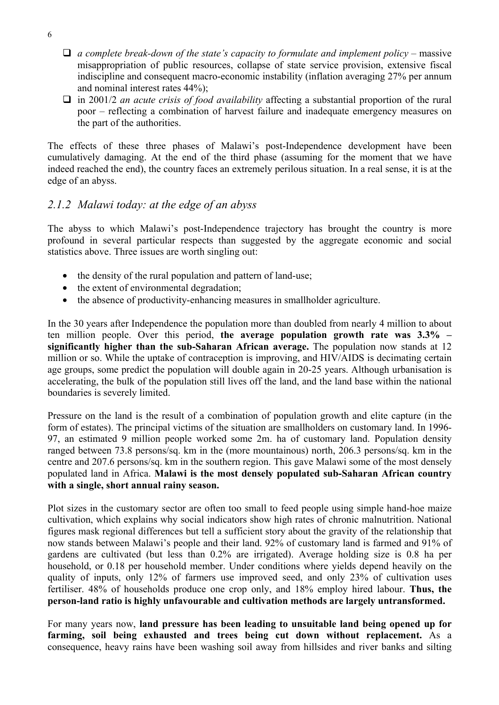- $\Box$  *a complete break-down of the state's capacity to formulate and implement policy* massive misappropriation of public resources, collapse of state service provision, extensive fiscal indiscipline and consequent macro-economic instability (inflation averaging 27% per annum and nominal interest rates 44%);
- in 2001/2 *an acute crisis of food availability* affecting a substantial proportion of the rural poor – reflecting a combination of harvest failure and inadequate emergency measures on the part of the authorities.

The effects of these three phases of Malawi's post-Independence development have been cumulatively damaging. At the end of the third phase (assuming for the moment that we have indeed reached the end), the country faces an extremely perilous situation. In a real sense, it is at the edge of an abyss.

#### *2.1.2 Malawi today: at the edge of an abyss*

The abyss to which Malawi's post-Independence trajectory has brought the country is more profound in several particular respects than suggested by the aggregate economic and social statistics above. Three issues are worth singling out:

- the density of the rural population and pattern of land-use;
- the extent of environmental degradation;
- the absence of productivity-enhancing measures in smallholder agriculture.

In the 30 years after Independence the population more than doubled from nearly 4 million to about ten million people. Over this period, **the average population growth rate was 3.3% – significantly higher than the sub-Saharan African average.** The population now stands at 12 million or so. While the uptake of contraception is improving, and HIV/AIDS is decimating certain age groups, some predict the population will double again in 20-25 years. Although urbanisation is accelerating, the bulk of the population still lives off the land, and the land base within the national boundaries is severely limited.

Pressure on the land is the result of a combination of population growth and elite capture (in the form of estates). The principal victims of the situation are smallholders on customary land. In 1996- 97, an estimated 9 million people worked some 2m. ha of customary land. Population density ranged between 73.8 persons/sq. km in the (more mountainous) north, 206.3 persons/sq. km in the centre and 207.6 persons/sq. km in the southern region. This gave Malawi some of the most densely populated land in Africa. **Malawi is the most densely populated sub-Saharan African country with a single, short annual rainy season.** 

Plot sizes in the customary sector are often too small to feed people using simple hand-hoe maize cultivation, which explains why social indicators show high rates of chronic malnutrition. National figures mask regional differences but tell a sufficient story about the gravity of the relationship that now stands between Malawi's people and their land. 92% of customary land is farmed and 91% of gardens are cultivated (but less than 0.2% are irrigated). Average holding size is 0.8 ha per household, or 0.18 per household member. Under conditions where yields depend heavily on the quality of inputs, only 12% of farmers use improved seed, and only 23% of cultivation uses fertiliser. 48% of households produce one crop only, and 18% employ hired labour. **Thus, the person-land ratio is highly unfavourable and cultivation methods are largely untransformed.**

For many years now, **land pressure has been leading to unsuitable land being opened up for farming, soil being exhausted and trees being cut down without replacement.** As a consequence, heavy rains have been washing soil away from hillsides and river banks and silting

6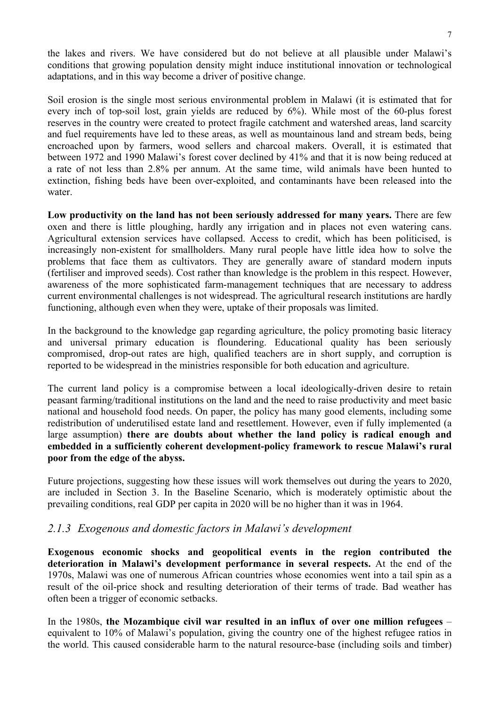the lakes and rivers. We have considered but do not believe at all plausible under Malawi's conditions that growing population density might induce institutional innovation or technological adaptations, and in this way become a driver of positive change.

Soil erosion is the single most serious environmental problem in Malawi (it is estimated that for every inch of top-soil lost, grain yields are reduced by 6%). While most of the 60-plus forest reserves in the country were created to protect fragile catchment and watershed areas, land scarcity and fuel requirements have led to these areas, as well as mountainous land and stream beds, being encroached upon by farmers, wood sellers and charcoal makers. Overall, it is estimated that between 1972 and 1990 Malawi's forest cover declined by 41% and that it is now being reduced at a rate of not less than 2.8% per annum. At the same time, wild animals have been hunted to extinction, fishing beds have been over-exploited, and contaminants have been released into the water.

**Low productivity on the land has not been seriously addressed for many years.** There are few oxen and there is little ploughing, hardly any irrigation and in places not even watering cans. Agricultural extension services have collapsed. Access to credit, which has been politicised, is increasingly non-existent for smallholders. Many rural people have little idea how to solve the problems that face them as cultivators. They are generally aware of standard modern inputs (fertiliser and improved seeds). Cost rather than knowledge is the problem in this respect. However, awareness of the more sophisticated farm-management techniques that are necessary to address current environmental challenges is not widespread. The agricultural research institutions are hardly functioning, although even when they were, uptake of their proposals was limited.

In the background to the knowledge gap regarding agriculture, the policy promoting basic literacy and universal primary education is floundering. Educational quality has been seriously compromised, drop-out rates are high, qualified teachers are in short supply, and corruption is reported to be widespread in the ministries responsible for both education and agriculture.

The current land policy is a compromise between a local ideologically-driven desire to retain peasant farming/traditional institutions on the land and the need to raise productivity and meet basic national and household food needs. On paper, the policy has many good elements, including some redistribution of underutilised estate land and resettlement. However, even if fully implemented (a large assumption) **there are doubts about whether the land policy is radical enough and embedded in a sufficiently coherent development-policy framework to rescue Malawi's rural poor from the edge of the abyss.** 

Future projections, suggesting how these issues will work themselves out during the years to 2020, are included in Section 3. In the Baseline Scenario, which is moderately optimistic about the prevailing conditions, real GDP per capita in 2020 will be no higher than it was in 1964.

#### *2.1.3 Exogenous and domestic factors in Malawi's development*

**Exogenous economic shocks and geopolitical events in the region contributed the deterioration in Malawi's development performance in several respects.** At the end of the 1970s, Malawi was one of numerous African countries whose economies went into a tail spin as a result of the oil-price shock and resulting deterioration of their terms of trade. Bad weather has often been a trigger of economic setbacks.

In the 1980s, **the Mozambique civil war resulted in an influx of over one million refugees** – equivalent to 10% of Malawi's population, giving the country one of the highest refugee ratios in the world. This caused considerable harm to the natural resource-base (including soils and timber)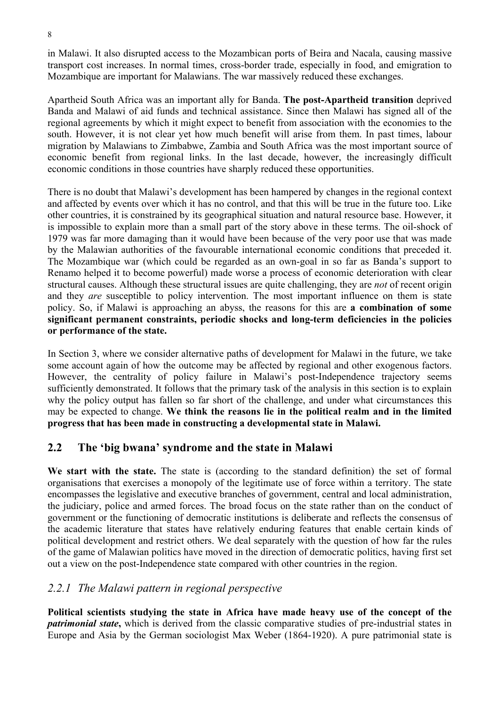in Malawi. It also disrupted access to the Mozambican ports of Beira and Nacala, causing massive transport cost increases. In normal times, cross-border trade, especially in food, and emigration to Mozambique are important for Malawians. The war massively reduced these exchanges.

Apartheid South Africa was an important ally for Banda. **The post-Apartheid transition** deprived Banda and Malawi of aid funds and technical assistance. Since then Malawi has signed all of the regional agreements by which it might expect to benefit from association with the economies to the south. However, it is not clear yet how much benefit will arise from them. In past times, labour migration by Malawians to Zimbabwe, Zambia and South Africa was the most important source of economic benefit from regional links. In the last decade, however, the increasingly difficult economic conditions in those countries have sharply reduced these opportunities.

There is no doubt that Malawi's development has been hampered by changes in the regional context and affected by events over which it has no control, and that this will be true in the future too. Like other countries, it is constrained by its geographical situation and natural resource base. However, it is impossible to explain more than a small part of the story above in these terms. The oil-shock of 1979 was far more damaging than it would have been because of the very poor use that was made by the Malawian authorities of the favourable international economic conditions that preceded it. The Mozambique war (which could be regarded as an own-goal in so far as Banda's support to Renamo helped it to become powerful) made worse a process of economic deterioration with clear structural causes. Although these structural issues are quite challenging, they are *not* of recent origin and they *are* susceptible to policy intervention. The most important influence on them is state policy. So, if Malawi is approaching an abyss, the reasons for this are **a combination of some significant permanent constraints, periodic shocks and long-term deficiencies in the policies or performance of the state.**

In Section 3, where we consider alternative paths of development for Malawi in the future, we take some account again of how the outcome may be affected by regional and other exogenous factors. However, the centrality of policy failure in Malawi's post-Independence trajectory seems sufficiently demonstrated. It follows that the primary task of the analysis in this section is to explain why the policy output has fallen so far short of the challenge, and under what circumstances this may be expected to change. **We think the reasons lie in the political realm and in the limited progress that has been made in constructing a developmental state in Malawi.** 

# **2.2 The 'big bwana' syndrome and the state in Malawi**

**We start with the state.** The state is (according to the standard definition) the set of formal organisations that exercises a monopoly of the legitimate use of force within a territory. The state encompasses the legislative and executive branches of government, central and local administration, the judiciary, police and armed forces. The broad focus on the state rather than on the conduct of government or the functioning of democratic institutions is deliberate and reflects the consensus of the academic literature that states have relatively enduring features that enable certain kinds of political development and restrict others. We deal separately with the question of how far the rules of the game of Malawian politics have moved in the direction of democratic politics, having first set out a view on the post-Independence state compared with other countries in the region.

#### *2.2.1 The Malawi pattern in regional perspective*

**Political scientists studying the state in Africa have made heavy use of the concept of the**  *patrimonial state***,** which is derived from the classic comparative studies of pre-industrial states in Europe and Asia by the German sociologist Max Weber (1864-1920). A pure patrimonial state is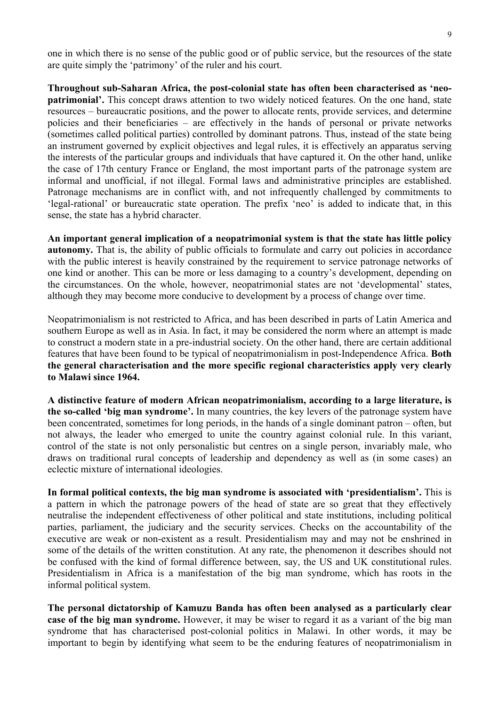one in which there is no sense of the public good or of public service, but the resources of the state are quite simply the 'patrimony' of the ruler and his court.

**Throughout sub-Saharan Africa, the post-colonial state has often been characterised as 'neopatrimonial'.** This concept draws attention to two widely noticed features. On the one hand, state resources – bureaucratic positions, and the power to allocate rents, provide services, and determine policies and their beneficiaries – are effectively in the hands of personal or private networks (sometimes called political parties) controlled by dominant patrons. Thus, instead of the state being an instrument governed by explicit objectives and legal rules, it is effectively an apparatus serving the interests of the particular groups and individuals that have captured it. On the other hand, unlike the case of 17th century France or England, the most important parts of the patronage system are informal and unofficial, if not illegal. Formal laws and administrative principles are established. Patronage mechanisms are in conflict with, and not infrequently challenged by commitments to 'legal-rational' or bureaucratic state operation. The prefix 'neo' is added to indicate that, in this sense, the state has a hybrid character.

**An important general implication of a neopatrimonial system is that the state has little policy autonomy.** That is, the ability of public officials to formulate and carry out policies in accordance with the public interest is heavily constrained by the requirement to service patronage networks of one kind or another. This can be more or less damaging to a country's development, depending on the circumstances. On the whole, however, neopatrimonial states are not 'developmental' states, although they may become more conducive to development by a process of change over time.

Neopatrimonialism is not restricted to Africa, and has been described in parts of Latin America and southern Europe as well as in Asia. In fact, it may be considered the norm where an attempt is made to construct a modern state in a pre-industrial society. On the other hand, there are certain additional features that have been found to be typical of neopatrimonialism in post-Independence Africa. **Both the general characterisation and the more specific regional characteristics apply very clearly to Malawi since 1964.** 

**A distinctive feature of modern African neopatrimonialism, according to a large literature, is the so-called 'big man syndrome'.** In many countries, the key levers of the patronage system have been concentrated, sometimes for long periods, in the hands of a single dominant patron – often, but not always, the leader who emerged to unite the country against colonial rule. In this variant, control of the state is not only personalistic but centres on a single person, invariably male, who draws on traditional rural concepts of leadership and dependency as well as (in some cases) an eclectic mixture of international ideologies.

**In formal political contexts, the big man syndrome is associated with 'presidentialism'.** This is a pattern in which the patronage powers of the head of state are so great that they effectively neutralise the independent effectiveness of other political and state institutions, including political parties, parliament, the judiciary and the security services. Checks on the accountability of the executive are weak or non-existent as a result. Presidentialism may and may not be enshrined in some of the details of the written constitution. At any rate, the phenomenon it describes should not be confused with the kind of formal difference between, say, the US and UK constitutional rules. Presidentialism in Africa is a manifestation of the big man syndrome, which has roots in the informal political system.

**The personal dictatorship of Kamuzu Banda has often been analysed as a particularly clear case of the big man syndrome.** However, it may be wiser to regard it as a variant of the big man syndrome that has characterised post-colonial politics in Malawi. In other words, it may be important to begin by identifying what seem to be the enduring features of neopatrimonialism in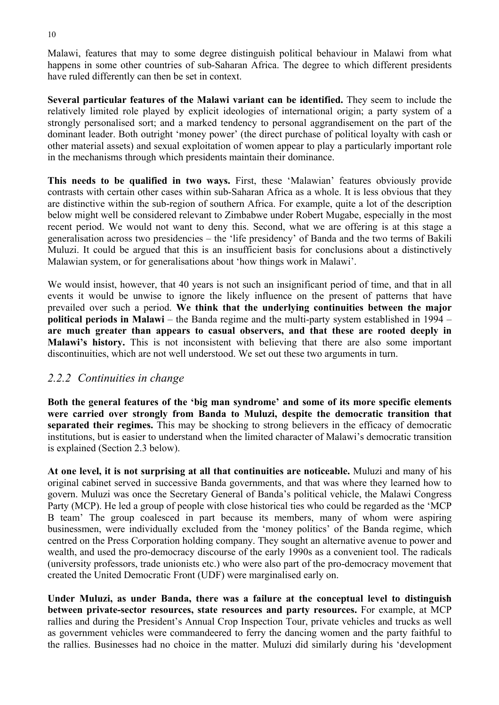Malawi, features that may to some degree distinguish political behaviour in Malawi from what happens in some other countries of sub-Saharan Africa. The degree to which different presidents have ruled differently can then be set in context.

**Several particular features of the Malawi variant can be identified.** They seem to include the relatively limited role played by explicit ideologies of international origin; a party system of a strongly personalised sort; and a marked tendency to personal aggrandisement on the part of the dominant leader. Both outright 'money power' (the direct purchase of political loyalty with cash or other material assets) and sexual exploitation of women appear to play a particularly important role in the mechanisms through which presidents maintain their dominance.

**This needs to be qualified in two ways.** First, these 'Malawian' features obviously provide contrasts with certain other cases within sub-Saharan Africa as a whole. It is less obvious that they are distinctive within the sub-region of southern Africa. For example, quite a lot of the description below might well be considered relevant to Zimbabwe under Robert Mugabe, especially in the most recent period. We would not want to deny this. Second, what we are offering is at this stage a generalisation across two presidencies – the 'life presidency' of Banda and the two terms of Bakili Muluzi. It could be argued that this is an insufficient basis for conclusions about a distinctively Malawian system, or for generalisations about 'how things work in Malawi'.

We would insist, however, that 40 years is not such an insignificant period of time, and that in all events it would be unwise to ignore the likely influence on the present of patterns that have prevailed over such a period. **We think that the underlying continuities between the major political periods in Malawi** – the Banda regime and the multi-party system established in 1994 – **are much greater than appears to casual observers, and that these are rooted deeply in Malawi's history.** This is not inconsistent with believing that there are also some important discontinuities, which are not well understood. We set out these two arguments in turn.

#### *2.2.2 Continuities in change*

**Both the general features of the 'big man syndrome' and some of its more specific elements were carried over strongly from Banda to Muluzi, despite the democratic transition that separated their regimes.** This may be shocking to strong believers in the efficacy of democratic institutions, but is easier to understand when the limited character of Malawi's democratic transition is explained (Section 2.3 below).

**At one level, it is not surprising at all that continuities are noticeable.** Muluzi and many of his original cabinet served in successive Banda governments, and that was where they learned how to govern. Muluzi was once the Secretary General of Banda's political vehicle, the Malawi Congress Party (MCP). He led a group of people with close historical ties who could be regarded as the 'MCP B team' The group coalesced in part because its members, many of whom were aspiring businessmen, were individually excluded from the 'money politics' of the Banda regime, which centred on the Press Corporation holding company. They sought an alternative avenue to power and wealth, and used the pro-democracy discourse of the early 1990s as a convenient tool. The radicals (university professors, trade unionists etc.) who were also part of the pro-democracy movement that created the United Democratic Front (UDF) were marginalised early on.

**Under Muluzi, as under Banda, there was a failure at the conceptual level to distinguish between private-sector resources, state resources and party resources.** For example, at MCP rallies and during the President's Annual Crop Inspection Tour, private vehicles and trucks as well as government vehicles were commandeered to ferry the dancing women and the party faithful to the rallies. Businesses had no choice in the matter. Muluzi did similarly during his 'development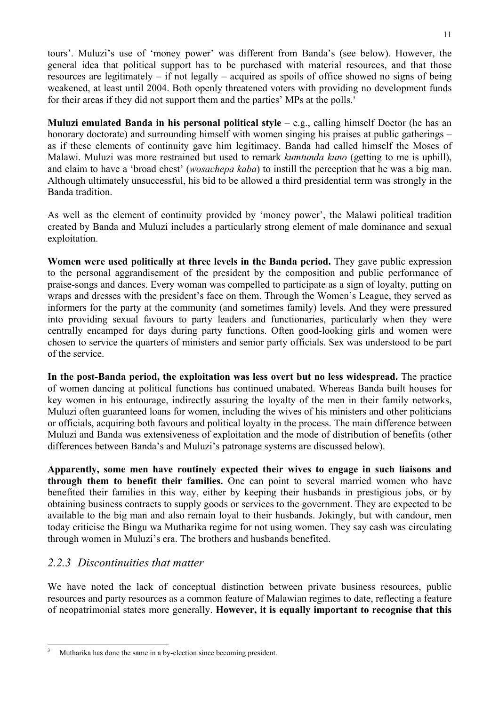tours'. Muluzi's use of 'money power' was different from Banda's (see below). However, the general idea that political support has to be purchased with material resources, and that those resources are legitimately – if not legally – acquired as spoils of office showed no signs of being weakened, at least until 2004. Both openly threatened voters with providing no development funds for their areas if they did not support them and the parties' MPs at the polls.<sup>3</sup>

**Muluzi emulated Banda in his personal political style** – e.g., calling himself Doctor (he has an honorary doctorate) and surrounding himself with women singing his praises at public gatherings – as if these elements of continuity gave him legitimacy. Banda had called himself the Moses of Malawi. Muluzi was more restrained but used to remark *kumtunda kuno* (getting to me is uphill), and claim to have a 'broad chest' (*wosachepa kaba*) to instill the perception that he was a big man. Although ultimately unsuccessful, his bid to be allowed a third presidential term was strongly in the Banda tradition.

As well as the element of continuity provided by 'money power', the Malawi political tradition created by Banda and Muluzi includes a particularly strong element of male dominance and sexual exploitation.

**Women were used politically at three levels in the Banda period.** They gave public expression to the personal aggrandisement of the president by the composition and public performance of praise-songs and dances. Every woman was compelled to participate as a sign of loyalty, putting on wraps and dresses with the president's face on them. Through the Women's League, they served as informers for the party at the community (and sometimes family) levels. And they were pressured into providing sexual favours to party leaders and functionaries, particularly when they were centrally encamped for days during party functions. Often good-looking girls and women were chosen to service the quarters of ministers and senior party officials. Sex was understood to be part of the service.

**In the post-Banda period, the exploitation was less overt but no less widespread.** The practice of women dancing at political functions has continued unabated. Whereas Banda built houses for key women in his entourage, indirectly assuring the loyalty of the men in their family networks, Muluzi often guaranteed loans for women, including the wives of his ministers and other politicians or officials, acquiring both favours and political loyalty in the process. The main difference between Muluzi and Banda was extensiveness of exploitation and the mode of distribution of benefits (other differences between Banda's and Muluzi's patronage systems are discussed below).

**Apparently, some men have routinely expected their wives to engage in such liaisons and through them to benefit their families.** One can point to several married women who have benefited their families in this way, either by keeping their husbands in prestigious jobs, or by obtaining business contracts to supply goods or services to the government. They are expected to be available to the big man and also remain loyal to their husbands. Jokingly, but with candour, men today criticise the Bingu wa Mutharika regime for not using women. They say cash was circulating through women in Muluzi's era. The brothers and husbands benefited.

# *2.2.3 Discontinuities that matter*

We have noted the lack of conceptual distinction between private business resources, public resources and party resources as a common feature of Malawian regimes to date, reflecting a feature of neopatrimonial states more generally. **However, it is equally important to recognise that this** 

 <sup>3</sup> Mutharika has done the same in a by-election since becoming president.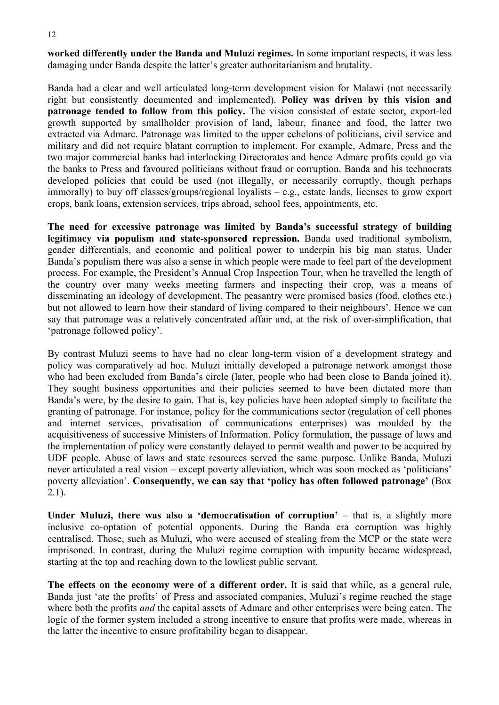**worked differently under the Banda and Muluzi regimes.** In some important respects, it was less damaging under Banda despite the latter's greater authoritarianism and brutality.

Banda had a clear and well articulated long-term development vision for Malawi (not necessarily right but consistently documented and implemented). **Policy was driven by this vision and patronage tended to follow from this policy.** The vision consisted of estate sector, export-led growth supported by smallholder provision of land, labour, finance and food, the latter two extracted via Admarc. Patronage was limited to the upper echelons of politicians, civil service and military and did not require blatant corruption to implement. For example, Admarc, Press and the two major commercial banks had interlocking Directorates and hence Admarc profits could go via the banks to Press and favoured politicians without fraud or corruption. Banda and his technocrats developed policies that could be used (not illegally, or necessarily corruptly, though perhaps immorally) to buy off classes/groups/regional loyalists – e.g., estate lands, licenses to grow export crops, bank loans, extension services, trips abroad, school fees, appointments, etc.

**The need for excessive patronage was limited by Banda's successful strategy of building legitimacy via populism and state-sponsored repression.** Banda used traditional symbolism, gender differentials, and economic and political power to underpin his big man status. Under Banda's populism there was also a sense in which people were made to feel part of the development process. For example, the President's Annual Crop Inspection Tour, when he travelled the length of the country over many weeks meeting farmers and inspecting their crop, was a means of disseminating an ideology of development. The peasantry were promised basics (food, clothes etc.) but not allowed to learn how their standard of living compared to their neighbours'. Hence we can say that patronage was a relatively concentrated affair and, at the risk of over-simplification, that 'patronage followed policy'.

By contrast Muluzi seems to have had no clear long-term vision of a development strategy and policy was comparatively ad hoc. Muluzi initially developed a patronage network amongst those who had been excluded from Banda's circle (later, people who had been close to Banda joined it). They sought business opportunities and their policies seemed to have been dictated more than Banda's were, by the desire to gain. That is, key policies have been adopted simply to facilitate the granting of patronage. For instance, policy for the communications sector (regulation of cell phones and internet services, privatisation of communications enterprises) was moulded by the acquisitiveness of successive Ministers of Information. Policy formulation, the passage of laws and the implementation of policy were constantly delayed to permit wealth and power to be acquired by UDF people. Abuse of laws and state resources served the same purpose. Unlike Banda, Muluzi never articulated a real vision – except poverty alleviation, which was soon mocked as 'politicians' poverty alleviation'. **Consequently, we can say that 'policy has often followed patronage'** (Box 2.1).

**Under Muluzi, there was also a 'democratisation of corruption'** – that is, a slightly more inclusive co-optation of potential opponents. During the Banda era corruption was highly centralised. Those, such as Muluzi, who were accused of stealing from the MCP or the state were imprisoned. In contrast, during the Muluzi regime corruption with impunity became widespread, starting at the top and reaching down to the lowliest public servant.

**The effects on the economy were of a different order.** It is said that while, as a general rule, Banda just 'ate the profits' of Press and associated companies, Muluzi's regime reached the stage where both the profits *and* the capital assets of Admarc and other enterprises were being eaten. The logic of the former system included a strong incentive to ensure that profits were made, whereas in the latter the incentive to ensure profitability began to disappear.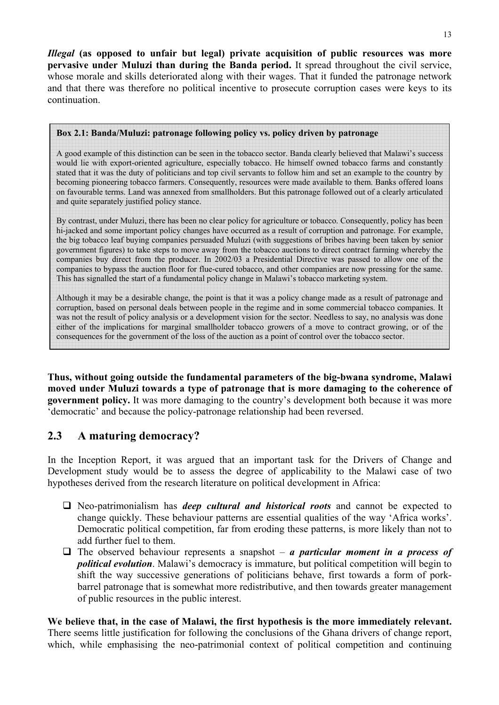*Illegal* **(as opposed to unfair but legal) private acquisition of public resources was more pervasive under Muluzi than during the Banda period.** It spread throughout the civil service, whose morale and skills deteriorated along with their wages. That it funded the patronage network and that there was therefore no political incentive to prosecute corruption cases were keys to its continuation.

#### **Box 2.1: Banda/Muluzi: patronage following policy vs. policy driven by patronage**

A good example of this distinction can be seen in the tobacco sector. Banda clearly believed that Malawi's success would lie with export-oriented agriculture, especially tobacco. He himself owned tobacco farms and constantly stated that it was the duty of politicians and top civil servants to follow him and set an example to the country by becoming pioneering tobacco farmers. Consequently, resources were made available to them. Banks offered loans on favourable terms. Land was annexed from smallholders. But this patronage followed out of a clearly articulated and quite separately justified policy stance.

By contrast, under Muluzi, there has been no clear policy for agriculture or tobacco. Consequently, policy has been hi-jacked and some important policy changes have occurred as a result of corruption and patronage. For example, the big tobacco leaf buying companies persuaded Muluzi (with suggestions of bribes having been taken by senior government figures) to take steps to move away from the tobacco auctions to direct contract farming whereby the companies buy direct from the producer. In 2002/03 a Presidential Directive was passed to allow one of the companies to bypass the auction floor for flue-cured tobacco, and other companies are now pressing for the same. This has signalled the start of a fundamental policy change in Malawi's tobacco marketing system.

Although it may be a desirable change, the point is that it was a policy change made as a result of patronage and corruption, based on personal deals between people in the regime and in some commercial tobacco companies. It was not the result of policy analysis or a development vision for the sector. Needless to say, no analysis was done either of the implications for marginal smallholder tobacco growers of a move to contract growing, or of the consequences for the government of the loss of the auction as a point of control over the tobacco sector.

**Thus, without going outside the fundamental parameters of the big-bwana syndrome, Malawi moved under Muluzi towards a type of patronage that is more damaging to the coherence of government policy.** It was more damaging to the country's development both because it was more 'democratic' and because the policy-patronage relationship had been reversed.

# **2.3 A maturing democracy?**

In the Inception Report, it was argued that an important task for the Drivers of Change and Development study would be to assess the degree of applicability to the Malawi case of two hypotheses derived from the research literature on political development in Africa:

- Neo-patrimonialism has *deep cultural and historical roots* and cannot be expected to change quickly. These behaviour patterns are essential qualities of the way 'Africa works'. Democratic political competition, far from eroding these patterns, is more likely than not to add further fuel to them.
- $\Box$  The observed behaviour represents a snapshot *a particular moment in a process of political evolution*. Malawi's democracy is immature, but political competition will begin to shift the way successive generations of politicians behave, first towards a form of porkbarrel patronage that is somewhat more redistributive, and then towards greater management of public resources in the public interest.

**We believe that, in the case of Malawi, the first hypothesis is the more immediately relevant.** There seems little justification for following the conclusions of the Ghana drivers of change report, which, while emphasising the neo-patrimonial context of political competition and continuing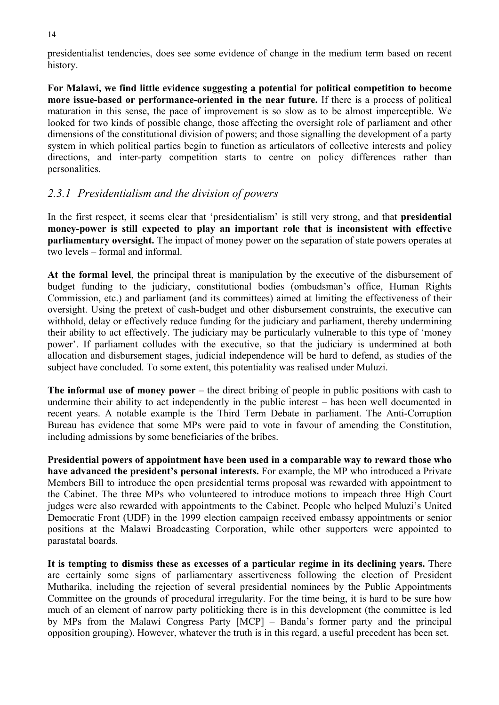presidentialist tendencies, does see some evidence of change in the medium term based on recent history.

**For Malawi, we find little evidence suggesting a potential for political competition to become more issue-based or performance-oriented in the near future.** If there is a process of political maturation in this sense, the pace of improvement is so slow as to be almost imperceptible. We looked for two kinds of possible change, those affecting the oversight role of parliament and other dimensions of the constitutional division of powers; and those signalling the development of a party system in which political parties begin to function as articulators of collective interests and policy directions, and inter-party competition starts to centre on policy differences rather than personalities.

# *2.3.1 Presidentialism and the division of powers*

In the first respect, it seems clear that 'presidentialism' is still very strong, and that **presidential money-power is still expected to play an important role that is inconsistent with effective parliamentary oversight.** The impact of money power on the separation of state powers operates at two levels – formal and informal.

**At the formal level**, the principal threat is manipulation by the executive of the disbursement of budget funding to the judiciary, constitutional bodies (ombudsman's office, Human Rights Commission, etc.) and parliament (and its committees) aimed at limiting the effectiveness of their oversight. Using the pretext of cash-budget and other disbursement constraints, the executive can withhold, delay or effectively reduce funding for the judiciary and parliament, thereby undermining their ability to act effectively. The judiciary may be particularly vulnerable to this type of 'money power'. If parliament colludes with the executive, so that the judiciary is undermined at both allocation and disbursement stages, judicial independence will be hard to defend, as studies of the subject have concluded. To some extent, this potentiality was realised under Muluzi.

**The informal use of money power** – the direct bribing of people in public positions with cash to undermine their ability to act independently in the public interest – has been well documented in recent years. A notable example is the Third Term Debate in parliament. The Anti-Corruption Bureau has evidence that some MPs were paid to vote in favour of amending the Constitution, including admissions by some beneficiaries of the bribes.

**Presidential powers of appointment have been used in a comparable way to reward those who have advanced the president's personal interests.** For example, the MP who introduced a Private Members Bill to introduce the open presidential terms proposal was rewarded with appointment to the Cabinet. The three MPs who volunteered to introduce motions to impeach three High Court judges were also rewarded with appointments to the Cabinet. People who helped Muluzi's United Democratic Front (UDF) in the 1999 election campaign received embassy appointments or senior positions at the Malawi Broadcasting Corporation, while other supporters were appointed to parastatal boards.

**It is tempting to dismiss these as excesses of a particular regime in its declining years.** There are certainly some signs of parliamentary assertiveness following the election of President Mutharika, including the rejection of several presidential nominees by the Public Appointments Committee on the grounds of procedural irregularity. For the time being, it is hard to be sure how much of an element of narrow party politicking there is in this development (the committee is led by MPs from the Malawi Congress Party [MCP] – Banda's former party and the principal opposition grouping). However, whatever the truth is in this regard, a useful precedent has been set.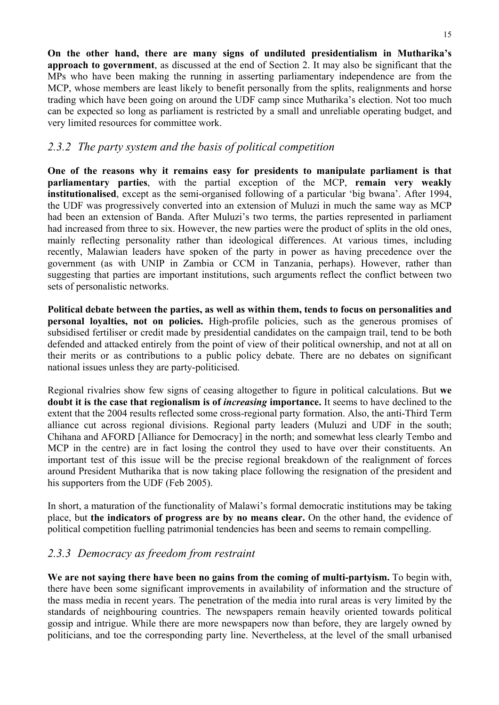**On the other hand, there are many signs of undiluted presidentialism in Mutharika's approach to government**, as discussed at the end of Section 2. It may also be significant that the MPs who have been making the running in asserting parliamentary independence are from the MCP, whose members are least likely to benefit personally from the splits, realignments and horse trading which have been going on around the UDF camp since Mutharika's election. Not too much can be expected so long as parliament is restricted by a small and unreliable operating budget, and very limited resources for committee work.

# *2.3.2 The party system and the basis of political competition*

**One of the reasons why it remains easy for presidents to manipulate parliament is that parliamentary parties**, with the partial exception of the MCP, **remain very weakly institutionalised**, except as the semi-organised following of a particular 'big bwana'. After 1994, the UDF was progressively converted into an extension of Muluzi in much the same way as MCP had been an extension of Banda. After Muluzi's two terms, the parties represented in parliament had increased from three to six. However, the new parties were the product of splits in the old ones, mainly reflecting personality rather than ideological differences. At various times, including recently, Malawian leaders have spoken of the party in power as having precedence over the government (as with UNIP in Zambia or CCM in Tanzania, perhaps). However, rather than suggesting that parties are important institutions, such arguments reflect the conflict between two sets of personalistic networks.

**Political debate between the parties, as well as within them, tends to focus on personalities and personal loyalties, not on policies.** High-profile policies, such as the generous promises of subsidised fertiliser or credit made by presidential candidates on the campaign trail, tend to be both defended and attacked entirely from the point of view of their political ownership, and not at all on their merits or as contributions to a public policy debate. There are no debates on significant national issues unless they are party-politicised.

Regional rivalries show few signs of ceasing altogether to figure in political calculations. But **we doubt it is the case that regionalism is of** *increasing* **importance.** It seems to have declined to the extent that the 2004 results reflected some cross-regional party formation. Also, the anti-Third Term alliance cut across regional divisions. Regional party leaders (Muluzi and UDF in the south; Chihana and AFORD [Alliance for Democracy] in the north; and somewhat less clearly Tembo and MCP in the centre) are in fact losing the control they used to have over their constituents. An important test of this issue will be the precise regional breakdown of the realignment of forces around President Mutharika that is now taking place following the resignation of the president and his supporters from the UDF (Feb 2005).

In short, a maturation of the functionality of Malawi's formal democratic institutions may be taking place, but **the indicators of progress are by no means clear.** On the other hand, the evidence of political competition fuelling patrimonial tendencies has been and seems to remain compelling.

# *2.3.3 Democracy as freedom from restraint*

**We are not saying there have been no gains from the coming of multi-partyism.** To begin with, there have been some significant improvements in availability of information and the structure of the mass media in recent years. The penetration of the media into rural areas is very limited by the standards of neighbouring countries. The newspapers remain heavily oriented towards political gossip and intrigue. While there are more newspapers now than before, they are largely owned by politicians, and toe the corresponding party line. Nevertheless, at the level of the small urbanised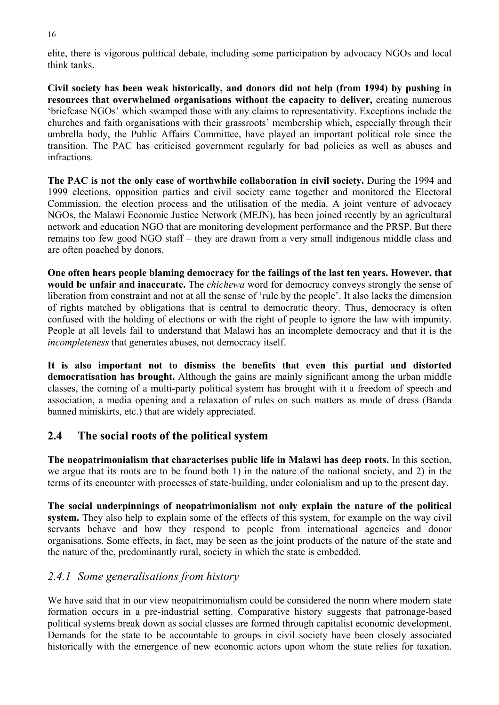elite, there is vigorous political debate, including some participation by advocacy NGOs and local think tanks.

**Civil society has been weak historically, and donors did not help (from 1994) by pushing in resources that overwhelmed organisations without the capacity to deliver,** creating numerous 'briefcase NGOs' which swamped those with any claims to representativity. Exceptions include the churches and faith organisations with their grassroots' membership which, especially through their umbrella body, the Public Affairs Committee, have played an important political role since the transition. The PAC has criticised government regularly for bad policies as well as abuses and infractions.

**The PAC is not the only case of worthwhile collaboration in civil society.** During the 1994 and 1999 elections, opposition parties and civil society came together and monitored the Electoral Commission, the election process and the utilisation of the media. A joint venture of advocacy NGOs, the Malawi Economic Justice Network (MEJN), has been joined recently by an agricultural network and education NGO that are monitoring development performance and the PRSP. But there remains too few good NGO staff – they are drawn from a very small indigenous middle class and are often poached by donors.

**One often hears people blaming democracy for the failings of the last ten years. However, that would be unfair and inaccurate.** The *chichewa* word for democracy conveys strongly the sense of liberation from constraint and not at all the sense of 'rule by the people'. It also lacks the dimension of rights matched by obligations that is central to democratic theory. Thus, democracy is often confused with the holding of elections or with the right of people to ignore the law with impunity. People at all levels fail to understand that Malawi has an incomplete democracy and that it is the *incompleteness* that generates abuses, not democracy itself.

**It is also important not to dismiss the benefits that even this partial and distorted democratisation has brought.** Although the gains are mainly significant among the urban middle classes, the coming of a multi-party political system has brought with it a freedom of speech and association, a media opening and a relaxation of rules on such matters as mode of dress (Banda banned miniskirts, etc.) that are widely appreciated.

# **2.4 The social roots of the political system**

**The neopatrimonialism that characterises public life in Malawi has deep roots.** In this section, we argue that its roots are to be found both 1) in the nature of the national society, and 2) in the terms of its encounter with processes of state-building, under colonialism and up to the present day.

**The social underpinnings of neopatrimonialism not only explain the nature of the political system.** They also help to explain some of the effects of this system, for example on the way civil servants behave and how they respond to people from international agencies and donor organisations. Some effects, in fact, may be seen as the joint products of the nature of the state and the nature of the, predominantly rural, society in which the state is embedded.

# *2.4.1 Some generalisations from history*

We have said that in our view neopatrimonialism could be considered the norm where modern state formation occurs in a pre-industrial setting. Comparative history suggests that patronage-based political systems break down as social classes are formed through capitalist economic development. Demands for the state to be accountable to groups in civil society have been closely associated historically with the emergence of new economic actors upon whom the state relies for taxation.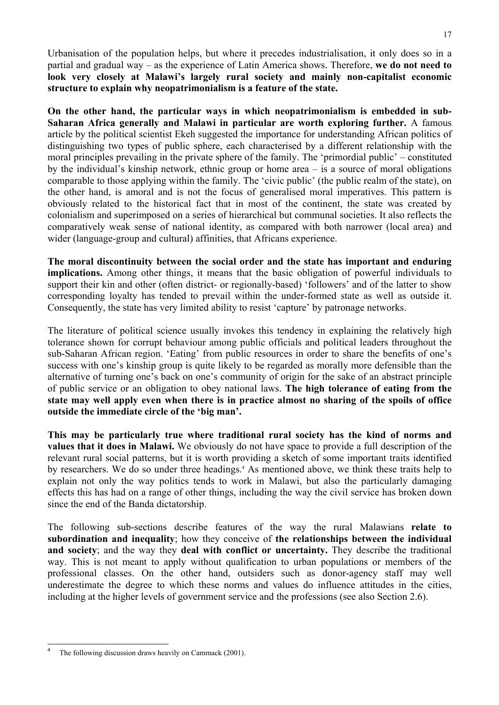Urbanisation of the population helps, but where it precedes industrialisation, it only does so in a partial and gradual way – as the experience of Latin America shows. Therefore, **we do not need to look very closely at Malawi's largely rural society and mainly non-capitalist economic structure to explain why neopatrimonialism is a feature of the state.** 

**On the other hand, the particular ways in which neopatrimonialism is embedded in sub-Saharan Africa generally and Malawi in particular are worth exploring further.** A famous article by the political scientist Ekeh suggested the importance for understanding African politics of distinguishing two types of public sphere, each characterised by a different relationship with the moral principles prevailing in the private sphere of the family. The 'primordial public' – constituted by the individual's kinship network, ethnic group or home area – is a source of moral obligations comparable to those applying within the family. The 'civic public' (the public realm of the state), on the other hand, is amoral and is not the focus of generalised moral imperatives. This pattern is obviously related to the historical fact that in most of the continent, the state was created by colonialism and superimposed on a series of hierarchical but communal societies. It also reflects the comparatively weak sense of national identity, as compared with both narrower (local area) and wider (language-group and cultural) affinities, that Africans experience.

**The moral discontinuity between the social order and the state has important and enduring implications.** Among other things, it means that the basic obligation of powerful individuals to support their kin and other (often district- or regionally-based) 'followers' and of the latter to show corresponding loyalty has tended to prevail within the under-formed state as well as outside it. Consequently, the state has very limited ability to resist 'capture' by patronage networks.

The literature of political science usually invokes this tendency in explaining the relatively high tolerance shown for corrupt behaviour among public officials and political leaders throughout the sub-Saharan African region. 'Eating' from public resources in order to share the benefits of one's success with one's kinship group is quite likely to be regarded as morally more defensible than the alternative of turning one's back on one's community of origin for the sake of an abstract principle of public service or an obligation to obey national laws. **The high tolerance of eating from the state may well apply even when there is in practice almost no sharing of the spoils of office outside the immediate circle of the 'big man'.** 

**This may be particularly true where traditional rural society has the kind of norms and values that it does in Malawi.** We obviously do not have space to provide a full description of the relevant rural social patterns, but it is worth providing a sketch of some important traits identified by researchers. We do so under three headings.<sup>4</sup> As mentioned above, we think these traits help to explain not only the way politics tends to work in Malawi, but also the particularly damaging effects this has had on a range of other things, including the way the civil service has broken down since the end of the Banda dictatorship.

The following sub-sections describe features of the way the rural Malawians **relate to subordination and inequality**; how they conceive of **the relationships between the individual and society**; and the way they **deal with conflict or uncertainty.** They describe the traditional way. This is not meant to apply without qualification to urban populations or members of the professional classes. On the other hand, outsiders such as donor-agency staff may well underestimate the degree to which these norms and values do influence attitudes in the cities, including at the higher levels of government service and the professions (see also Section 2.6).

 4 The following discussion draws heavily on Cammack (2001).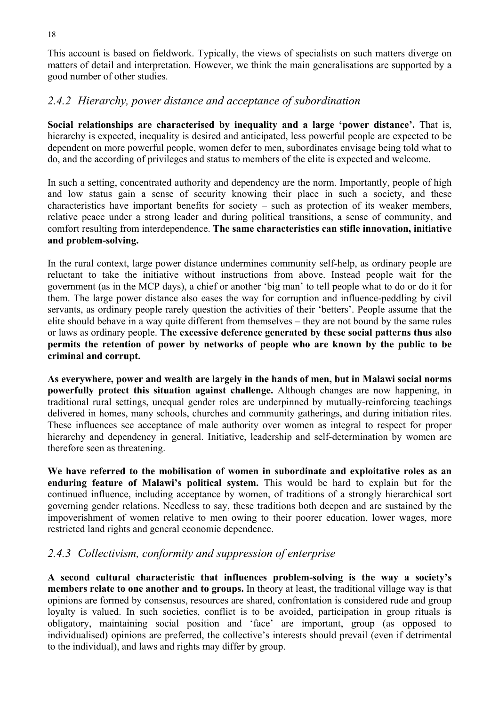This account is based on fieldwork. Typically, the views of specialists on such matters diverge on matters of detail and interpretation. However, we think the main generalisations are supported by a good number of other studies.

#### *2.4.2 Hierarchy, power distance and acceptance of subordination*

**Social relationships are characterised by inequality and a large 'power distance'.** That is, hierarchy is expected, inequality is desired and anticipated, less powerful people are expected to be dependent on more powerful people, women defer to men, subordinates envisage being told what to do, and the according of privileges and status to members of the elite is expected and welcome.

In such a setting, concentrated authority and dependency are the norm. Importantly, people of high and low status gain a sense of security knowing their place in such a society, and these characteristics have important benefits for society – such as protection of its weaker members, relative peace under a strong leader and during political transitions, a sense of community, and comfort resulting from interdependence. **The same characteristics can stifle innovation, initiative and problem-solving.** 

In the rural context, large power distance undermines community self-help, as ordinary people are reluctant to take the initiative without instructions from above. Instead people wait for the government (as in the MCP days), a chief or another 'big man' to tell people what to do or do it for them. The large power distance also eases the way for corruption and influence-peddling by civil servants, as ordinary people rarely question the activities of their 'betters'. People assume that the elite should behave in a way quite different from themselves – they are not bound by the same rules or laws as ordinary people. **The excessive deference generated by these social patterns thus also permits the retention of power by networks of people who are known by the public to be criminal and corrupt.**

**As everywhere, power and wealth are largely in the hands of men, but in Malawi social norms powerfully protect this situation against challenge.** Although changes are now happening, in traditional rural settings, unequal gender roles are underpinned by mutually-reinforcing teachings delivered in homes, many schools, churches and community gatherings, and during initiation rites. These influences see acceptance of male authority over women as integral to respect for proper hierarchy and dependency in general. Initiative, leadership and self-determination by women are therefore seen as threatening.

**We have referred to the mobilisation of women in subordinate and exploitative roles as an enduring feature of Malawi's political system.** This would be hard to explain but for the continued influence, including acceptance by women, of traditions of a strongly hierarchical sort governing gender relations. Needless to say, these traditions both deepen and are sustained by the impoverishment of women relative to men owing to their poorer education, lower wages, more restricted land rights and general economic dependence.

# *2.4.3 Collectivism, conformity and suppression of enterprise*

**A second cultural characteristic that influences problem-solving is the way a society's members relate to one another and to groups.** In theory at least, the traditional village way is that opinions are formed by consensus, resources are shared, confrontation is considered rude and group loyalty is valued. In such societies, conflict is to be avoided, participation in group rituals is obligatory, maintaining social position and 'face' are important, group (as opposed to individualised) opinions are preferred, the collective's interests should prevail (even if detrimental to the individual), and laws and rights may differ by group.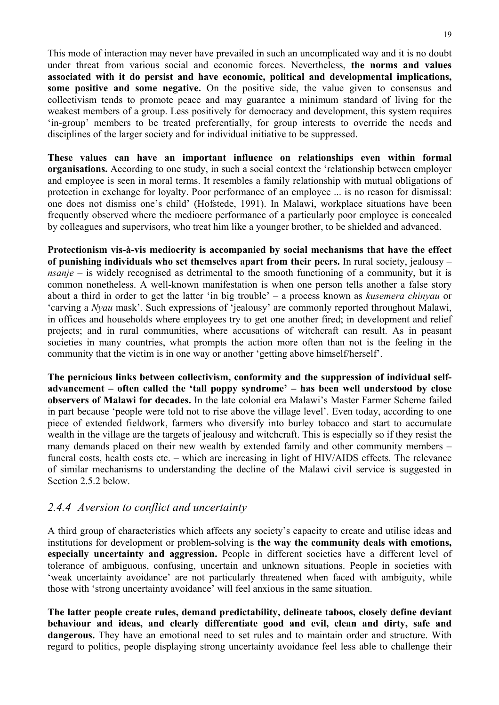This mode of interaction may never have prevailed in such an uncomplicated way and it is no doubt under threat from various social and economic forces. Nevertheless, **the norms and values associated with it do persist and have economic, political and developmental implications, some positive and some negative.** On the positive side, the value given to consensus and collectivism tends to promote peace and may guarantee a minimum standard of living for the weakest members of a group. Less positively for democracy and development, this system requires 'in-group' members to be treated preferentially, for group interests to override the needs and disciplines of the larger society and for individual initiative to be suppressed.

**These values can have an important influence on relationships even within formal organisations.** According to one study, in such a social context the 'relationship between employer and employee is seen in moral terms. It resembles a family relationship with mutual obligations of protection in exchange for loyalty. Poor performance of an employee ... is no reason for dismissal: one does not dismiss one's child' (Hofstede, 1991). In Malawi, workplace situations have been frequently observed where the mediocre performance of a particularly poor employee is concealed by colleagues and supervisors, who treat him like a younger brother, to be shielded and advanced.

**Protectionism vis-à-vis mediocrity is accompanied by social mechanisms that have the effect of punishing individuals who set themselves apart from their peers.** In rural society, jealousy – *nsanje* – is widely recognised as detrimental to the smooth functioning of a community, but it is common nonetheless. A well-known manifestation is when one person tells another a false story about a third in order to get the latter 'in big trouble' – a process known as *kusemera chinyau* or 'carving a *Nyau* mask'. Such expressions of 'jealousy' are commonly reported throughout Malawi, in offices and households where employees try to get one another fired; in development and relief projects; and in rural communities, where accusations of witchcraft can result. As in peasant societies in many countries, what prompts the action more often than not is the feeling in the community that the victim is in one way or another 'getting above himself/herself'.

**The pernicious links between collectivism, conformity and the suppression of individual selfadvancement – often called the 'tall poppy syndrome' – has been well understood by close observers of Malawi for decades.** In the late colonial era Malawi's Master Farmer Scheme failed in part because 'people were told not to rise above the village level'. Even today, according to one piece of extended fieldwork, farmers who diversify into burley tobacco and start to accumulate wealth in the village are the targets of jealousy and witchcraft. This is especially so if they resist the many demands placed on their new wealth by extended family and other community members – funeral costs, health costs etc. – which are increasing in light of HIV/AIDS effects. The relevance of similar mechanisms to understanding the decline of the Malawi civil service is suggested in Section 2.5.2 below.

#### *2.4.4 Aversion to conflict and uncertainty*

A third group of characteristics which affects any society's capacity to create and utilise ideas and institutions for development or problem-solving is **the way the community deals with emotions, especially uncertainty and aggression.** People in different societies have a different level of tolerance of ambiguous, confusing, uncertain and unknown situations. People in societies with 'weak uncertainty avoidance' are not particularly threatened when faced with ambiguity, while those with 'strong uncertainty avoidance' will feel anxious in the same situation.

**The latter people create rules, demand predictability, delineate taboos, closely define deviant behaviour and ideas, and clearly differentiate good and evil, clean and dirty, safe and dangerous.** They have an emotional need to set rules and to maintain order and structure. With regard to politics, people displaying strong uncertainty avoidance feel less able to challenge their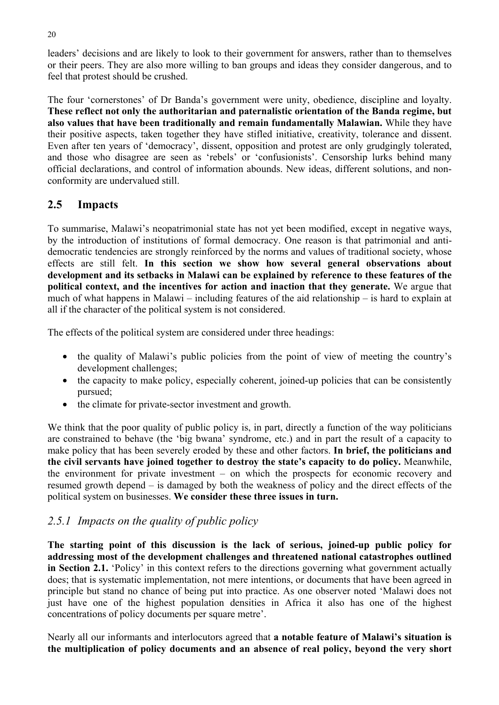leaders' decisions and are likely to look to their government for answers, rather than to themselves or their peers. They are also more willing to ban groups and ideas they consider dangerous, and to feel that protest should be crushed.

The four 'cornerstones' of Dr Banda's government were unity, obedience, discipline and loyalty. **These reflect not only the authoritarian and paternalistic orientation of the Banda regime, but also values that have been traditionally and remain fundamentally Malawian.** While they have their positive aspects, taken together they have stifled initiative, creativity, tolerance and dissent. Even after ten years of 'democracy', dissent, opposition and protest are only grudgingly tolerated, and those who disagree are seen as 'rebels' or 'confusionists'. Censorship lurks behind many official declarations, and control of information abounds. New ideas, different solutions, and nonconformity are undervalued still.

# **2.5 Impacts**

To summarise, Malawi's neopatrimonial state has not yet been modified, except in negative ways, by the introduction of institutions of formal democracy. One reason is that patrimonial and antidemocratic tendencies are strongly reinforced by the norms and values of traditional society, whose effects are still felt. **In this section we show how several general observations about development and its setbacks in Malawi can be explained by reference to these features of the political context, and the incentives for action and inaction that they generate.** We argue that much of what happens in Malawi – including features of the aid relationship – is hard to explain at all if the character of the political system is not considered.

The effects of the political system are considered under three headings:

- the quality of Malawi's public policies from the point of view of meeting the country's development challenges;
- the capacity to make policy, especially coherent, joined-up policies that can be consistently pursued;
- the climate for private-sector investment and growth.

We think that the poor quality of public policy is, in part, directly a function of the way politicians are constrained to behave (the 'big bwana' syndrome, etc.) and in part the result of a capacity to make policy that has been severely eroded by these and other factors. **In brief, the politicians and the civil servants have joined together to destroy the state's capacity to do policy.** Meanwhile, the environment for private investment – on which the prospects for economic recovery and resumed growth depend – is damaged by both the weakness of policy and the direct effects of the political system on businesses. **We consider these three issues in turn.** 

# *2.5.1 Impacts on the quality of public policy*

**The starting point of this discussion is the lack of serious, joined-up public policy for addressing most of the development challenges and threatened national catastrophes outlined in Section 2.1.** 'Policy' in this context refers to the directions governing what government actually does; that is systematic implementation, not mere intentions, or documents that have been agreed in principle but stand no chance of being put into practice. As one observer noted 'Malawi does not just have one of the highest population densities in Africa it also has one of the highest concentrations of policy documents per square metre'.

Nearly all our informants and interlocutors agreed that **a notable feature of Malawi's situation is the multiplication of policy documents and an absence of real policy, beyond the very short**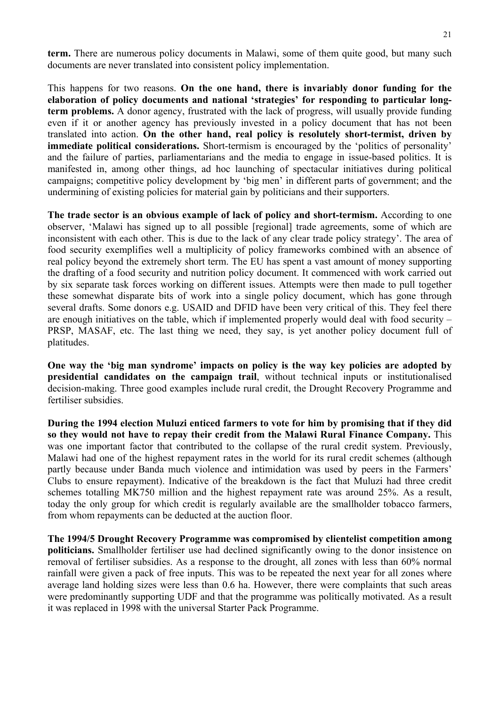**term.** There are numerous policy documents in Malawi, some of them quite good, but many such documents are never translated into consistent policy implementation.

This happens for two reasons. **On the one hand, there is invariably donor funding for the elaboration of policy documents and national 'strategies' for responding to particular longterm problems.** A donor agency, frustrated with the lack of progress, will usually provide funding even if it or another agency has previously invested in a policy document that has not been translated into action. **On the other hand, real policy is resolutely short-termist, driven by immediate political considerations.** Short-termism is encouraged by the 'politics of personality' and the failure of parties, parliamentarians and the media to engage in issue-based politics. It is manifested in, among other things, ad hoc launching of spectacular initiatives during political campaigns; competitive policy development by 'big men' in different parts of government; and the undermining of existing policies for material gain by politicians and their supporters.

**The trade sector is an obvious example of lack of policy and short-termism.** According to one observer, 'Malawi has signed up to all possible [regional] trade agreements, some of which are inconsistent with each other. This is due to the lack of any clear trade policy strategy'. The area of food security exemplifies well a multiplicity of policy frameworks combined with an absence of real policy beyond the extremely short term. The EU has spent a vast amount of money supporting the drafting of a food security and nutrition policy document. It commenced with work carried out by six separate task forces working on different issues. Attempts were then made to pull together these somewhat disparate bits of work into a single policy document, which has gone through several drafts. Some donors e.g. USAID and DFID have been very critical of this. They feel there are enough initiatives on the table, which if implemented properly would deal with food security – PRSP, MASAF, etc. The last thing we need, they say, is yet another policy document full of platitudes.

**One way the 'big man syndrome' impacts on policy is the way key policies are adopted by presidential candidates on the campaign trail**, without technical inputs or institutionalised decision-making. Three good examples include rural credit, the Drought Recovery Programme and fertiliser subsidies.

**During the 1994 election Muluzi enticed farmers to vote for him by promising that if they did so they would not have to repay their credit from the Malawi Rural Finance Company.** This was one important factor that contributed to the collapse of the rural credit system. Previously, Malawi had one of the highest repayment rates in the world for its rural credit schemes (although partly because under Banda much violence and intimidation was used by peers in the Farmers' Clubs to ensure repayment). Indicative of the breakdown is the fact that Muluzi had three credit schemes totalling MK750 million and the highest repayment rate was around 25%. As a result, today the only group for which credit is regularly available are the smallholder tobacco farmers, from whom repayments can be deducted at the auction floor.

**The 1994/5 Drought Recovery Programme was compromised by clientelist competition among politicians.** Smallholder fertiliser use had declined significantly owing to the donor insistence on removal of fertiliser subsidies. As a response to the drought, all zones with less than 60% normal rainfall were given a pack of free inputs. This was to be repeated the next year for all zones where average land holding sizes were less than 0.6 ha. However, there were complaints that such areas were predominantly supporting UDF and that the programme was politically motivated. As a result it was replaced in 1998 with the universal Starter Pack Programme.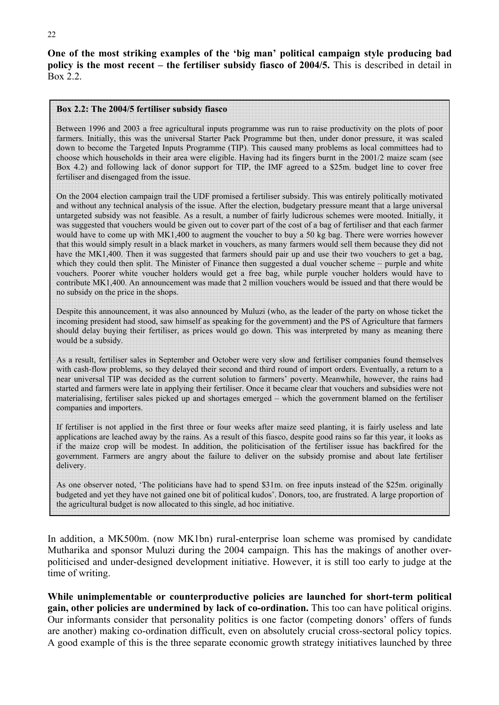**One of the most striking examples of the 'big man' political campaign style producing bad policy is the most recent – the fertiliser subsidy fiasco of 2004/5.** This is described in detail in Box 2.2.

#### **Box 2.2: The 2004/5 fertiliser subsidy fiasco**

Between 1996 and 2003 a free agricultural inputs programme was run to raise productivity on the plots of poor farmers. Initially, this was the universal Starter Pack Programme but then, under donor pressure, it was scaled down to become the Targeted Inputs Programme (TIP). This caused many problems as local committees had to choose which households in their area were eligible. Having had its fingers burnt in the 2001/2 maize scam (see Box 4.2) and following lack of donor support for TIP, the IMF agreed to a \$25m. budget line to cover free fertiliser and disengaged from the issue.

On the 2004 election campaign trail the UDF promised a fertiliser subsidy. This was entirely politically motivated and without any technical analysis of the issue. After the election, budgetary pressure meant that a large universal untargeted subsidy was not feasible. As a result, a number of fairly ludicrous schemes were mooted. Initially, it was suggested that vouchers would be given out to cover part of the cost of a bag of fertiliser and that each farmer would have to come up with MK1,400 to augment the voucher to buy a 50 kg bag. There were worries however that this would simply result in a black market in vouchers, as many farmers would sell them because they did not have the MK1,400. Then it was suggested that farmers should pair up and use their two vouchers to get a bag. which they could then split. The Minister of Finance then suggested a dual voucher scheme – purple and white vouchers. Poorer white voucher holders would get a free bag, while purple voucher holders would have to contribute MK1,400. An announcement was made that 2 million vouchers would be issued and that there would be no subsidy on the price in the shops.

Despite this announcement, it was also announced by Muluzi (who, as the leader of the party on whose ticket the incoming president had stood, saw himself as speaking for the government) and the PS of Agriculture that farmers should delay buying their fertiliser, as prices would go down. This was interpreted by many as meaning there would be a subsidy.

As a result, fertiliser sales in September and October were very slow and fertiliser companies found themselves with cash-flow problems, so they delayed their second and third round of import orders. Eventually, a return to a near universal TIP was decided as the current solution to farmers' poverty. Meanwhile, however, the rains had started and farmers were late in applying their fertiliser. Once it became clear that vouchers and subsidies were not materialising, fertiliser sales picked up and shortages emerged – which the government blamed on the fertiliser companies and importers.

If fertiliser is not applied in the first three or four weeks after maize seed planting, it is fairly useless and late applications are leached away by the rains. As a result of this fiasco, despite good rains so far this year, it looks as if the maize crop will be modest. In addition, the politicisation of the fertiliser issue has backfired for the government. Farmers are angry about the failure to deliver on the subsidy promise and about late fertiliser delivery.

As one observer noted, 'The politicians have had to spend \$31m. on free inputs instead of the \$25m. originally budgeted and yet they have not gained one bit of political kudos'. Donors, too, are frustrated. A large proportion of the agricultural budget is now allocated to this single, ad hoc initiative.

In addition, a MK500m. (now MK1bn) rural-enterprise loan scheme was promised by candidate Mutharika and sponsor Muluzi during the 2004 campaign. This has the makings of another overpoliticised and under-designed development initiative. However, it is still too early to judge at the time of writing.

**While unimplementable or counterproductive policies are launched for short-term political gain, other policies are undermined by lack of co-ordination.** This too can have political origins. Our informants consider that personality politics is one factor (competing donors' offers of funds are another) making co-ordination difficult, even on absolutely crucial cross-sectoral policy topics. A good example of this is the three separate economic growth strategy initiatives launched by three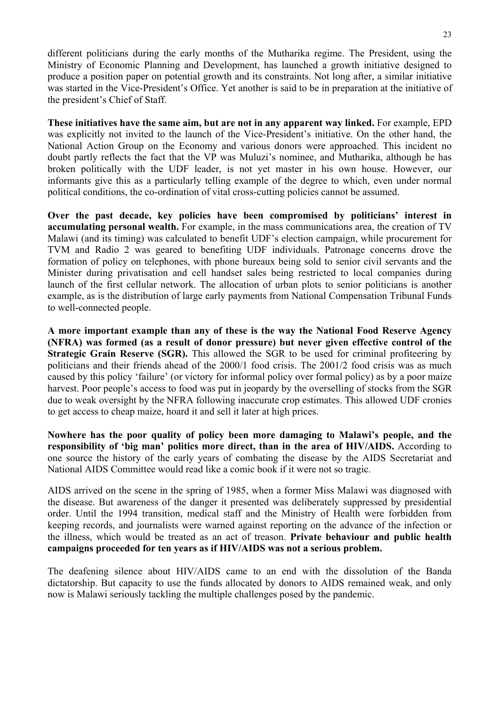different politicians during the early months of the Mutharika regime. The President, using the Ministry of Economic Planning and Development, has launched a growth initiative designed to produce a position paper on potential growth and its constraints. Not long after, a similar initiative was started in the Vice-President's Office. Yet another is said to be in preparation at the initiative of the president's Chief of Staff.

**These initiatives have the same aim, but are not in any apparent way linked.** For example, EPD was explicitly not invited to the launch of the Vice-President's initiative. On the other hand, the National Action Group on the Economy and various donors were approached. This incident no doubt partly reflects the fact that the VP was Muluzi's nominee, and Mutharika, although he has broken politically with the UDF leader, is not yet master in his own house. However, our informants give this as a particularly telling example of the degree to which, even under normal political conditions, the co-ordination of vital cross-cutting policies cannot be assumed.

Over the past decade, key policies have been compromised by politicians' interest in **accumulating personal wealth.** For example, in the mass communications area, the creation of TV Malawi (and its timing) was calculated to benefit UDF's election campaign, while procurement for TVM and Radio 2 was geared to benefiting UDF individuals. Patronage concerns drove the formation of policy on telephones, with phone bureaux being sold to senior civil servants and the Minister during privatisation and cell handset sales being restricted to local companies during launch of the first cellular network. The allocation of urban plots to senior politicians is another example, as is the distribution of large early payments from National Compensation Tribunal Funds to well-connected people.

**A more important example than any of these is the way the National Food Reserve Agency (NFRA) was formed (as a result of donor pressure) but never given effective control of the Strategic Grain Reserve (SGR).** This allowed the SGR to be used for criminal profiteering by politicians and their friends ahead of the 2000/1 food crisis. The 2001/2 food crisis was as much caused by this policy 'failure' (or victory for informal policy over formal policy) as by a poor maize harvest. Poor people's access to food was put in jeopardy by the overselling of stocks from the SGR due to weak oversight by the NFRA following inaccurate crop estimates. This allowed UDF cronies to get access to cheap maize, hoard it and sell it later at high prices.

**Nowhere has the poor quality of policy been more damaging to Malawi's people, and the responsibility of 'big man' politics more direct, than in the area of HIV/AIDS.** According to one source the history of the early years of combating the disease by the AIDS Secretariat and National AIDS Committee would read like a comic book if it were not so tragic.

AIDS arrived on the scene in the spring of 1985, when a former Miss Malawi was diagnosed with the disease. But awareness of the danger it presented was deliberately suppressed by presidential order. Until the 1994 transition, medical staff and the Ministry of Health were forbidden from keeping records, and journalists were warned against reporting on the advance of the infection or the illness, which would be treated as an act of treason. **Private behaviour and public health campaigns proceeded for ten years as if HIV/AIDS was not a serious problem.** 

The deafening silence about HIV/AIDS came to an end with the dissolution of the Banda dictatorship. But capacity to use the funds allocated by donors to AIDS remained weak, and only now is Malawi seriously tackling the multiple challenges posed by the pandemic.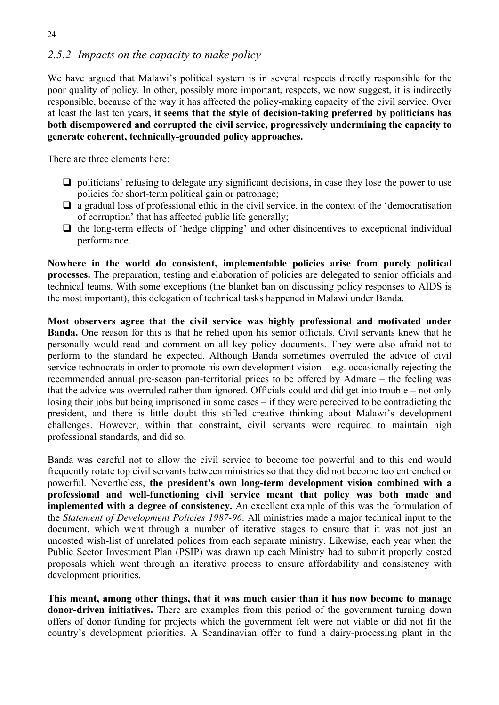# *2.5.2 Impacts on the capacity to make policy*

We have argued that Malawi's political system is in several respects directly responsible for the poor quality of policy. In other, possibly more important, respects, we now suggest, it is indirectly responsible, because of the way it has affected the policy-making capacity of the civil service. Over at least the last ten years, **it seems that the style of decision-taking preferred by politicians has both disempowered and corrupted the civil service, progressively undermining the capacity to generate coherent, technically-grounded policy approaches.** 

There are three elements here:

- $\Box$  politicians' refusing to delegate any significant decisions, in case they lose the power to use policies for short-term political gain or patronage;
- $\Box$  a gradual loss of professional ethic in the civil service, in the context of the 'democratisation' of corruption' that has affected public life generally;
- $\Box$  the long-term effects of 'hedge clipping' and other disincentives to exceptional individual performance.

**Nowhere in the world do consistent, implementable policies arise from purely political processes.** The preparation, testing and elaboration of policies are delegated to senior officials and technical teams. With some exceptions (the blanket ban on discussing policy responses to AIDS is the most important), this delegation of technical tasks happened in Malawi under Banda.

**Most observers agree that the civil service was highly professional and motivated under Banda.** One reason for this is that he relied upon his senior officials. Civil servants knew that he personally would read and comment on all key policy documents. They were also afraid not to perform to the standard he expected. Although Banda sometimes overruled the advice of civil service technocrats in order to promote his own development vision – e.g. occasionally rejecting the recommended annual pre-season pan-territorial prices to be offered by Admarc – the feeling was that the advice was overruled rather than ignored. Officials could and did get into trouble – not only losing their jobs but being imprisoned in some cases – if they were perceived to be contradicting the president, and there is little doubt this stifled creative thinking about Malawi's development challenges. However, within that constraint, civil servants were required to maintain high professional standards, and did so.

Banda was careful not to allow the civil service to become too powerful and to this end would frequently rotate top civil servants between ministries so that they did not become too entrenched or powerful. Nevertheless, **the president's own long-term development vision combined with a professional and well-functioning civil service meant that policy was both made and implemented with a degree of consistency.** An excellent example of this was the formulation of the *Statement of Development Policies 1987-96*. All ministries made a major technical input to the document, which went through a number of iterative stages to ensure that it was not just an uncosted wish-list of unrelated polices from each separate ministry. Likewise, each year when the Public Sector Investment Plan (PSIP) was drawn up each Ministry had to submit properly costed proposals which went through an iterative process to ensure affordability and consistency with development priorities.

**This meant, among other things, that it was much easier than it has now become to manage donor-driven initiatives.** There are examples from this period of the government turning down offers of donor funding for projects which the government felt were not viable or did not fit the country's development priorities. A Scandinavian offer to fund a dairy-processing plant in the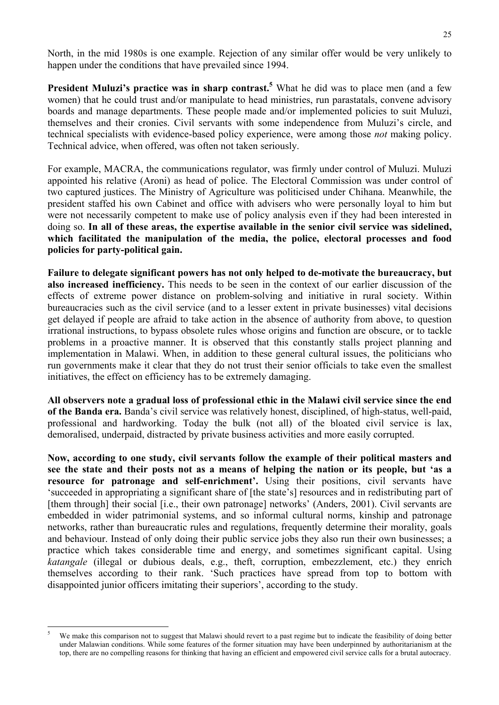North, in the mid 1980s is one example. Rejection of any similar offer would be very unlikely to happen under the conditions that have prevailed since 1994.

**President Muluzi's practice was in sharp contrast.**<sup>5</sup> What he did was to place men (and a few women) that he could trust and/or manipulate to head ministries, run parastatals, convene advisory boards and manage departments. These people made and/or implemented policies to suit Muluzi, themselves and their cronies. Civil servants with some independence from Muluzi's circle, and technical specialists with evidence-based policy experience, were among those *not* making policy. Technical advice, when offered, was often not taken seriously.

For example, MACRA, the communications regulator, was firmly under control of Muluzi. Muluzi appointed his relative (Aroni) as head of police. The Electoral Commission was under control of two captured justices. The Ministry of Agriculture was politicised under Chihana. Meanwhile, the president staffed his own Cabinet and office with advisers who were personally loyal to him but were not necessarily competent to make use of policy analysis even if they had been interested in doing so. **In all of these areas, the expertise available in the senior civil service was sidelined, which facilitated the manipulation of the media, the police, electoral processes and food policies for party-political gain.** 

**Failure to delegate significant powers has not only helped to de-motivate the bureaucracy, but also increased inefficiency.** This needs to be seen in the context of our earlier discussion of the effects of extreme power distance on problem-solving and initiative in rural society. Within bureaucracies such as the civil service (and to a lesser extent in private businesses) vital decisions get delayed if people are afraid to take action in the absence of authority from above, to question irrational instructions, to bypass obsolete rules whose origins and function are obscure, or to tackle problems in a proactive manner. It is observed that this constantly stalls project planning and implementation in Malawi. When, in addition to these general cultural issues, the politicians who run governments make it clear that they do not trust their senior officials to take even the smallest initiatives, the effect on efficiency has to be extremely damaging.

**All observers note a gradual loss of professional ethic in the Malawi civil service since the end of the Banda era.** Banda's civil service was relatively honest, disciplined, of high-status, well-paid, professional and hardworking. Today the bulk (not all) of the bloated civil service is lax, demoralised, underpaid, distracted by private business activities and more easily corrupted.

**Now, according to one study, civil servants follow the example of their political masters and see the state and their posts not as a means of helping the nation or its people, but 'as a resource for patronage and self-enrichment'.** Using their positions, civil servants have 'succeeded in appropriating a significant share of [the state's] resources and in redistributing part of [them through] their social [i.e., their own patronage] networks' (Anders, 2001). Civil servants are embedded in wider patrimonial systems, and so informal cultural norms, kinship and patronage networks, rather than bureaucratic rules and regulations, frequently determine their morality, goals and behaviour. Instead of only doing their public service jobs they also run their own businesses; a practice which takes considerable time and energy, and sometimes significant capital. Using *katangale* (illegal or dubious deals, e.g., theft, corruption, embezzlement, etc.) they enrich themselves according to their rank. 'Such practices have spread from top to bottom with disappointed junior officers imitating their superiors', according to the study.

l

We make this comparison not to suggest that Malawi should revert to a past regime but to indicate the feasibility of doing better under Malawian conditions. While some features of the former situation may have been underpinned by authoritarianism at the top, there are no compelling reasons for thinking that having an efficient and empowered civil service calls for a brutal autocracy.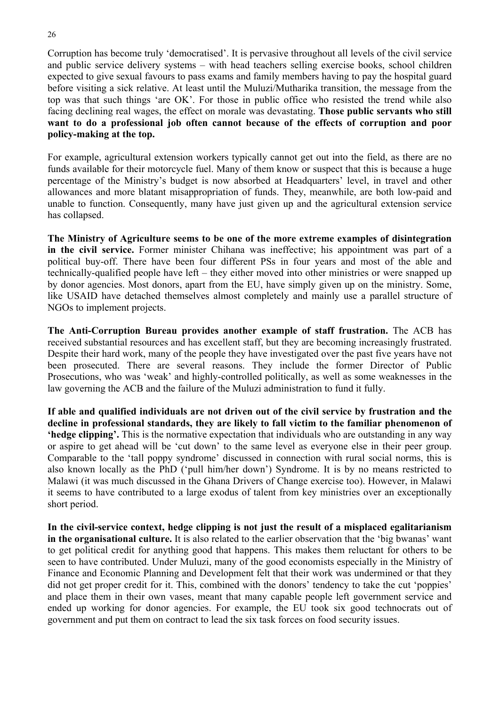Corruption has become truly 'democratised'. It is pervasive throughout all levels of the civil service and public service delivery systems – with head teachers selling exercise books, school children expected to give sexual favours to pass exams and family members having to pay the hospital guard before visiting a sick relative. At least until the Muluzi/Mutharika transition, the message from the top was that such things 'are OK'. For those in public office who resisted the trend while also facing declining real wages, the effect on morale was devastating. **Those public servants who still want to do a professional job often cannot because of the effects of corruption and poor policy-making at the top.** 

For example, agricultural extension workers typically cannot get out into the field, as there are no funds available for their motorcycle fuel. Many of them know or suspect that this is because a huge percentage of the Ministry's budget is now absorbed at Headquarters' level, in travel and other allowances and more blatant misappropriation of funds. They, meanwhile, are both low-paid and unable to function. Consequently, many have just given up and the agricultural extension service has collapsed.

**The Ministry of Agriculture seems to be one of the more extreme examples of disintegration in the civil service.** Former minister Chihana was ineffective; his appointment was part of a political buy-off. There have been four different PSs in four years and most of the able and technically-qualified people have left – they either moved into other ministries or were snapped up by donor agencies. Most donors, apart from the EU, have simply given up on the ministry. Some, like USAID have detached themselves almost completely and mainly use a parallel structure of NGOs to implement projects.

**The Anti-Corruption Bureau provides another example of staff frustration.** The ACB has received substantial resources and has excellent staff, but they are becoming increasingly frustrated. Despite their hard work, many of the people they have investigated over the past five years have not been prosecuted. There are several reasons. They include the former Director of Public Prosecutions, who was 'weak' and highly-controlled politically, as well as some weaknesses in the law governing the ACB and the failure of the Muluzi administration to fund it fully.

**If able and qualified individuals are not driven out of the civil service by frustration and the decline in professional standards, they are likely to fall victim to the familiar phenomenon of 'hedge clipping'.** This is the normative expectation that individuals who are outstanding in any way or aspire to get ahead will be 'cut down' to the same level as everyone else in their peer group. Comparable to the 'tall poppy syndrome' discussed in connection with rural social norms, this is also known locally as the PhD ('pull him/her down') Syndrome. It is by no means restricted to Malawi (it was much discussed in the Ghana Drivers of Change exercise too). However, in Malawi it seems to have contributed to a large exodus of talent from key ministries over an exceptionally short period.

**In the civil-service context, hedge clipping is not just the result of a misplaced egalitarianism in the organisational culture.** It is also related to the earlier observation that the 'big bwanas' want to get political credit for anything good that happens. This makes them reluctant for others to be seen to have contributed. Under Muluzi, many of the good economists especially in the Ministry of Finance and Economic Planning and Development felt that their work was undermined or that they did not get proper credit for it. This, combined with the donors' tendency to take the cut 'poppies' and place them in their own vases, meant that many capable people left government service and ended up working for donor agencies. For example, the EU took six good technocrats out of government and put them on contract to lead the six task forces on food security issues.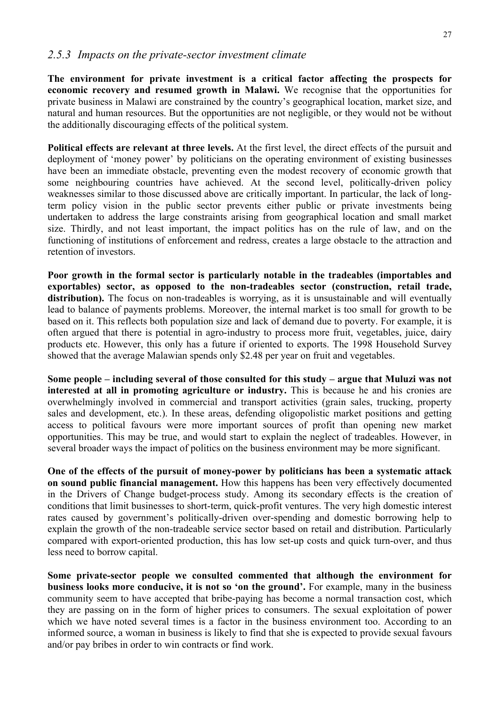#### *2.5.3 Impacts on the private-sector investment climate*

**The environment for private investment is a critical factor affecting the prospects for economic recovery and resumed growth in Malawi.** We recognise that the opportunities for private business in Malawi are constrained by the country's geographical location, market size, and natural and human resources. But the opportunities are not negligible, or they would not be without the additionally discouraging effects of the political system.

**Political effects are relevant at three levels.** At the first level, the direct effects of the pursuit and deployment of 'money power' by politicians on the operating environment of existing businesses have been an immediate obstacle, preventing even the modest recovery of economic growth that some neighbouring countries have achieved. At the second level, politically-driven policy weaknesses similar to those discussed above are critically important. In particular, the lack of longterm policy vision in the public sector prevents either public or private investments being undertaken to address the large constraints arising from geographical location and small market size. Thirdly, and not least important, the impact politics has on the rule of law, and on the functioning of institutions of enforcement and redress, creates a large obstacle to the attraction and retention of investors.

**Poor growth in the formal sector is particularly notable in the tradeables (importables and exportables) sector, as opposed to the non-tradeables sector (construction, retail trade,**  distribution). The focus on non-tradeables is worrying, as it is unsustainable and will eventually lead to balance of payments problems. Moreover, the internal market is too small for growth to be based on it. This reflects both population size and lack of demand due to poverty. For example, it is often argued that there is potential in agro-industry to process more fruit, vegetables, juice, dairy products etc. However, this only has a future if oriented to exports. The 1998 Household Survey showed that the average Malawian spends only \$2.48 per year on fruit and vegetables.

**Some people – including several of those consulted for this study – argue that Muluzi was not interested at all in promoting agriculture or industry.** This is because he and his cronies are overwhelmingly involved in commercial and transport activities (grain sales, trucking, property sales and development, etc.). In these areas, defending oligopolistic market positions and getting access to political favours were more important sources of profit than opening new market opportunities. This may be true, and would start to explain the neglect of tradeables. However, in several broader ways the impact of politics on the business environment may be more significant.

**One of the effects of the pursuit of money-power by politicians has been a systematic attack on sound public financial management.** How this happens has been very effectively documented in the Drivers of Change budget-process study. Among its secondary effects is the creation of conditions that limit businesses to short-term, quick-profit ventures. The very high domestic interest rates caused by government's politically-driven over-spending and domestic borrowing help to explain the growth of the non-tradeable service sector based on retail and distribution. Particularly compared with export-oriented production, this has low set-up costs and quick turn-over, and thus less need to borrow capital.

**Some private-sector people we consulted commented that although the environment for business looks more conducive, it is not so 'on the ground'.** For example, many in the business community seem to have accepted that bribe-paying has become a normal transaction cost, which they are passing on in the form of higher prices to consumers. The sexual exploitation of power which we have noted several times is a factor in the business environment too. According to an informed source, a woman in business is likely to find that she is expected to provide sexual favours and/or pay bribes in order to win contracts or find work.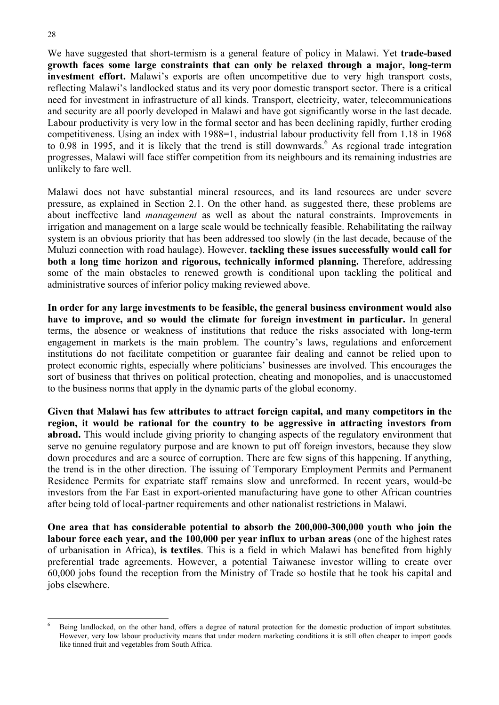We have suggested that short-termism is a general feature of policy in Malawi. Yet **trade-based growth faces some large constraints that can only be relaxed through a major, long-term investment effort.** Malawi's exports are often uncompetitive due to very high transport costs, reflecting Malawi's landlocked status and its very poor domestic transport sector. There is a critical need for investment in infrastructure of all kinds. Transport, electricity, water, telecommunications and security are all poorly developed in Malawi and have got significantly worse in the last decade. Labour productivity is very low in the formal sector and has been declining rapidly, further eroding competitiveness. Using an index with 1988=1, industrial labour productivity fell from 1.18 in 1968 to  $0.98$  in 1995, and it is likely that the trend is still downwards. As regional trade integration progresses, Malawi will face stiffer competition from its neighbours and its remaining industries are unlikely to fare well.

Malawi does not have substantial mineral resources, and its land resources are under severe pressure, as explained in Section 2.1. On the other hand, as suggested there, these problems are about ineffective land *management* as well as about the natural constraints. Improvements in irrigation and management on a large scale would be technically feasible. Rehabilitating the railway system is an obvious priority that has been addressed too slowly (in the last decade, because of the Muluzi connection with road haulage). However, **tackling these issues successfully would call for both a long time horizon and rigorous, technically informed planning.** Therefore, addressing some of the main obstacles to renewed growth is conditional upon tackling the political and administrative sources of inferior policy making reviewed above.

**In order for any large investments to be feasible, the general business environment would also have to improve, and so would the climate for foreign investment in particular.** In general terms, the absence or weakness of institutions that reduce the risks associated with long-term engagement in markets is the main problem. The country's laws, regulations and enforcement institutions do not facilitate competition or guarantee fair dealing and cannot be relied upon to protect economic rights, especially where politicians' businesses are involved. This encourages the sort of business that thrives on political protection, cheating and monopolies, and is unaccustomed to the business norms that apply in the dynamic parts of the global economy.

**Given that Malawi has few attributes to attract foreign capital, and many competitors in the region, it would be rational for the country to be aggressive in attracting investors from abroad.** This would include giving priority to changing aspects of the regulatory environment that serve no genuine regulatory purpose and are known to put off foreign investors, because they slow down procedures and are a source of corruption. There are few signs of this happening. If anything, the trend is in the other direction. The issuing of Temporary Employment Permits and Permanent Residence Permits for expatriate staff remains slow and unreformed. In recent years, would-be investors from the Far East in export-oriented manufacturing have gone to other African countries after being told of local-partner requirements and other nationalist restrictions in Malawi.

**One area that has considerable potential to absorb the 200,000-300,000 youth who join the labour force each year, and the 100,000 per year influx to urban areas** (one of the highest rates of urbanisation in Africa), **is textiles**. This is a field in which Malawi has benefited from highly preferential trade agreements. However, a potential Taiwanese investor willing to create over 60,000 jobs found the reception from the Ministry of Trade so hostile that he took his capital and jobs elsewhere.

l <sup>6</sup> Being landlocked, on the other hand, offers a degree of natural protection for the domestic production of import substitutes. However, very low labour productivity means that under modern marketing conditions it is still often cheaper to import goods like tinned fruit and vegetables from South Africa.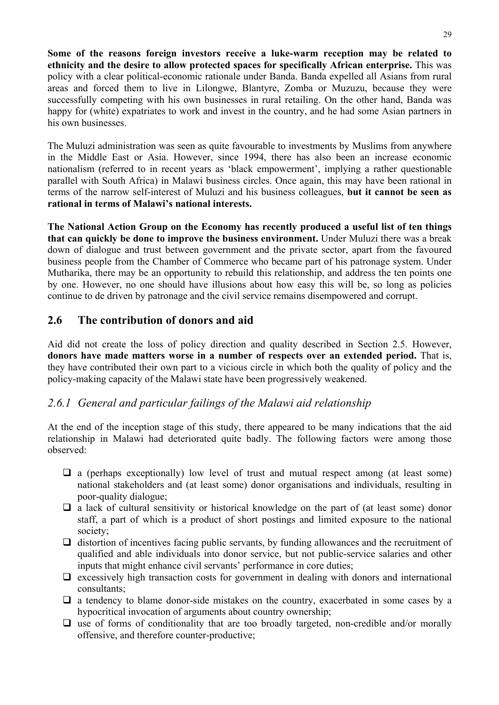**Some of the reasons foreign investors receive a luke-warm reception may be related to ethnicity and the desire to allow protected spaces for specifically African enterprise.** This was policy with a clear political-economic rationale under Banda. Banda expelled all Asians from rural areas and forced them to live in Lilongwe, Blantyre, Zomba or Muzuzu, because they were successfully competing with his own businesses in rural retailing. On the other hand, Banda was happy for (white) expatriates to work and invest in the country, and he had some Asian partners in his own businesses.

The Muluzi administration was seen as quite favourable to investments by Muslims from anywhere in the Middle East or Asia. However, since 1994, there has also been an increase economic nationalism (referred to in recent years as 'black empowerment', implying a rather questionable parallel with South Africa) in Malawi business circles. Once again, this may have been rational in terms of the narrow self-interest of Muluzi and his business colleagues, **but it cannot be seen as rational in terms of Malawi's national interests.** 

**The National Action Group on the Economy has recently produced a useful list of ten things that can quickly be done to improve the business environment.** Under Muluzi there was a break down of dialogue and trust between government and the private sector, apart from the favoured business people from the Chamber of Commerce who became part of his patronage system. Under Mutharika, there may be an opportunity to rebuild this relationship, and address the ten points one by one. However, no one should have illusions about how easy this will be, so long as policies continue to de driven by patronage and the civil service remains disempowered and corrupt.

# **2.6 The contribution of donors and aid**

Aid did not create the loss of policy direction and quality described in Section 2.5. However, **donors have made matters worse in a number of respects over an extended period.** That is, they have contributed their own part to a vicious circle in which both the quality of policy and the policy-making capacity of the Malawi state have been progressively weakened.

# *2.6.1 General and particular failings of the Malawi aid relationship*

At the end of the inception stage of this study, there appeared to be many indications that the aid relationship in Malawi had deteriorated quite badly. The following factors were among those observed:

- $\Box$  a (perhaps exceptionally) low level of trust and mutual respect among (at least some) national stakeholders and (at least some) donor organisations and individuals, resulting in poor-quality dialogue;
- $\Box$  a lack of cultural sensitivity or historical knowledge on the part of (at least some) donor staff, a part of which is a product of short postings and limited exposure to the national society;
- $\Box$  distortion of incentives facing public servants, by funding allowances and the recruitment of qualified and able individuals into donor service, but not public-service salaries and other inputs that might enhance civil servants' performance in core duties;
- $\Box$  excessively high transaction costs for government in dealing with donors and international consultants;
- $\Box$  a tendency to blame donor-side mistakes on the country, exacerbated in some cases by a hypocritical invocation of arguments about country ownership;
- $\Box$  use of forms of conditionality that are too broadly targeted, non-credible and/or morally offensive, and therefore counter-productive;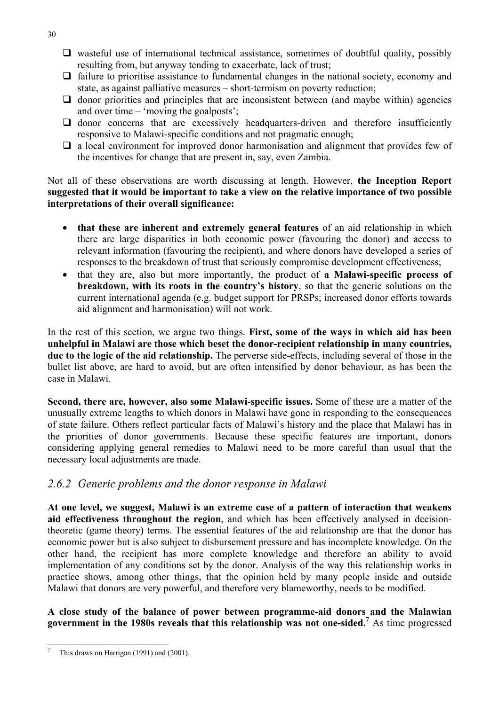- $\Box$  wasteful use of international technical assistance, sometimes of doubtful quality, possibly resulting from, but anyway tending to exacerbate, lack of trust;
- $\Box$  failure to prioritise assistance to fundamental changes in the national society, economy and state, as against palliative measures – short-termism on poverty reduction;
- $\Box$  donor priorities and principles that are inconsistent between (and maybe within) agencies and over time – 'moving the goalposts';
- $\Box$  donor concerns that are excessively headquarters-driven and therefore insufficiently responsive to Malawi-specific conditions and not pragmatic enough;
- $\Box$  a local environment for improved donor harmonisation and alignment that provides few of the incentives for change that are present in, say, even Zambia.

Not all of these observations are worth discussing at length. However, **the Inception Report suggested that it would be important to take a view on the relative importance of two possible interpretations of their overall significance:** 

- **that these are inherent and extremely general features** of an aid relationship in which there are large disparities in both economic power (favouring the donor) and access to relevant information (favouring the recipient), and where donors have developed a series of responses to the breakdown of trust that seriously compromise development effectiveness;
- that they are, also but more importantly, the product of **a Malawi-specific process of breakdown, with its roots in the country's history**, so that the generic solutions on the current international agenda (e.g. budget support for PRSPs; increased donor efforts towards aid alignment and harmonisation) will not work.

In the rest of this section, we argue two things. **First, some of the ways in which aid has been unhelpful in Malawi are those which beset the donor-recipient relationship in many countries, due to the logic of the aid relationship.** The perverse side-effects, including several of those in the bullet list above, are hard to avoid, but are often intensified by donor behaviour, as has been the case in Malawi.

**Second, there are, however, also some Malawi-specific issues.** Some of these are a matter of the unusually extreme lengths to which donors in Malawi have gone in responding to the consequences of state failure. Others reflect particular facts of Malawi's history and the place that Malawi has in the priorities of donor governments. Because these specific features are important, donors considering applying general remedies to Malawi need to be more careful than usual that the necessary local adjustments are made.

# *2.6.2 Generic problems and the donor response in Malawi*

**At one level, we suggest, Malawi is an extreme case of a pattern of interaction that weakens aid effectiveness throughout the region**, and which has been effectively analysed in decisiontheoretic (game theory) terms. The essential features of the aid relationship are that the donor has economic power but is also subject to disbursement pressure and has incomplete knowledge. On the other hand, the recipient has more complete knowledge and therefore an ability to avoid implementation of any conditions set by the donor. Analysis of the way this relationship works in practice shows, among other things, that the opinion held by many people inside and outside Malawi that donors are very powerful, and therefore very blameworthy, needs to be modified.

**A close study of the balance of power between programme-aid donors and the Malawian**  government in the 1980s reveals that this relationship was not one-sided.<sup>7</sup> As time progressed

30

l 7 This draws on Harrigan (1991) and (2001).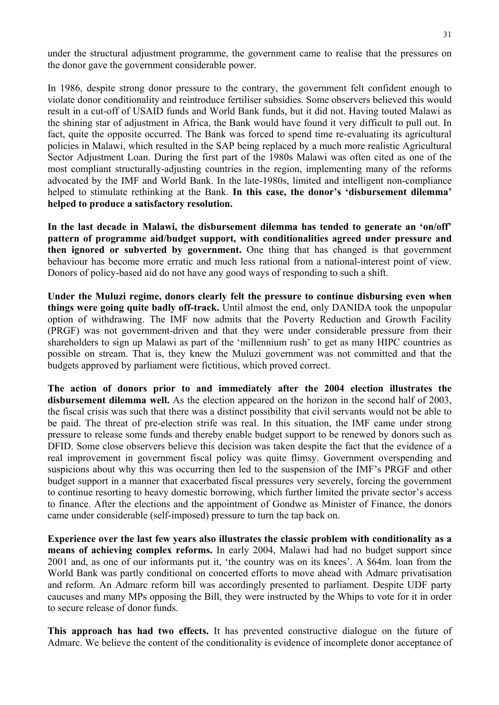under the structural adjustment programme, the government came to realise that the pressures on the donor gave the government considerable power.

In 1986, despite strong donor pressure to the contrary, the government felt confident enough to violate donor conditionality and reintroduce fertiliser subsidies. Some observers believed this would result in a cut-off of USAID funds and World Bank funds, but it did not. Having touted Malawi as the shining star of adjustment in Africa, the Bank would have found it very difficult to pull out. In fact, quite the opposite occurred. The Bank was forced to spend time re-evaluating its agricultural policies in Malawi, which resulted in the SAP being replaced by a much more realistic Agricultural Sector Adjustment Loan. During the first part of the 1980s Malawi was often cited as one of the most compliant structurally-adjusting countries in the region, implementing many of the reforms advocated by the IMF and World Bank. In the late-1980s, limited and intelligent non-compliance helped to stimulate rethinking at the Bank. **In this case, the donor's 'disbursement dilemma' helped to produce a satisfactory resolution.**

**In the last decade in Malawi, the disbursement dilemma has tended to generate an 'on/off' pattern of programme aid/budget support, with conditionalities agreed under pressure and then ignored or subverted by government.** One thing that has changed is that government behaviour has become more erratic and much less rational from a national-interest point of view. Donors of policy-based aid do not have any good ways of responding to such a shift.

**Under the Muluzi regime, donors clearly felt the pressure to continue disbursing even when things were going quite badly off-track.** Until almost the end, only DANIDA took the unpopular option of withdrawing. The IMF now admits that the Poverty Reduction and Growth Facility (PRGF) was not government-driven and that they were under considerable pressure from their shareholders to sign up Malawi as part of the 'millennium rush' to get as many HIPC countries as possible on stream. That is, they knew the Muluzi government was not committed and that the budgets approved by parliament were fictitious, which proved correct.

**The action of donors prior to and immediately after the 2004 election illustrates the disbursement dilemma well.** As the election appeared on the horizon in the second half of 2003, the fiscal crisis was such that there was a distinct possibility that civil servants would not be able to be paid. The threat of pre-election strife was real. In this situation, the IMF came under strong pressure to release some funds and thereby enable budget support to be renewed by donors such as DFID. Some close observers believe this decision was taken despite the fact that the evidence of a real improvement in government fiscal policy was quite flimsy. Government overspending and suspicions about why this was occurring then led to the suspension of the IMF's PRGF and other budget support in a manner that exacerbated fiscal pressures very severely, forcing the government to continue resorting to heavy domestic borrowing, which further limited the private sector's access to finance. After the elections and the appointment of Gondwe as Minister of Finance, the donors came under considerable (self-imposed) pressure to turn the tap back on.

**Experience over the last few years also illustrates the classic problem with conditionality as a means of achieving complex reforms.** In early 2004, Malawi had had no budget support since 2001 and, as one of our informants put it, 'the country was on its knees'. A \$64m. loan from the World Bank was partly conditional on concerted efforts to move ahead with Admarc privatisation and reform. An Admarc reform bill was accordingly presented to parliament. Despite UDF party caucuses and many MPs opposing the Bill, they were instructed by the Whips to vote for it in order to secure release of donor funds.

**This approach has had two effects.** It has prevented constructive dialogue on the future of Admarc. We believe the content of the conditionality is evidence of incomplete donor acceptance of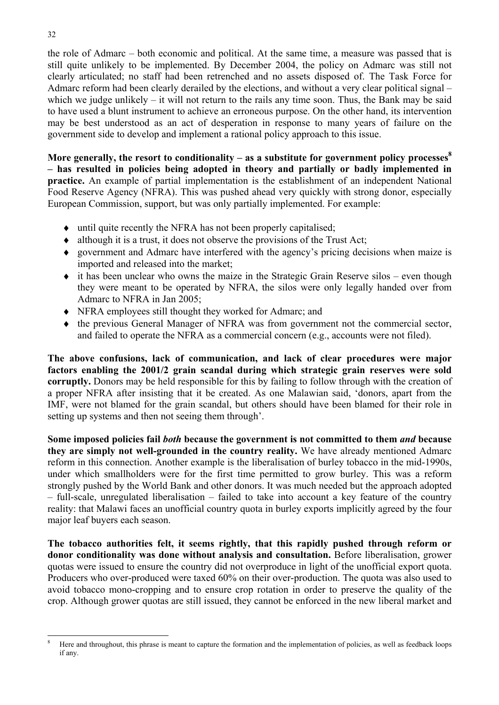the role of Admarc – both economic and political. At the same time, a measure was passed that is still quite unlikely to be implemented. By December 2004, the policy on Admarc was still not clearly articulated; no staff had been retrenched and no assets disposed of. The Task Force for Admarc reform had been clearly derailed by the elections, and without a very clear political signal – which we judge unlikely – it will not return to the rails any time soon. Thus, the Bank may be said to have used a blunt instrument to achieve an erroneous purpose. On the other hand, its intervention may be best understood as an act of desperation in response to many years of failure on the government side to develop and implement a rational policy approach to this issue.

More generally, the resort to conditionality – as a substitute for government policy processes<sup>8</sup> **– has resulted in policies being adopted in theory and partially or badly implemented in practice.** An example of partial implementation is the establishment of an independent National Food Reserve Agency (NFRA). This was pushed ahead very quickly with strong donor, especially European Commission, support, but was only partially implemented. For example:

- ♦ until quite recently the NFRA has not been properly capitalised;
- ♦ although it is a trust, it does not observe the provisions of the Trust Act;
- ♦ government and Admarc have interfered with the agency's pricing decisions when maize is imported and released into the market;
- $\bullet$  it has been unclear who owns the maize in the Strategic Grain Reserve silos even though they were meant to be operated by NFRA, the silos were only legally handed over from Admarc to NFRA in Jan 2005;
- ♦ NFRA employees still thought they worked for Admarc; and
- ♦ the previous General Manager of NFRA was from government not the commercial sector, and failed to operate the NFRA as a commercial concern (e.g., accounts were not filed).

**The above confusions, lack of communication, and lack of clear procedures were major factors enabling the 2001/2 grain scandal during which strategic grain reserves were sold corruptly.** Donors may be held responsible for this by failing to follow through with the creation of a proper NFRA after insisting that it be created. As one Malawian said, 'donors, apart from the IMF, were not blamed for the grain scandal, but others should have been blamed for their role in setting up systems and then not seeing them through'.

**Some imposed policies fail** *both* **because the government is not committed to them** *and* **because they are simply not well-grounded in the country reality.** We have already mentioned Admarc reform in this connection. Another example is the liberalisation of burley tobacco in the mid-1990s, under which smallholders were for the first time permitted to grow burley. This was a reform strongly pushed by the World Bank and other donors. It was much needed but the approach adopted – full-scale, unregulated liberalisation – failed to take into account a key feature of the country reality: that Malawi faces an unofficial country quota in burley exports implicitly agreed by the four major leaf buyers each season.

**The tobacco authorities felt, it seems rightly, that this rapidly pushed through reform or donor conditionality was done without analysis and consultation.** Before liberalisation, grower quotas were issued to ensure the country did not overproduce in light of the unofficial export quota. Producers who over-produced were taxed 60% on their over-production. The quota was also used to avoid tobacco mono-cropping and to ensure crop rotation in order to preserve the quality of the crop. Although grower quotas are still issued, they cannot be enforced in the new liberal market and

l

<sup>8</sup> Here and throughout, this phrase is meant to capture the formation and the implementation of policies, as well as feedback loops if any.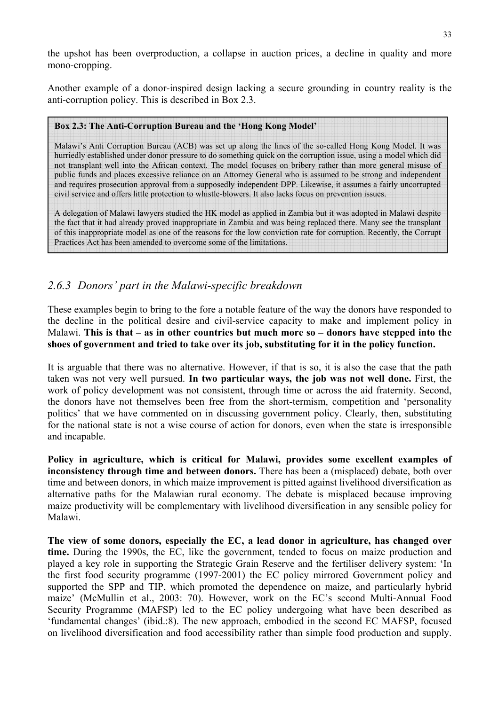the upshot has been overproduction, a collapse in auction prices, a decline in quality and more mono-cropping.

Another example of a donor-inspired design lacking a secure grounding in country reality is the anti-corruption policy. This is described in Box 2.3.

#### **Box 2.3: The Anti-Corruption Bureau and the 'Hong Kong Model'**

Malawi's Anti Corruption Bureau (ACB) was set up along the lines of the so-called Hong Kong Model. It was hurriedly established under donor pressure to do something quick on the corruption issue, using a model which did not transplant well into the African context. The model focuses on bribery rather than more general misuse of public funds and places excessive reliance on an Attorney General who is assumed to be strong and independent and requires prosecution approval from a supposedly independent DPP. Likewise, it assumes a fairly uncorrupted civil service and offers little protection to whistle-blowers. It also lacks focus on prevention issues.

A delegation of Malawi lawyers studied the HK model as applied in Zambia but it was adopted in Malawi despite the fact that it had already proved inappropriate in Zambia and was being replaced there. Many see the transplant of this inappropriate model as one of the reasons for the low conviction rate for corruption. Recently, the Corrupt Practices Act has been amended to overcome some of the limitations.

# *2.6.3 Donors' part in the Malawi-specific breakdown*

These examples begin to bring to the fore a notable feature of the way the donors have responded to the decline in the political desire and civil-service capacity to make and implement policy in Malawi. **This is that – as in other countries but much more so – donors have stepped into the shoes of government and tried to take over its job, substituting for it in the policy function.** 

It is arguable that there was no alternative. However, if that is so, it is also the case that the path taken was not very well pursued. **In two particular ways, the job was not well done.** First, the work of policy development was not consistent, through time or across the aid fraternity. Second, the donors have not themselves been free from the short-termism, competition and 'personality politics' that we have commented on in discussing government policy. Clearly, then, substituting for the national state is not a wise course of action for donors, even when the state is irresponsible and incapable.

**Policy in agriculture, which is critical for Malawi, provides some excellent examples of inconsistency through time and between donors.** There has been a (misplaced) debate, both over time and between donors, in which maize improvement is pitted against livelihood diversification as alternative paths for the Malawian rural economy. The debate is misplaced because improving maize productivity will be complementary with livelihood diversification in any sensible policy for Malawi.

**The view of some donors, especially the EC, a lead donor in agriculture, has changed over time.** During the 1990s, the EC, like the government, tended to focus on maize production and played a key role in supporting the Strategic Grain Reserve and the fertiliser delivery system: 'In the first food security programme (1997-2001) the EC policy mirrored Government policy and supported the SPP and TIP, which promoted the dependence on maize, and particularly hybrid maize' (McMullin et al., 2003: 70). However, work on the EC's second Multi-Annual Food Security Programme (MAFSP) led to the EC policy undergoing what have been described as 'fundamental changes' (ibid.:8). The new approach, embodied in the second EC MAFSP, focused on livelihood diversification and food accessibility rather than simple food production and supply.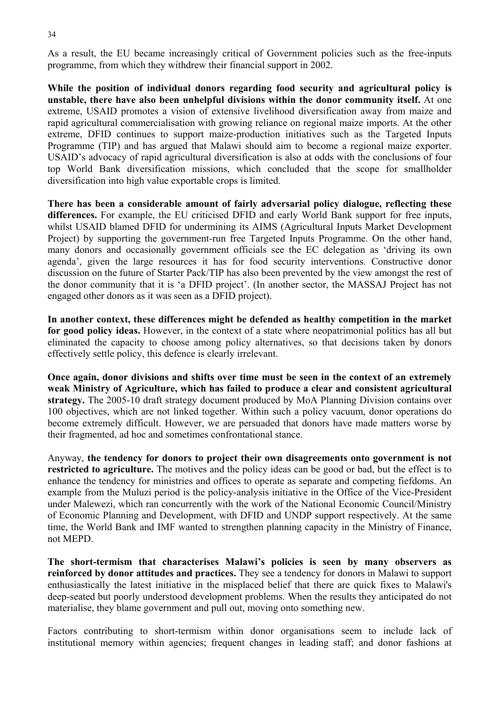As a result, the EU became increasingly critical of Government policies such as the free-inputs programme, from which they withdrew their financial support in 2002.

**While the position of individual donors regarding food security and agricultural policy is unstable, there have also been unhelpful divisions within the donor community itself.** At one extreme, USAID promotes a vision of extensive livelihood diversification away from maize and rapid agricultural commercialisation with growing reliance on regional maize imports. At the other extreme, DFID continues to support maize-production initiatives such as the Targeted Inputs Programme (TIP) and has argued that Malawi should aim to become a regional maize exporter. USAID's advocacy of rapid agricultural diversification is also at odds with the conclusions of four top World Bank diversification missions, which concluded that the scope for smallholder diversification into high value exportable crops is limited.

**There has been a considerable amount of fairly adversarial policy dialogue, reflecting these differences.** For example, the EU criticised DFID and early World Bank support for free inputs, whilst USAID blamed DFID for undermining its AIMS (Agricultural Inputs Market Development Project) by supporting the government-run free Targeted Inputs Programme. On the other hand, many donors and occasionally government officials see the EC delegation as 'driving its own agenda', given the large resources it has for food security interventions. Constructive donor discussion on the future of Starter Pack/TIP has also been prevented by the view amongst the rest of the donor community that it is 'a DFID project'. (In another sector, the MASSAJ Project has not engaged other donors as it was seen as a DFID project).

**In another context, these differences might be defended as healthy competition in the market for good policy ideas.** However, in the context of a state where neopatrimonial politics has all but eliminated the capacity to choose among policy alternatives, so that decisions taken by donors effectively settle policy, this defence is clearly irrelevant.

**Once again, donor divisions and shifts over time must be seen in the context of an extremely weak Ministry of Agriculture, which has failed to produce a clear and consistent agricultural strategy.** The 2005-10 draft strategy document produced by MoA Planning Division contains over 100 objectives, which are not linked together. Within such a policy vacuum, donor operations do become extremely difficult. However, we are persuaded that donors have made matters worse by their fragmented, ad hoc and sometimes confrontational stance.

Anyway, **the tendency for donors to project their own disagreements onto government is not restricted to agriculture.** The motives and the policy ideas can be good or bad, but the effect is to enhance the tendency for ministries and offices to operate as separate and competing fiefdoms. An example from the Muluzi period is the policy-analysis initiative in the Office of the Vice-President under Malewezi, which ran concurrently with the work of the National Economic Council/Ministry of Economic Planning and Development, with DFID and UNDP support respectively. At the same time, the World Bank and IMF wanted to strengthen planning capacity in the Ministry of Finance, not MEPD.

**The short-termism that characterises Malawi's policies is seen by many observers as reinforced by donor attitudes and practices.** They see a tendency for donors in Malawi to support enthusiastically the latest initiative in the misplaced belief that there are quick fixes to Malawi's deep-seated but poorly understood development problems. When the results they anticipated do not materialise, they blame government and pull out, moving onto something new.

Factors contributing to short-termism within donor organisations seem to include lack of institutional memory within agencies; frequent changes in leading staff; and donor fashions at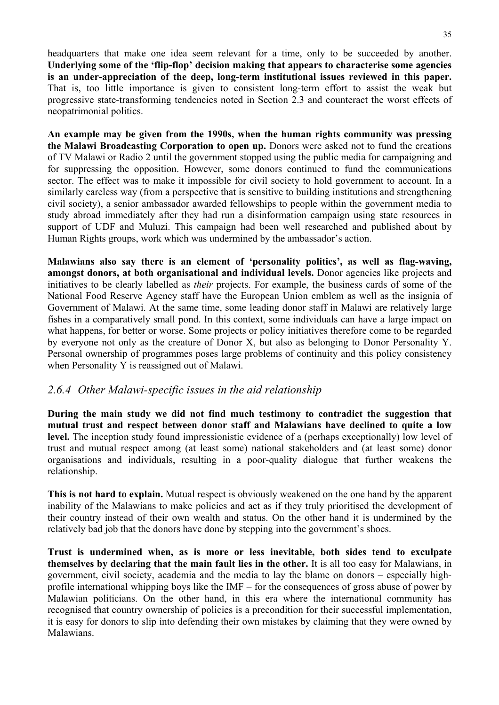headquarters that make one idea seem relevant for a time, only to be succeeded by another. **Underlying some of the 'flip-flop' decision making that appears to characterise some agencies is an under-appreciation of the deep, long-term institutional issues reviewed in this paper.** That is, too little importance is given to consistent long-term effort to assist the weak but progressive state-transforming tendencies noted in Section 2.3 and counteract the worst effects of neopatrimonial politics.

**An example may be given from the 1990s, when the human rights community was pressing the Malawi Broadcasting Corporation to open up.** Donors were asked not to fund the creations of TV Malawi or Radio 2 until the government stopped using the public media for campaigning and for suppressing the opposition. However, some donors continued to fund the communications sector. The effect was to make it impossible for civil society to hold government to account. In a similarly careless way (from a perspective that is sensitive to building institutions and strengthening civil society), a senior ambassador awarded fellowships to people within the government media to study abroad immediately after they had run a disinformation campaign using state resources in support of UDF and Muluzi. This campaign had been well researched and published about by Human Rights groups, work which was undermined by the ambassador's action.

**Malawians also say there is an element of 'personality politics', as well as flag-waving, amongst donors, at both organisational and individual levels.** Donor agencies like projects and initiatives to be clearly labelled as *their* projects. For example, the business cards of some of the National Food Reserve Agency staff have the European Union emblem as well as the insignia of Government of Malawi. At the same time, some leading donor staff in Malawi are relatively large fishes in a comparatively small pond. In this context, some individuals can have a large impact on what happens, for better or worse. Some projects or policy initiatives therefore come to be regarded by everyone not only as the creature of Donor X, but also as belonging to Donor Personality Y. Personal ownership of programmes poses large problems of continuity and this policy consistency when Personality Y is reassigned out of Malawi.

#### *2.6.4 Other Malawi-specific issues in the aid relationship*

**During the main study we did not find much testimony to contradict the suggestion that mutual trust and respect between donor staff and Malawians have declined to quite a low**  level. The inception study found impressionistic evidence of a (perhaps exceptionally) low level of trust and mutual respect among (at least some) national stakeholders and (at least some) donor organisations and individuals, resulting in a poor-quality dialogue that further weakens the relationship.

**This is not hard to explain.** Mutual respect is obviously weakened on the one hand by the apparent inability of the Malawians to make policies and act as if they truly prioritised the development of their country instead of their own wealth and status. On the other hand it is undermined by the relatively bad job that the donors have done by stepping into the government's shoes.

**Trust is undermined when, as is more or less inevitable, both sides tend to exculpate themselves by declaring that the main fault lies in the other.** It is all too easy for Malawians, in government, civil society, academia and the media to lay the blame on donors – especially highprofile international whipping boys like the IMF – for the consequences of gross abuse of power by Malawian politicians. On the other hand, in this era where the international community has recognised that country ownership of policies is a precondition for their successful implementation, it is easy for donors to slip into defending their own mistakes by claiming that they were owned by Malawians.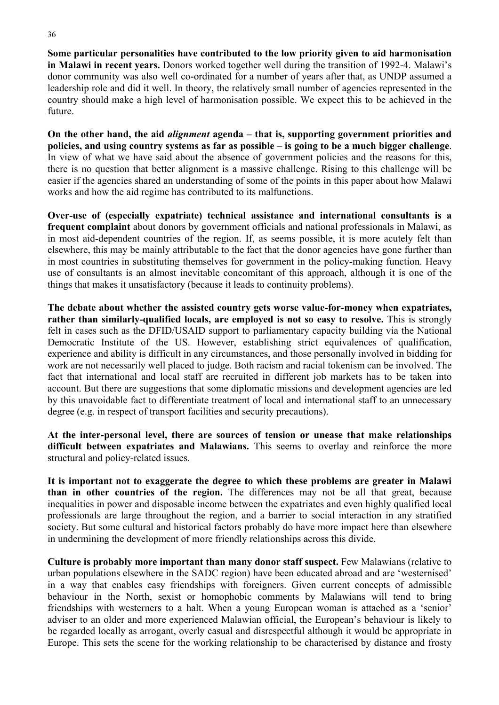**Some particular personalities have contributed to the low priority given to aid harmonisation in Malawi in recent years.** Donors worked together well during the transition of 1992-4. Malawi's donor community was also well co-ordinated for a number of years after that, as UNDP assumed a leadership role and did it well. In theory, the relatively small number of agencies represented in the country should make a high level of harmonisation possible. We expect this to be achieved in the future.

**On the other hand, the aid** *alignment* **agenda – that is, supporting government priorities and policies, and using country systems as far as possible – is going to be a much bigger challenge**. In view of what we have said about the absence of government policies and the reasons for this, there is no question that better alignment is a massive challenge. Rising to this challenge will be easier if the agencies shared an understanding of some of the points in this paper about how Malawi works and how the aid regime has contributed to its malfunctions.

**Over-use of (especially expatriate) technical assistance and international consultants is a frequent complaint** about donors by government officials and national professionals in Malawi, as in most aid-dependent countries of the region. If, as seems possible, it is more acutely felt than elsewhere, this may be mainly attributable to the fact that the donor agencies have gone further than in most countries in substituting themselves for government in the policy-making function. Heavy use of consultants is an almost inevitable concomitant of this approach, although it is one of the things that makes it unsatisfactory (because it leads to continuity problems).

**The debate about whether the assisted country gets worse value-for-money when expatriates, rather than similarly-qualified locals, are employed is not so easy to resolve.** This is strongly felt in cases such as the DFID/USAID support to parliamentary capacity building via the National Democratic Institute of the US. However, establishing strict equivalences of qualification, experience and ability is difficult in any circumstances, and those personally involved in bidding for work are not necessarily well placed to judge. Both racism and racial tokenism can be involved. The fact that international and local staff are recruited in different job markets has to be taken into account. But there are suggestions that some diplomatic missions and development agencies are led by this unavoidable fact to differentiate treatment of local and international staff to an unnecessary degree (e.g. in respect of transport facilities and security precautions).

**At the inter-personal level, there are sources of tension or unease that make relationships difficult between expatriates and Malawians.** This seems to overlay and reinforce the more structural and policy-related issues.

**It is important not to exaggerate the degree to which these problems are greater in Malawi than in other countries of the region.** The differences may not be all that great, because inequalities in power and disposable income between the expatriates and even highly qualified local professionals are large throughout the region, and a barrier to social interaction in any stratified society. But some cultural and historical factors probably do have more impact here than elsewhere in undermining the development of more friendly relationships across this divide.

**Culture is probably more important than many donor staff suspect.** Few Malawians (relative to urban populations elsewhere in the SADC region) have been educated abroad and are 'westernised' in a way that enables easy friendships with foreigners. Given current concepts of admissible behaviour in the North, sexist or homophobic comments by Malawians will tend to bring friendships with westerners to a halt. When a young European woman is attached as a 'senior' adviser to an older and more experienced Malawian official, the European's behaviour is likely to be regarded locally as arrogant, overly casual and disrespectful although it would be appropriate in Europe. This sets the scene for the working relationship to be characterised by distance and frosty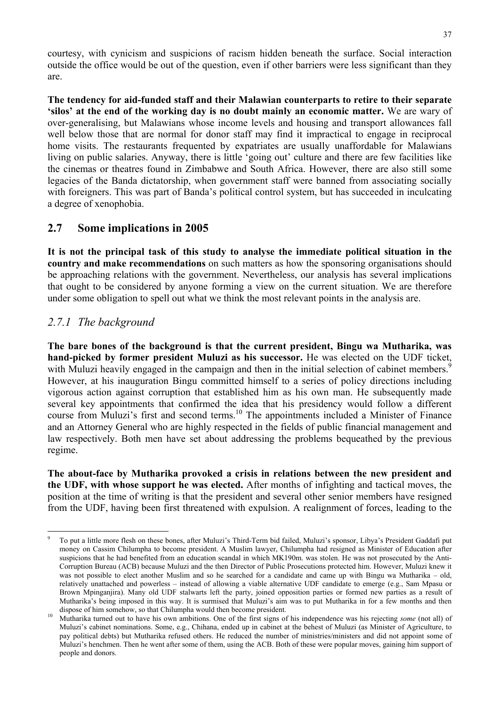courtesy, with cynicism and suspicions of racism hidden beneath the surface. Social interaction outside the office would be out of the question, even if other barriers were less significant than they are.

**The tendency for aid-funded staff and their Malawian counterparts to retire to their separate 'silos' at the end of the working day is no doubt mainly an economic matter.** We are wary of over-generalising, but Malawians whose income levels and housing and transport allowances fall well below those that are normal for donor staff may find it impractical to engage in reciprocal home visits. The restaurants frequented by expatriates are usually unaffordable for Malawians living on public salaries. Anyway, there is little 'going out' culture and there are few facilities like the cinemas or theatres found in Zimbabwe and South Africa. However, there are also still some legacies of the Banda dictatorship, when government staff were banned from associating socially with foreigners. This was part of Banda's political control system, but has succeeded in inculcating a degree of xenophobia.

#### **2.7 Some implications in 2005**

**It is not the principal task of this study to analyse the immediate political situation in the country and make recommendations** on such matters as how the sponsoring organisations should be approaching relations with the government. Nevertheless, our analysis has several implications that ought to be considered by anyone forming a view on the current situation. We are therefore under some obligation to spell out what we think the most relevant points in the analysis are.

#### *2.7.1 The background*

l

**The bare bones of the background is that the current president, Bingu wa Mutharika, was hand-picked by former president Muluzi as his successor.** He was elected on the UDF ticket, with Muluzi heavily engaged in the campaign and then in the initial selection of cabinet members.<sup>9</sup> However, at his inauguration Bingu committed himself to a series of policy directions including vigorous action against corruption that established him as his own man. He subsequently made several key appointments that confirmed the idea that his presidency would follow a different course from Muluzi's first and second terms.<sup>10</sup> The appointments included a Minister of Finance and an Attorney General who are highly respected in the fields of public financial management and law respectively. Both men have set about addressing the problems bequeathed by the previous regime.

**The about-face by Mutharika provoked a crisis in relations between the new president and the UDF, with whose support he was elected.** After months of infighting and tactical moves, the position at the time of writing is that the president and several other senior members have resigned from the UDF, having been first threatened with expulsion. A realignment of forces, leading to the

<sup>9</sup> To put a little more flesh on these bones, after Muluzi's Third-Term bid failed, Muluzi's sponsor, Libya's President Gaddafi put money on Cassim Chilumpha to become president. A Muslim lawyer, Chilumpha had resigned as Minister of Education after suspicions that he had benefited from an education scandal in which MK190m. was stolen. He was not prosecuted by the Anti-Corruption Bureau (ACB) because Muluzi and the then Director of Public Prosecutions protected him. However, Muluzi knew it was not possible to elect another Muslim and so he searched for a candidate and came up with Bingu wa Mutharika – old, relatively unattached and powerless – instead of allowing a viable alternative UDF candidate to emerge (e.g., Sam Mpasu or Brown Mpinganjira). Many old UDF stalwarts left the party, joined opposition parties or formed new parties as a result of Mutharika's being imposed in this way. It is surmised that Muluzi's aim was to put Mutharika in for a few months and then dispose of him somehow, so that Chilumpha would then become president.

Mutharika turned out to have his own ambitions. One of the first signs of his independence was his rejecting *some* (not all) of Muluzi's cabinet nominations. Some, e.g., Chihana, ended up in cabinet at the behest of Muluzi (as Minister of Agriculture, to pay political debts) but Mutharika refused others. He reduced the number of ministries/ministers and did not appoint some of Muluzi's henchmen. Then he went after some of them, using the ACB. Both of these were popular moves, gaining him support of people and donors.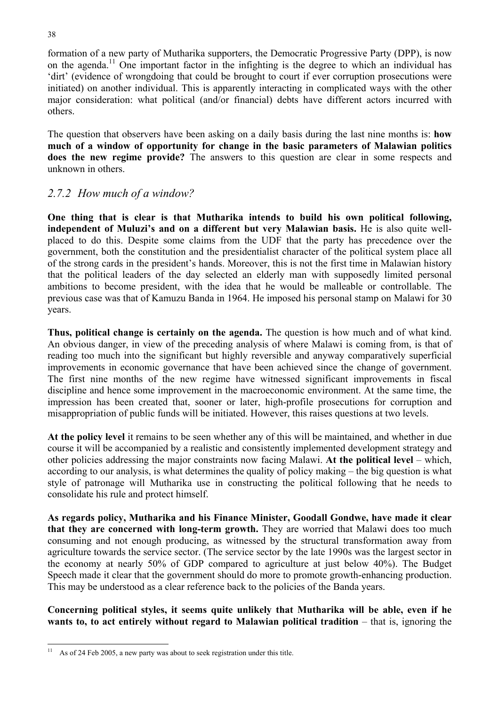formation of a new party of Mutharika supporters, the Democratic Progressive Party (DPP), is now on the agenda.<sup>11</sup> One important factor in the infighting is the degree to which an individual has 'dirt' (evidence of wrongdoing that could be brought to court if ever corruption prosecutions were initiated) on another individual. This is apparently interacting in complicated ways with the other major consideration: what political (and/or financial) debts have different actors incurred with others.

The question that observers have been asking on a daily basis during the last nine months is: **how much of a window of opportunity for change in the basic parameters of Malawian politics does the new regime provide?** The answers to this question are clear in some respects and unknown in others.

#### *2.7.2 How much of a window?*

**One thing that is clear is that Mutharika intends to build his own political following, independent of Muluzi's and on a different but very Malawian basis.** He is also quite wellplaced to do this. Despite some claims from the UDF that the party has precedence over the government, both the constitution and the presidentialist character of the political system place all of the strong cards in the president's hands. Moreover, this is not the first time in Malawian history that the political leaders of the day selected an elderly man with supposedly limited personal ambitions to become president, with the idea that he would be malleable or controllable. The previous case was that of Kamuzu Banda in 1964. He imposed his personal stamp on Malawi for 30 years.

**Thus, political change is certainly on the agenda.** The question is how much and of what kind. An obvious danger, in view of the preceding analysis of where Malawi is coming from, is that of reading too much into the significant but highly reversible and anyway comparatively superficial improvements in economic governance that have been achieved since the change of government. The first nine months of the new regime have witnessed significant improvements in fiscal discipline and hence some improvement in the macroeconomic environment. At the same time, the impression has been created that, sooner or later, high-profile prosecutions for corruption and misappropriation of public funds will be initiated. However, this raises questions at two levels.

**At the policy level** it remains to be seen whether any of this will be maintained, and whether in due course it will be accompanied by a realistic and consistently implemented development strategy and other policies addressing the major constraints now facing Malawi. **At the political level** – which, according to our analysis, is what determines the quality of policy making – the big question is what style of patronage will Mutharika use in constructing the political following that he needs to consolidate his rule and protect himself.

**As regards policy, Mutharika and his Finance Minister, Goodall Gondwe, have made it clear that they are concerned with long-term growth.** They are worried that Malawi does too much consuming and not enough producing, as witnessed by the structural transformation away from agriculture towards the service sector. (The service sector by the late 1990s was the largest sector in the economy at nearly 50% of GDP compared to agriculture at just below 40%). The Budget Speech made it clear that the government should do more to promote growth-enhancing production. This may be understood as a clear reference back to the policies of the Banda years.

**Concerning political styles, it seems quite unlikely that Mutharika will be able, even if he wants to, to act entirely without regard to Malawian political tradition** – that is, ignoring the

l  $11$  As of 24 Feb 2005, a new party was about to seek registration under this title.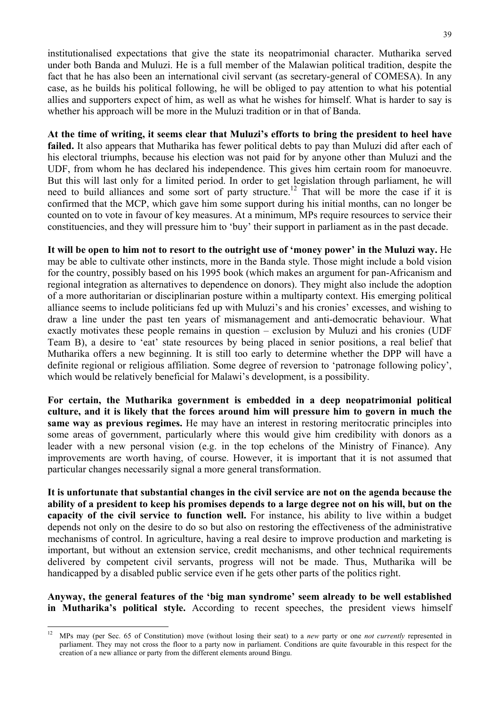institutionalised expectations that give the state its neopatrimonial character. Mutharika served under both Banda and Muluzi. He is a full member of the Malawian political tradition, despite the fact that he has also been an international civil servant (as secretary-general of COMESA). In any case, as he builds his political following, he will be obliged to pay attention to what his potential allies and supporters expect of him, as well as what he wishes for himself. What is harder to say is whether his approach will be more in the Muluzi tradition or in that of Banda.

**At the time of writing, it seems clear that Muluzi's efforts to bring the president to heel have failed.** It also appears that Mutharika has fewer political debts to pay than Muluzi did after each of his electoral triumphs, because his election was not paid for by anyone other than Muluzi and the UDF, from whom he has declared his independence. This gives him certain room for manoeuvre. But this will last only for a limited period. In order to get legislation through parliament, he will need to build alliances and some sort of party structure.<sup>12</sup> That will be more the case if it is confirmed that the MCP, which gave him some support during his initial months, can no longer be counted on to vote in favour of key measures. At a minimum, MPs require resources to service their constituencies, and they will pressure him to 'buy' their support in parliament as in the past decade.

**It will be open to him not to resort to the outright use of 'money power' in the Muluzi way.** He may be able to cultivate other instincts, more in the Banda style. Those might include a bold vision for the country, possibly based on his 1995 book (which makes an argument for pan-Africanism and regional integration as alternatives to dependence on donors). They might also include the adoption of a more authoritarian or disciplinarian posture within a multiparty context. His emerging political alliance seems to include politicians fed up with Muluzi's and his cronies' excesses, and wishing to draw a line under the past ten years of mismanagement and anti-democratic behaviour. What exactly motivates these people remains in question – exclusion by Muluzi and his cronies (UDF Team B), a desire to 'eat' state resources by being placed in senior positions, a real belief that Mutharika offers a new beginning. It is still too early to determine whether the DPP will have a definite regional or religious affiliation. Some degree of reversion to 'patronage following policy', which would be relatively beneficial for Malawi's development, is a possibility.

**For certain, the Mutharika government is embedded in a deep neopatrimonial political culture, and it is likely that the forces around him will pressure him to govern in much the same way as previous regimes.** He may have an interest in restoring meritocratic principles into some areas of government, particularly where this would give him credibility with donors as a leader with a new personal vision (e.g. in the top echelons of the Ministry of Finance). Any improvements are worth having, of course. However, it is important that it is not assumed that particular changes necessarily signal a more general transformation.

**It is unfortunate that substantial changes in the civil service are not on the agenda because the ability of a president to keep his promises depends to a large degree not on his will, but on the capacity of the civil service to function well.** For instance, his ability to live within a budget depends not only on the desire to do so but also on restoring the effectiveness of the administrative mechanisms of control. In agriculture, having a real desire to improve production and marketing is important, but without an extension service, credit mechanisms, and other technical requirements delivered by competent civil servants, progress will not be made. Thus, Mutharika will be handicapped by a disabled public service even if he gets other parts of the politics right.

**Anyway, the general features of the 'big man syndrome' seem already to be well established in Mutharika's political style.** According to recent speeches, the president views himself

 $12$ 12 MPs may (per Sec. 65 of Constitution) move (without losing their seat) to a *new* party or one *not currently* represented in parliament. They may not cross the floor to a party now in parliament. Conditions are quite favourable in this respect for the creation of a new alliance or party from the different elements around Bingu.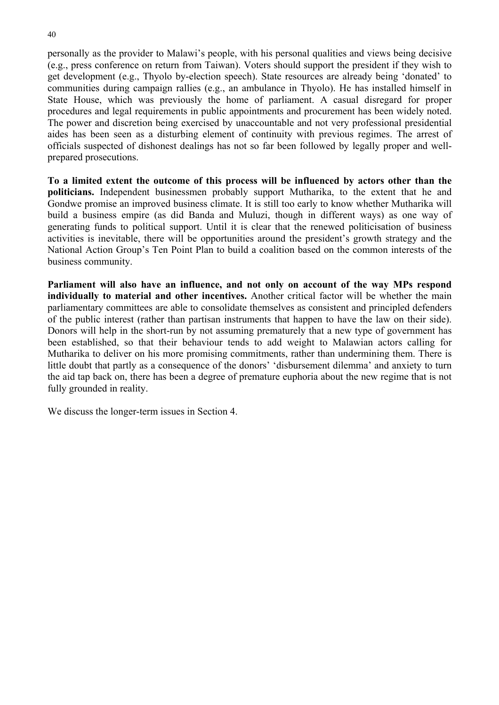personally as the provider to Malawi's people, with his personal qualities and views being decisive (e.g., press conference on return from Taiwan). Voters should support the president if they wish to get development (e.g., Thyolo by-election speech). State resources are already being 'donated' to communities during campaign rallies (e.g., an ambulance in Thyolo). He has installed himself in State House, which was previously the home of parliament. A casual disregard for proper procedures and legal requirements in public appointments and procurement has been widely noted. The power and discretion being exercised by unaccountable and not very professional presidential aides has been seen as a disturbing element of continuity with previous regimes. The arrest of officials suspected of dishonest dealings has not so far been followed by legally proper and wellprepared prosecutions.

**To a limited extent the outcome of this process will be influenced by actors other than the politicians.** Independent businessmen probably support Mutharika, to the extent that he and Gondwe promise an improved business climate. It is still too early to know whether Mutharika will build a business empire (as did Banda and Muluzi, though in different ways) as one way of generating funds to political support. Until it is clear that the renewed politicisation of business activities is inevitable, there will be opportunities around the president's growth strategy and the National Action Group's Ten Point Plan to build a coalition based on the common interests of the business community.

**Parliament will also have an influence, and not only on account of the way MPs respond individually to material and other incentives.** Another critical factor will be whether the main parliamentary committees are able to consolidate themselves as consistent and principled defenders of the public interest (rather than partisan instruments that happen to have the law on their side). Donors will help in the short-run by not assuming prematurely that a new type of government has been established, so that their behaviour tends to add weight to Malawian actors calling for Mutharika to deliver on his more promising commitments, rather than undermining them. There is little doubt that partly as a consequence of the donors' 'disbursement dilemma' and anxiety to turn the aid tap back on, there has been a degree of premature euphoria about the new regime that is not fully grounded in reality.

We discuss the longer-term issues in Section 4.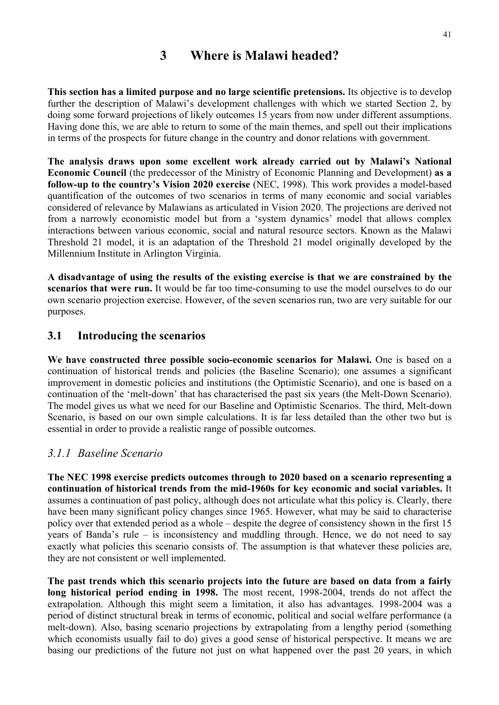# **3 Where is Malawi headed?**

**This section has a limited purpose and no large scientific pretensions.** Its objective is to develop further the description of Malawi's development challenges with which we started Section 2, by doing some forward projections of likely outcomes 15 years from now under different assumptions. Having done this, we are able to return to some of the main themes, and spell out their implications in terms of the prospects for future change in the country and donor relations with government.

**The analysis draws upon some excellent work already carried out by Malawi's National Economic Council** (the predecessor of the Ministry of Economic Planning and Development) **as a follow-up to the country's Vision 2020 exercise** (NEC, 1998). This work provides a model-based quantification of the outcomes of two scenarios in terms of many economic and social variables considered of relevance by Malawians as articulated in Vision 2020. The projections are derived not from a narrowly economistic model but from a 'system dynamics' model that allows complex interactions between various economic, social and natural resource sectors. Known as the Malawi Threshold 21 model, it is an adaptation of the Threshold 21 model originally developed by the Millennium Institute in Arlington Virginia.

**A disadvantage of using the results of the existing exercise is that we are constrained by the scenarios that were run.** It would be far too time-consuming to use the model ourselves to do our own scenario projection exercise. However, of the seven scenarios run, two are very suitable for our purposes.

#### **3.1 Introducing the scenarios**

**We have constructed three possible socio-economic scenarios for Malawi.** One is based on a continuation of historical trends and policies (the Baseline Scenario); one assumes a significant improvement in domestic policies and institutions (the Optimistic Scenario), and one is based on a continuation of the 'melt-down' that has characterised the past six years (the Melt-Down Scenario). The model gives us what we need for our Baseline and Optimistic Scenarios. The third, Melt-down Scenario, is based on our own simple calculations. It is far less detailed than the other two but is essential in order to provide a realistic range of possible outcomes.

#### *3.1.1 Baseline Scenario*

**The NEC 1998 exercise predicts outcomes through to 2020 based on a scenario representing a continuation of historical trends from the mid-1960s for key economic and social variables.** It assumes a continuation of past policy, although does not articulate what this policy is. Clearly, there have been many significant policy changes since 1965. However, what may be said to characterise policy over that extended period as a whole – despite the degree of consistency shown in the first 15 years of Banda's rule – is inconsistency and muddling through. Hence, we do not need to say exactly what policies this scenario consists of. The assumption is that whatever these policies are, they are not consistent or well implemented.

**The past trends which this scenario projects into the future are based on data from a fairly long historical period ending in 1998.** The most recent, 1998-2004, trends do not affect the extrapolation. Although this might seem a limitation, it also has advantages. 1998-2004 was a period of distinct structural break in terms of economic, political and social welfare performance (a melt-down). Also, basing scenario projections by extrapolating from a lengthy period (something which economists usually fail to do) gives a good sense of historical perspective. It means we are basing our predictions of the future not just on what happened over the past 20 years, in which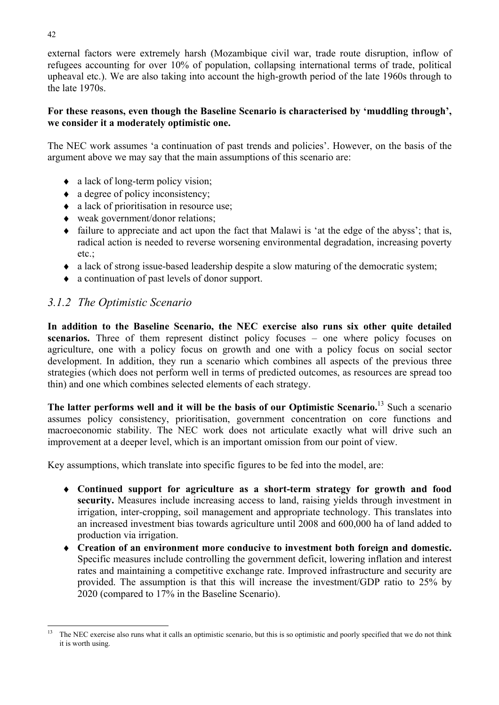external factors were extremely harsh (Mozambique civil war, trade route disruption, inflow of refugees accounting for over 10% of population, collapsing international terms of trade, political upheaval etc.). We are also taking into account the high-growth period of the late 1960s through to the late 1970s.

#### **For these reasons, even though the Baseline Scenario is characterised by 'muddling through', we consider it a moderately optimistic one.**

The NEC work assumes 'a continuation of past trends and policies'. However, on the basis of the argument above we may say that the main assumptions of this scenario are:

- ♦ a lack of long-term policy vision;
- $\bullet$  a degree of policy inconsistency;
- ♦ a lack of prioritisation in resource use;
- ♦ weak government/donor relations;
- ♦ failure to appreciate and act upon the fact that Malawi is 'at the edge of the abyss'; that is, radical action is needed to reverse worsening environmental degradation, increasing poverty etc.
- ♦ a lack of strong issue-based leadership despite a slow maturing of the democratic system;
- ♦ a continuation of past levels of donor support.

#### *3.1.2 The Optimistic Scenario*

**In addition to the Baseline Scenario, the NEC exercise also runs six other quite detailed**  scenarios. Three of them represent distinct policy focuses – one where policy focuses on agriculture, one with a policy focus on growth and one with a policy focus on social sector development. In addition, they run a scenario which combines all aspects of the previous three strategies (which does not perform well in terms of predicted outcomes, as resources are spread too thin) and one which combines selected elements of each strategy.

**The latter performs well and it will be the basis of our Optimistic Scenario.**13 Such a scenario assumes policy consistency, prioritisation, government concentration on core functions and macroeconomic stability. The NEC work does not articulate exactly what will drive such an improvement at a deeper level, which is an important omission from our point of view.

Key assumptions, which translate into specific figures to be fed into the model, are:

- ♦ **Continued support for agriculture as a short-term strategy for growth and food security.** Measures include increasing access to land, raising yields through investment in irrigation, inter-cropping, soil management and appropriate technology. This translates into an increased investment bias towards agriculture until 2008 and 600,000 ha of land added to production via irrigation.
- ♦ **Creation of an environment more conducive to investment both foreign and domestic.** Specific measures include controlling the government deficit, lowering inflation and interest rates and maintaining a competitive exchange rate. Improved infrastructure and security are provided. The assumption is that this will increase the investment/GDP ratio to 25% by 2020 (compared to 17% in the Baseline Scenario).

l <sup>13</sup> The NEC exercise also runs what it calls an optimistic scenario, but this is so optimistic and poorly specified that we do not think it is worth using.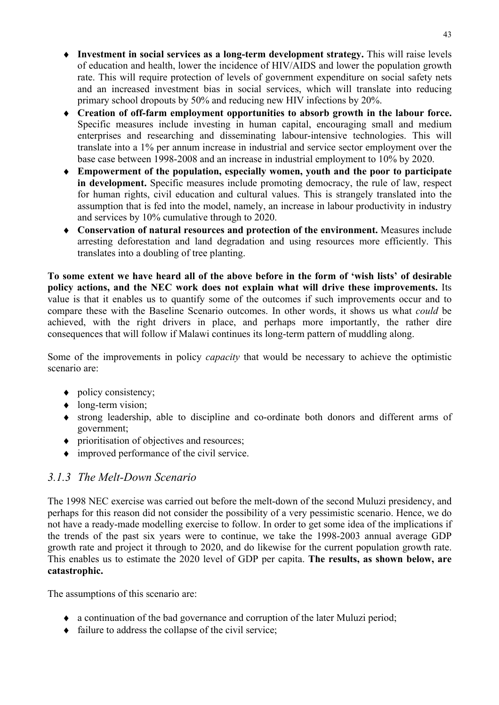- ♦ **Investment in social services as a long-term development strategy.** This will raise levels of education and health, lower the incidence of HIV/AIDS and lower the population growth rate. This will require protection of levels of government expenditure on social safety nets and an increased investment bias in social services, which will translate into reducing primary school dropouts by 50% and reducing new HIV infections by 20%.
- ♦ **Creation of off-farm employment opportunities to absorb growth in the labour force.** Specific measures include investing in human capital, encouraging small and medium enterprises and researching and disseminating labour-intensive technologies. This will translate into a 1% per annum increase in industrial and service sector employment over the base case between 1998-2008 and an increase in industrial employment to 10% by 2020.
- ♦ **Empowerment of the population, especially women, youth and the poor to participate in development.** Specific measures include promoting democracy, the rule of law, respect for human rights, civil education and cultural values. This is strangely translated into the assumption that is fed into the model, namely, an increase in labour productivity in industry and services by 10% cumulative through to 2020.
- ♦ **Conservation of natural resources and protection of the environment.** Measures include arresting deforestation and land degradation and using resources more efficiently. This translates into a doubling of tree planting.

**To some extent we have heard all of the above before in the form of 'wish lists' of desirable policy actions, and the NEC work does not explain what will drive these improvements.** Its value is that it enables us to quantify some of the outcomes if such improvements occur and to compare these with the Baseline Scenario outcomes. In other words, it shows us what *could* be achieved, with the right drivers in place, and perhaps more importantly, the rather dire consequences that will follow if Malawi continues its long-term pattern of muddling along.

Some of the improvements in policy *capacity* that would be necessary to achieve the optimistic scenario are:

- $\bullet$  policy consistency;
- long-term vision;
- ♦ strong leadership, able to discipline and co-ordinate both donors and different arms of government;
- ♦ prioritisation of objectives and resources;
- $\bullet$  improved performance of the civil service.

# *3.1.3 The Melt-Down Scenario*

The 1998 NEC exercise was carried out before the melt-down of the second Muluzi presidency, and perhaps for this reason did not consider the possibility of a very pessimistic scenario. Hence, we do not have a ready-made modelling exercise to follow. In order to get some idea of the implications if the trends of the past six years were to continue, we take the 1998-2003 annual average GDP growth rate and project it through to 2020, and do likewise for the current population growth rate. This enables us to estimate the 2020 level of GDP per capita. **The results, as shown below, are catastrophic.**

The assumptions of this scenario are:

- ♦ a continuation of the bad governance and corruption of the later Muluzi period;
- $\bullet$  failure to address the collapse of the civil service;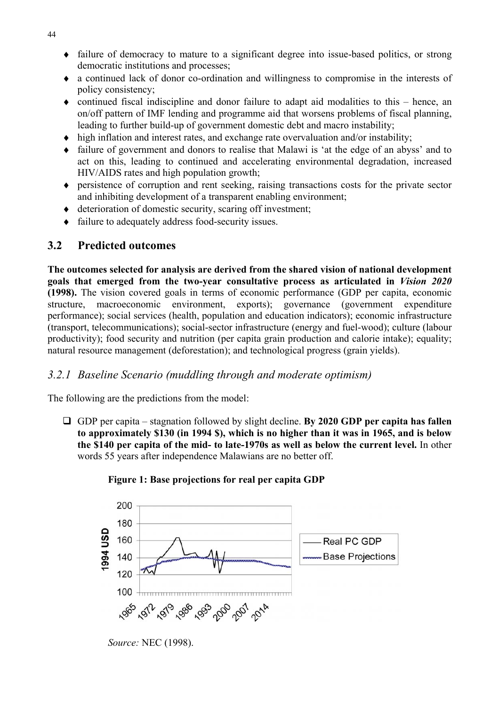- ♦ failure of democracy to mature to a significant degree into issue-based politics, or strong democratic institutions and processes;
- ♦ a continued lack of donor co-ordination and willingness to compromise in the interests of policy consistency;
- ♦ continued fiscal indiscipline and donor failure to adapt aid modalities to this hence, an on/off pattern of IMF lending and programme aid that worsens problems of fiscal planning, leading to further build-up of government domestic debt and macro instability;
- ♦ high inflation and interest rates, and exchange rate overvaluation and/or instability;
- failure of government and donors to realise that Malawi is 'at the edge of an abyss' and to act on this, leading to continued and accelerating environmental degradation, increased HIV/AIDS rates and high population growth;
- ♦ persistence of corruption and rent seeking, raising transactions costs for the private sector and inhibiting development of a transparent enabling environment;
- deterioration of domestic security, scaring off investment;
- ♦ failure to adequately address food-security issues.

#### **3.2 Predicted outcomes**

**The outcomes selected for analysis are derived from the shared vision of national development goals that emerged from the two-year consultative process as articulated in** *Vision 2020* **(1998).** The vision covered goals in terms of economic performance (GDP per capita, economic structure, macroeconomic environment, exports); governance (government expenditure performance); social services (health, population and education indicators); economic infrastructure (transport, telecommunications); social-sector infrastructure (energy and fuel-wood); culture (labour productivity); food security and nutrition (per capita grain production and calorie intake); equality; natural resource management (deforestation); and technological progress (grain yields).

#### *3.2.1 Baseline Scenario (muddling through and moderate optimism)*

The following are the predictions from the model:

 GDP per capita – stagnation followed by slight decline. **By 2020 GDP per capita has fallen to approximately \$130 (in 1994 \$), which is no higher than it was in 1965, and is below the \$140 per capita of the mid- to late-1970s as well as below the current level.** In other words 55 years after independence Malawians are no better off.



#### **Figure 1: Base projections for real per capita GDP**

*Source:* NEC (1998).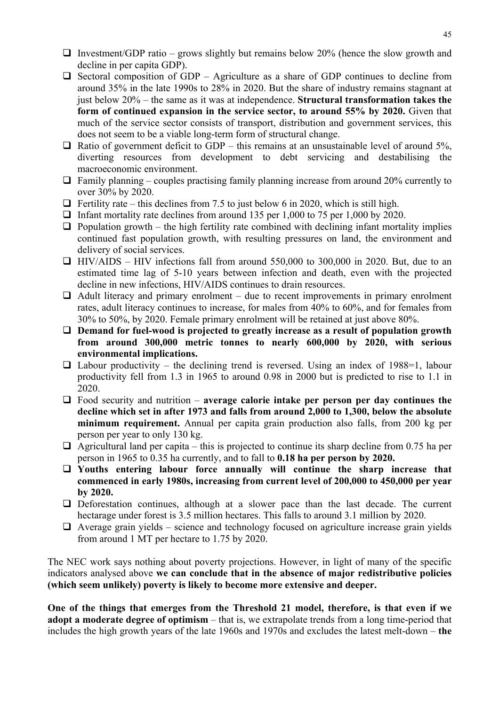- Investment/GDP ratio grows slightly but remains below 20% (hence the slow growth and decline in per capita GDP).
- $\Box$  Sectoral composition of GDP Agriculture as a share of GDP continues to decline from around 35% in the late 1990s to 28% in 2020. But the share of industry remains stagnant at just below 20% – the same as it was at independence. **Structural transformation takes the form of continued expansion in the service sector, to around 55% by 2020.** Given that much of the service sector consists of transport, distribution and government services, this does not seem to be a viable long-term form of structural change.
- $\Box$  Ratio of government deficit to GDP this remains at an unsustainable level of around 5%, diverting resources from development to debt servicing and destabilising the macroeconomic environment.
- $\Box$  Family planning couples practising family planning increase from around 20% currently to over 30% by 2020.
- $\Box$  Fertility rate this declines from 7.5 to just below 6 in 2020, which is still high.
- $\Box$  Infant mortality rate declines from around 135 per 1,000 to 75 per 1,000 by 2020.
- $\Box$  Population growth the high fertility rate combined with declining infant mortality implies continued fast population growth, with resulting pressures on land, the environment and delivery of social services.
- $\Box$  HIV/AIDS HIV infections fall from around 550,000 to 300,000 in 2020. But, due to an estimated time lag of 5-10 years between infection and death, even with the projected decline in new infections, HIV/AIDS continues to drain resources.
- $\Box$  Adult literacy and primary enrolment due to recent improvements in primary enrolment rates, adult literacy continues to increase, for males from 40% to 60%, and for females from 30% to 50%, by 2020. Female primary enrolment will be retained at just above 80%.
- **Demand for fuel-wood is projected to greatly increase as a result of population growth from around 300,000 metric tonnes to nearly 600,000 by 2020, with serious environmental implications.**
- $\Box$  Labour productivity the declining trend is reversed. Using an index of 1988=1, labour productivity fell from 1.3 in 1965 to around 0.98 in 2000 but is predicted to rise to 1.1 in 2020.
- Food security and nutrition **average calorie intake per person per day continues the decline which set in after 1973 and falls from around 2,000 to 1,300, below the absolute minimum requirement.** Annual per capita grain production also falls, from 200 kg per person per year to only 130 kg.
- $\Box$  Agricultural land per capita this is projected to continue its sharp decline from 0.75 ha per person in 1965 to 0.35 ha currently, and to fall to **0.18 ha per person by 2020.**
- **Youths entering labour force annually will continue the sharp increase that commenced in early 1980s, increasing from current level of 200,000 to 450,000 per year by 2020.**
- $\Box$  Deforestation continues, although at a slower pace than the last decade. The current hectarage under forest is 3.5 million hectares. This falls to around 3.1 million by 2020.
- $\Box$  Average grain yields science and technology focused on agriculture increase grain yields from around 1 MT per hectare to 1.75 by 2020.

The NEC work says nothing about poverty projections. However, in light of many of the specific indicators analysed above **we can conclude that in the absence of major redistributive policies (which seem unlikely) poverty is likely to become more extensive and deeper.**

**One of the things that emerges from the Threshold 21 model, therefore, is that even if we adopt a moderate degree of optimism** – that is, we extrapolate trends from a long time-period that includes the high growth years of the late 1960s and 1970s and excludes the latest melt-down – **the**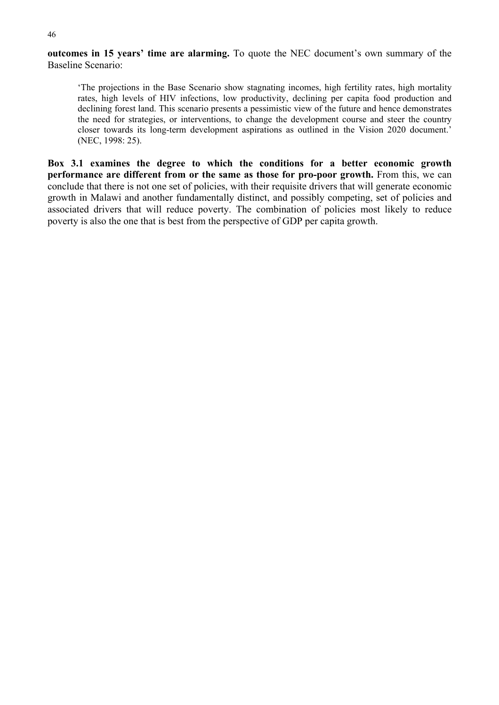**outcomes in 15 years' time are alarming.** To quote the NEC document's own summary of the Baseline Scenario:

'The projections in the Base Scenario show stagnating incomes, high fertility rates, high mortality rates, high levels of HIV infections, low productivity, declining per capita food production and declining forest land. This scenario presents a pessimistic view of the future and hence demonstrates the need for strategies, or interventions, to change the development course and steer the country closer towards its long-term development aspirations as outlined in the Vision 2020 document.' (NEC, 1998: 25).

**Box 3.1 examines the degree to which the conditions for a better economic growth performance are different from or the same as those for pro-poor growth.** From this, we can conclude that there is not one set of policies, with their requisite drivers that will generate economic growth in Malawi and another fundamentally distinct, and possibly competing, set of policies and associated drivers that will reduce poverty. The combination of policies most likely to reduce poverty is also the one that is best from the perspective of GDP per capita growth.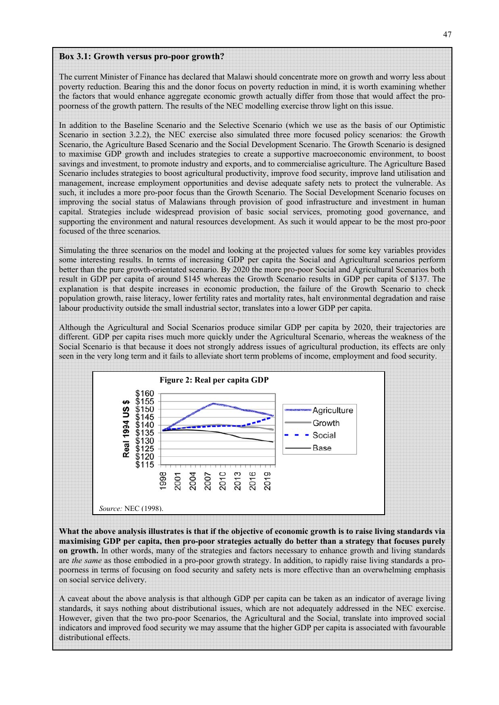#### **Box 3.1: Growth versus pro-poor growth?**

The current Minister of Finance has declared that Malawi should concentrate more on growth and worry less about poverty reduction. Bearing this and the donor focus on poverty reduction in mind, it is worth examining whether the factors that would enhance aggregate economic growth actually differ from those that would affect the propoorness of the growth pattern. The results of the NEC modelling exercise throw light on this issue.

In addition to the Baseline Scenario and the Selective Scenario (which we use as the basis of our Optimistic Scenario in section 3.2.2), the NEC exercise also simulated three more focused policy scenarios: the Growth Scenario, the Agriculture Based Scenario and the Social Development Scenario. The Growth Scenario is designed to maximise GDP growth and includes strategies to create a supportive macroeconomic environment, to boost savings and investment, to promote industry and exports, and to commercialise agriculture. The Agriculture Based Scenario includes strategies to boost agricultural productivity, improve food security, improve land utilisation and management, increase employment opportunities and devise adequate safety nets to protect the vulnerable. As such, it includes a more pro-poor focus than the Growth Scenario. The Social Development Scenario focuses on improving the social status of Malawians through provision of good infrastructure and investment in human capital. Strategies include widespread provision of basic social services, promoting good governance, and supporting the environment and natural resources development. As such it would appear to be the most pro-poor focused of the three scenarios.

Simulating the three scenarios on the model and looking at the projected values for some key variables provides some interesting results. In terms of increasing GDP per capita the Social and Agricultural scenarios perform better than the pure growth-orientated scenario. By 2020 the more pro-poor Social and Agricultural Scenarios both result in GDP per capita of around \$145 whereas the Growth Scenario results in GDP per capita of \$137. The explanation is that despite increases in economic production, the failure of the Growth Scenario to check population growth, raise literacy, lower fertility rates and mortality rates, halt environmental degradation and raise labour productivity outside the small industrial sector, translates into a lower GDP per capita.

Although the Agricultural and Social Scenarios produce similar GDP per capita by 2020, their trajectories are different. GDP per capita rises much more quickly under the Agricultural Scenario, whereas the weakness of the Social Scenario is that because it does not strongly address issues of agricultural production, its effects are only seen in the very long term and it fails to alleviate short term problems of income, employment and food security.



**What the above analysis illustrates is that if the objective of economic growth is to raise living standards via maximising GDP per capita, then pro-poor strategies actually do better than a strategy that focuses purely on growth.** In other words, many of the strategies and factors necessary to enhance growth and living standards are *the same* as those embodied in a pro-poor growth strategy. In addition, to rapidly raise living standards a propoorness in terms of focusing on food security and safety nets is more effective than an overwhelming emphasis on social service delivery.

A caveat about the above analysis is that although GDP per capita can be taken as an indicator of average living standards, it says nothing about distributional issues, which are not adequately addressed in the NEC exercise. However, given that the two pro-poor Scenarios, the Agricultural and the Social, translate into improved social indicators and improved food security we may assume that the higher GDP per capita is associated with favourable distributional effects.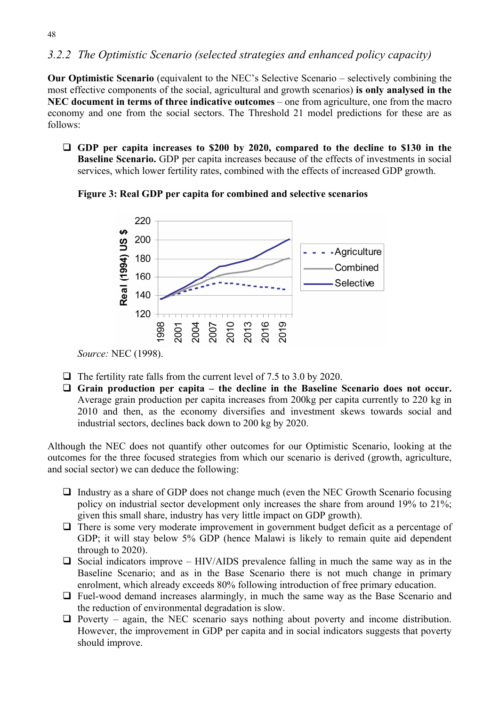## *3.2.2 The Optimistic Scenario (selected strategies and enhanced policy capacity)*

**Our Optimistic Scenario** (equivalent to the NEC's Selective Scenario – selectively combining the most effective components of the social, agricultural and growth scenarios) **is only analysed in the NEC document in terms of three indicative outcomes** – one from agriculture, one from the macro economy and one from the social sectors. The Threshold 21 model predictions for these are as follows:

 **GDP per capita increases to \$200 by 2020, compared to the decline to \$130 in the Baseline Scenario.** GDP per capita increases because of the effects of investments in social services, which lower fertility rates, combined with the effects of increased GDP growth.

**Figure 3: Real GDP per capita for combined and selective scenarios** 



*Source:* NEC (1998).

- $\Box$  The fertility rate falls from the current level of 7.5 to 3.0 by 2020.
- **Grain production per capita the decline in the Baseline Scenario does not occur.** Average grain production per capita increases from 200kg per capita currently to 220 kg in 2010 and then, as the economy diversifies and investment skews towards social and industrial sectors, declines back down to 200 kg by 2020.

Although the NEC does not quantify other outcomes for our Optimistic Scenario, looking at the outcomes for the three focused strategies from which our scenario is derived (growth, agriculture, and social sector) we can deduce the following:

- $\Box$  Industry as a share of GDP does not change much (even the NEC Growth Scenario focusing policy on industrial sector development only increases the share from around 19% to 21%; given this small share, industry has very little impact on GDP growth).
- $\Box$  There is some very moderate improvement in government budget deficit as a percentage of GDP; it will stay below 5% GDP (hence Malawi is likely to remain quite aid dependent through to 2020).
- $\Box$  Social indicators improve HIV/AIDS prevalence falling in much the same way as in the Baseline Scenario; and as in the Base Scenario there is not much change in primary enrolment, which already exceeds 80% following introduction of free primary education.
- $\Box$  Fuel-wood demand increases alarmingly, in much the same way as the Base Scenario and the reduction of environmental degradation is slow.
- $\Box$  Poverty again, the NEC scenario says nothing about poverty and income distribution. However, the improvement in GDP per capita and in social indicators suggests that poverty should improve.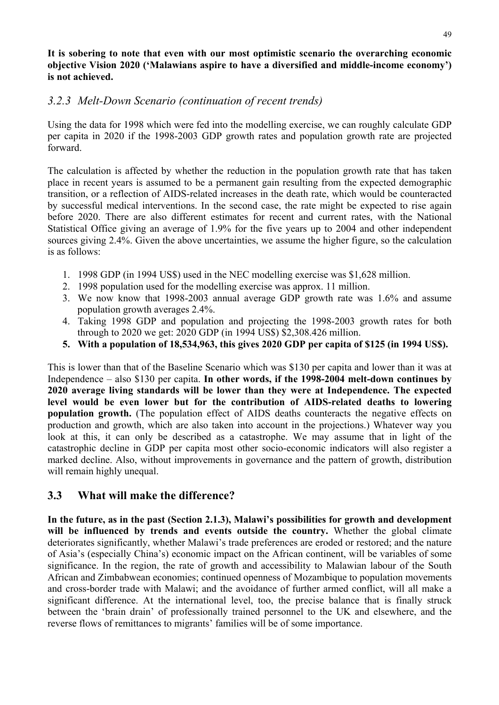#### **It is sobering to note that even with our most optimistic scenario the overarching economic objective Vision 2020 ('Malawians aspire to have a diversified and middle-income economy') is not achieved.**

#### *3.2.3 Melt-Down Scenario (continuation of recent trends)*

Using the data for 1998 which were fed into the modelling exercise, we can roughly calculate GDP per capita in 2020 if the 1998-2003 GDP growth rates and population growth rate are projected forward.

The calculation is affected by whether the reduction in the population growth rate that has taken place in recent years is assumed to be a permanent gain resulting from the expected demographic transition, or a reflection of AIDS-related increases in the death rate, which would be counteracted by successful medical interventions. In the second case, the rate might be expected to rise again before 2020. There are also different estimates for recent and current rates, with the National Statistical Office giving an average of 1.9% for the five years up to 2004 and other independent sources giving 2.4%. Given the above uncertainties, we assume the higher figure, so the calculation is as follows:

- 1. 1998 GDP (in 1994 US\$) used in the NEC modelling exercise was \$1,628 million.
- 2. 1998 population used for the modelling exercise was approx. 11 million.
- 3. We now know that 1998-2003 annual average GDP growth rate was 1.6% and assume population growth averages 2.4%.
- 4. Taking 1998 GDP and population and projecting the 1998-2003 growth rates for both through to 2020 we get: 2020 GDP (in 1994 US\$) \$2,308.426 million.
- **5. With a population of 18,534,963, this gives 2020 GDP per capita of \$125 (in 1994 US\$).**

This is lower than that of the Baseline Scenario which was \$130 per capita and lower than it was at Independence – also \$130 per capita. **In other words, if the 1998-2004 melt-down continues by 2020 average living standards will be lower than they were at Independence. The expected level would be even lower but for the contribution of AIDS-related deaths to lowering population growth.** (The population effect of AIDS deaths counteracts the negative effects on production and growth, which are also taken into account in the projections.) Whatever way you look at this, it can only be described as a catastrophe. We may assume that in light of the catastrophic decline in GDP per capita most other socio-economic indicators will also register a marked decline. Also, without improvements in governance and the pattern of growth, distribution will remain highly unequal.

# **3.3 What will make the difference?**

**In the future, as in the past (Section 2.1.3), Malawi's possibilities for growth and development will be influenced by trends and events outside the country.** Whether the global climate deteriorates significantly, whether Malawi's trade preferences are eroded or restored; and the nature of Asia's (especially China's) economic impact on the African continent, will be variables of some significance. In the region, the rate of growth and accessibility to Malawian labour of the South African and Zimbabwean economies; continued openness of Mozambique to population movements and cross-border trade with Malawi; and the avoidance of further armed conflict, will all make a significant difference. At the international level, too, the precise balance that is finally struck between the 'brain drain' of professionally trained personnel to the UK and elsewhere, and the reverse flows of remittances to migrants' families will be of some importance.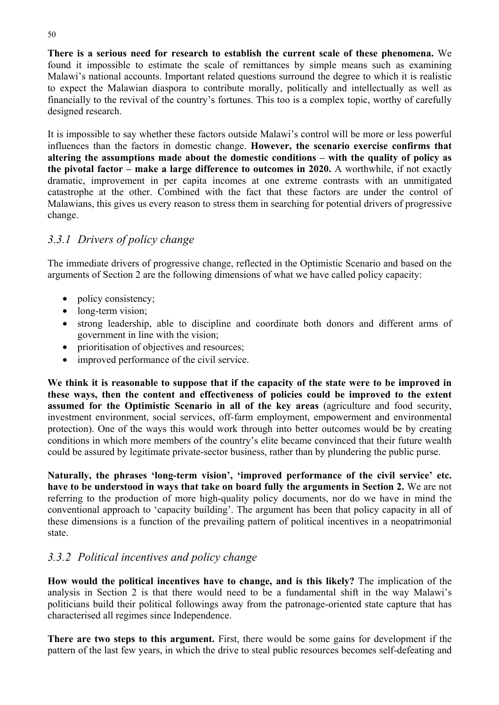**There is a serious need for research to establish the current scale of these phenomena.** We found it impossible to estimate the scale of remittances by simple means such as examining Malawi's national accounts. Important related questions surround the degree to which it is realistic to expect the Malawian diaspora to contribute morally, politically and intellectually as well as financially to the revival of the country's fortunes. This too is a complex topic, worthy of carefully designed research.

It is impossible to say whether these factors outside Malawi's control will be more or less powerful influences than the factors in domestic change. **However, the scenario exercise confirms that altering the assumptions made about the domestic conditions – with the quality of policy as the pivotal factor – make a large difference to outcomes in 2020.** A worthwhile, if not exactly dramatic, improvement in per capita incomes at one extreme contrasts with an unmitigated catastrophe at the other. Combined with the fact that these factors are under the control of Malawians, this gives us every reason to stress them in searching for potential drivers of progressive change.

# *3.3.1 Drivers of policy change*

The immediate drivers of progressive change, reflected in the Optimistic Scenario and based on the arguments of Section 2 are the following dimensions of what we have called policy capacity:

- policy consistency;
- long-term vision;
- strong leadership, able to discipline and coordinate both donors and different arms of government in line with the vision;
- prioritisation of objectives and resources:
- improved performance of the civil service.

**We think it is reasonable to suppose that if the capacity of the state were to be improved in these ways, then the content and effectiveness of policies could be improved to the extent assumed for the Optimistic Scenario in all of the key areas** (agriculture and food security, investment environment, social services, off-farm employment, empowerment and environmental protection). One of the ways this would work through into better outcomes would be by creating conditions in which more members of the country's elite became convinced that their future wealth could be assured by legitimate private-sector business, rather than by plundering the public purse.

**Naturally, the phrases 'long-term vision', 'improved performance of the civil service' etc. have to be understood in ways that take on board fully the arguments in Section 2.** We are not referring to the production of more high-quality policy documents, nor do we have in mind the conventional approach to 'capacity building'. The argument has been that policy capacity in all of these dimensions is a function of the prevailing pattern of political incentives in a neopatrimonial state.

# *3.3.2 Political incentives and policy change*

**How would the political incentives have to change, and is this likely?** The implication of the analysis in Section 2 is that there would need to be a fundamental shift in the way Malawi's politicians build their political followings away from the patronage-oriented state capture that has characterised all regimes since Independence.

**There are two steps to this argument.** First, there would be some gains for development if the pattern of the last few years, in which the drive to steal public resources becomes self-defeating and

50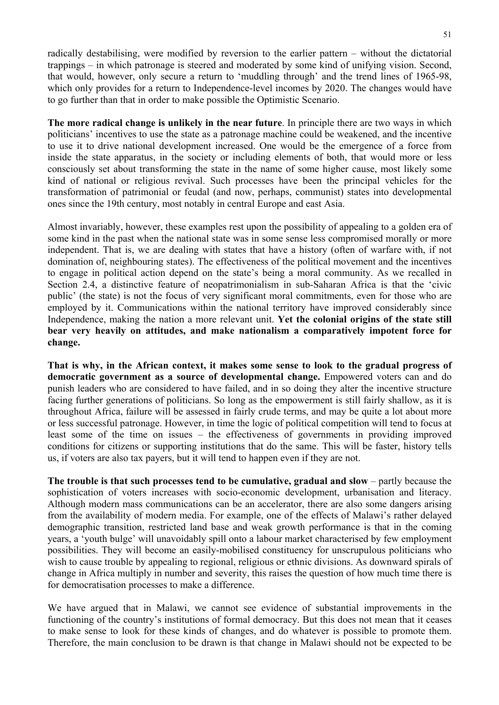radically destabilising, were modified by reversion to the earlier pattern – without the dictatorial trappings – in which patronage is steered and moderated by some kind of unifying vision. Second, that would, however, only secure a return to 'muddling through' and the trend lines of 1965-98, which only provides for a return to Independence-level incomes by 2020. The changes would have to go further than that in order to make possible the Optimistic Scenario.

**The more radical change is unlikely in the near future**. In principle there are two ways in which politicians' incentives to use the state as a patronage machine could be weakened, and the incentive to use it to drive national development increased. One would be the emergence of a force from inside the state apparatus, in the society or including elements of both, that would more or less consciously set about transforming the state in the name of some higher cause, most likely some kind of national or religious revival. Such processes have been the principal vehicles for the transformation of patrimonial or feudal (and now, perhaps, communist) states into developmental ones since the 19th century, most notably in central Europe and east Asia.

Almost invariably, however, these examples rest upon the possibility of appealing to a golden era of some kind in the past when the national state was in some sense less compromised morally or more independent. That is, we are dealing with states that have a history (often of warfare with, if not domination of, neighbouring states). The effectiveness of the political movement and the incentives to engage in political action depend on the state's being a moral community. As we recalled in Section 2.4, a distinctive feature of neopatrimonialism in sub-Saharan Africa is that the 'civic public' (the state) is not the focus of very significant moral commitments, even for those who are employed by it. Communications within the national territory have improved considerably since Independence, making the nation a more relevant unit. **Yet the colonial origins of the state still bear very heavily on attitudes, and make nationalism a comparatively impotent force for change.** 

**That is why, in the African context, it makes some sense to look to the gradual progress of democratic government as a source of developmental change.** Empowered voters can and do punish leaders who are considered to have failed, and in so doing they alter the incentive structure facing further generations of politicians. So long as the empowerment is still fairly shallow, as it is throughout Africa, failure will be assessed in fairly crude terms, and may be quite a lot about more or less successful patronage. However, in time the logic of political competition will tend to focus at least some of the time on issues – the effectiveness of governments in providing improved conditions for citizens or supporting institutions that do the same. This will be faster, history tells us, if voters are also tax payers, but it will tend to happen even if they are not.

**The trouble is that such processes tend to be cumulative, gradual and slow** – partly because the sophistication of voters increases with socio-economic development, urbanisation and literacy. Although modern mass communications can be an accelerator, there are also some dangers arising from the availability of modern media. For example, one of the effects of Malawi's rather delayed demographic transition, restricted land base and weak growth performance is that in the coming years, a 'youth bulge' will unavoidably spill onto a labour market characterised by few employment possibilities. They will become an easily-mobilised constituency for unscrupulous politicians who wish to cause trouble by appealing to regional, religious or ethnic divisions. As downward spirals of change in Africa multiply in number and severity, this raises the question of how much time there is for democratisation processes to make a difference.

We have argued that in Malawi, we cannot see evidence of substantial improvements in the functioning of the country's institutions of formal democracy. But this does not mean that it ceases to make sense to look for these kinds of changes, and do whatever is possible to promote them. Therefore, the main conclusion to be drawn is that change in Malawi should not be expected to be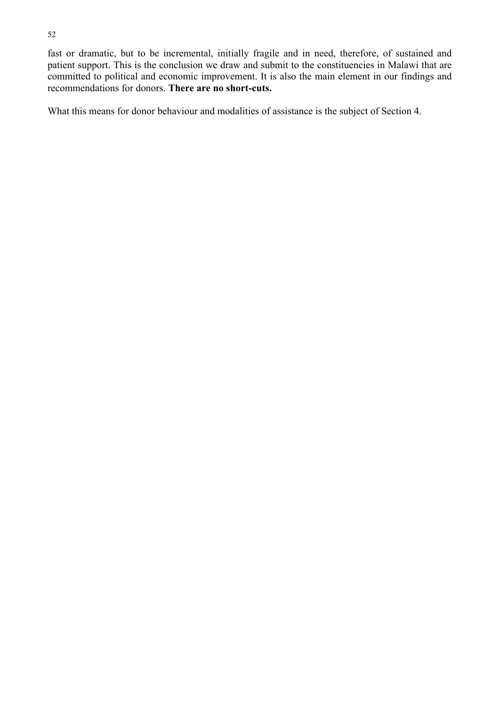fast or dramatic, but to be incremental, initially fragile and in need, therefore, of sustained and patient support. This is the conclusion we draw and submit to the constituencies in Malawi that are committed to political and economic improvement. It is also the main element in our findings and recommendations for donors. **There are no short-cuts.** 

What this means for donor behaviour and modalities of assistance is the subject of Section 4.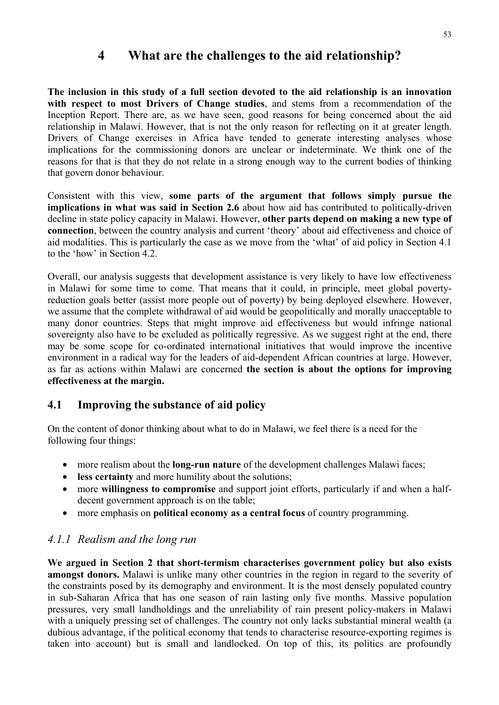# **4 What are the challenges to the aid relationship?**

**The inclusion in this study of a full section devoted to the aid relationship is an innovation with respect to most Drivers of Change studies**, and stems from a recommendation of the Inception Report. There are, as we have seen, good reasons for being concerned about the aid relationship in Malawi. However, that is not the only reason for reflecting on it at greater length. Drivers of Change exercises in Africa have tended to generate interesting analyses whose implications for the commissioning donors are unclear or indeterminate. We think one of the reasons for that is that they do not relate in a strong enough way to the current bodies of thinking that govern donor behaviour.

Consistent with this view, **some parts of the argument that follows simply pursue the implications in what was said in Section 2.6** about how aid has contributed to politically-driven decline in state policy capacity in Malawi. However, **other parts depend on making a new type of connection**, between the country analysis and current 'theory' about aid effectiveness and choice of aid modalities. This is particularly the case as we move from the 'what' of aid policy in Section 4.1 to the 'how' in Section 4.2.

Overall, our analysis suggests that development assistance is very likely to have low effectiveness in Malawi for some time to come. That means that it could, in principle, meet global povertyreduction goals better (assist more people out of poverty) by being deployed elsewhere. However, we assume that the complete withdrawal of aid would be geopolitically and morally unacceptable to many donor countries. Steps that might improve aid effectiveness but would infringe national sovereignty also have to be excluded as politically regressive. As we suggest right at the end, there may be some scope for co-ordinated international initiatives that would improve the incentive environment in a radical way for the leaders of aid-dependent African countries at large. However, as far as actions within Malawi are concerned **the section is about the options for improving effectiveness at the margin.**

# **4.1 Improving the substance of aid policy**

On the content of donor thinking about what to do in Malawi, we feel there is a need for the following four things:

- more realism about the **long-run nature** of the development challenges Malawi faces;
- **less certainty** and more humility about the solutions;
- more **willingness to compromise** and support joint efforts, particularly if and when a halfdecent government approach is on the table;
- more emphasis on **political economy as a central focus** of country programming.

#### *4.1.1 Realism and the long run*

**We argued in Section 2 that short-termism characterises government policy but also exists amongst donors.** Malawi is unlike many other countries in the region in regard to the severity of the constraints posed by its demography and environment. It is the most densely populated country in sub-Saharan Africa that has one season of rain lasting only five months. Massive population pressures, very small landholdings and the unreliability of rain present policy-makers in Malawi with a uniquely pressing set of challenges. The country not only lacks substantial mineral wealth (a dubious advantage, if the political economy that tends to characterise resource-exporting regimes is taken into account) but is small and landlocked. On top of this, its politics are profoundly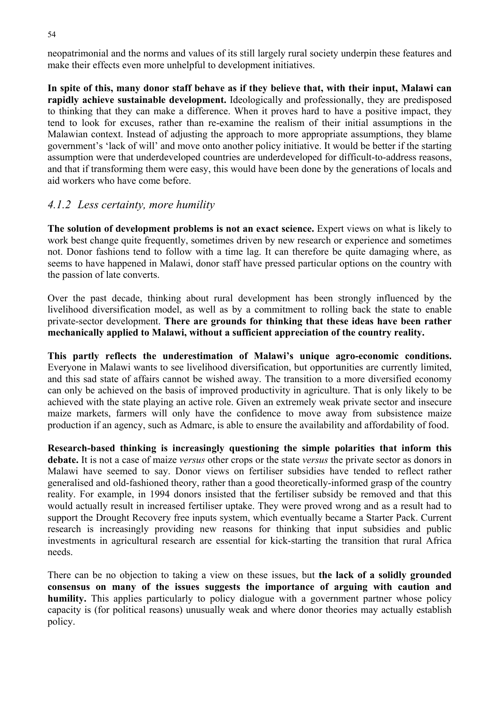neopatrimonial and the norms and values of its still largely rural society underpin these features and make their effects even more unhelpful to development initiatives.

**In spite of this, many donor staff behave as if they believe that, with their input, Malawi can rapidly achieve sustainable development.** Ideologically and professionally, they are predisposed to thinking that they can make a difference. When it proves hard to have a positive impact, they tend to look for excuses, rather than re-examine the realism of their initial assumptions in the Malawian context. Instead of adjusting the approach to more appropriate assumptions, they blame government's 'lack of will' and move onto another policy initiative. It would be better if the starting assumption were that underdeveloped countries are underdeveloped for difficult-to-address reasons, and that if transforming them were easy, this would have been done by the generations of locals and aid workers who have come before.

#### *4.1.2 Less certainty, more humility*

**The solution of development problems is not an exact science.** Expert views on what is likely to work best change quite frequently, sometimes driven by new research or experience and sometimes not. Donor fashions tend to follow with a time lag. It can therefore be quite damaging where, as seems to have happened in Malawi, donor staff have pressed particular options on the country with the passion of late converts.

Over the past decade, thinking about rural development has been strongly influenced by the livelihood diversification model, as well as by a commitment to rolling back the state to enable private-sector development. **There are grounds for thinking that these ideas have been rather mechanically applied to Malawi, without a sufficient appreciation of the country reality.** 

**This partly reflects the underestimation of Malawi's unique agro-economic conditions.** Everyone in Malawi wants to see livelihood diversification, but opportunities are currently limited, and this sad state of affairs cannot be wished away. The transition to a more diversified economy can only be achieved on the basis of improved productivity in agriculture. That is only likely to be achieved with the state playing an active role. Given an extremely weak private sector and insecure maize markets, farmers will only have the confidence to move away from subsistence maize production if an agency, such as Admarc, is able to ensure the availability and affordability of food.

**Research-based thinking is increasingly questioning the simple polarities that inform this debate.** It is not a case of maize *versus* other crops or the state *versus* the private sector as donors in Malawi have seemed to say. Donor views on fertiliser subsidies have tended to reflect rather generalised and old-fashioned theory, rather than a good theoretically-informed grasp of the country reality. For example, in 1994 donors insisted that the fertiliser subsidy be removed and that this would actually result in increased fertiliser uptake. They were proved wrong and as a result had to support the Drought Recovery free inputs system, which eventually became a Starter Pack. Current research is increasingly providing new reasons for thinking that input subsidies and public investments in agricultural research are essential for kick-starting the transition that rural Africa needs.

There can be no objection to taking a view on these issues, but **the lack of a solidly grounded consensus on many of the issues suggests the importance of arguing with caution and humility.** This applies particularly to policy dialogue with a government partner whose policy capacity is (for political reasons) unusually weak and where donor theories may actually establish policy.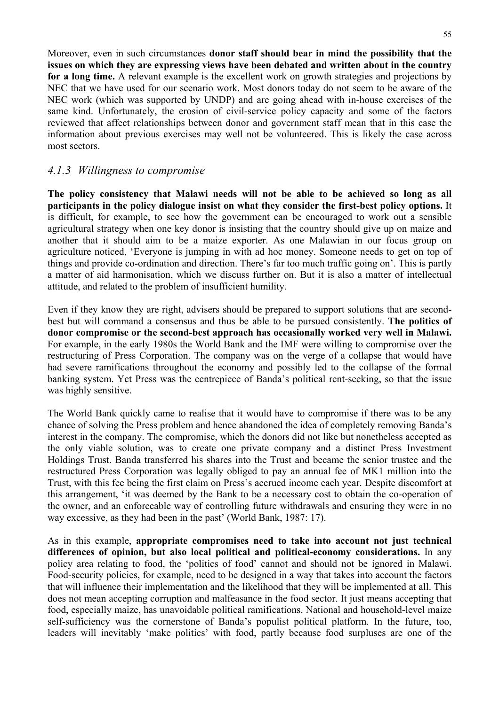Moreover, even in such circumstances **donor staff should bear in mind the possibility that the issues on which they are expressing views have been debated and written about in the country for a long time.** A relevant example is the excellent work on growth strategies and projections by NEC that we have used for our scenario work. Most donors today do not seem to be aware of the NEC work (which was supported by UNDP) and are going ahead with in-house exercises of the same kind. Unfortunately, the erosion of civil-service policy capacity and some of the factors reviewed that affect relationships between donor and government staff mean that in this case the information about previous exercises may well not be volunteered. This is likely the case across most sectors.

#### *4.1.3 Willingness to compromise*

**The policy consistency that Malawi needs will not be able to be achieved so long as all participants in the policy dialogue insist on what they consider the first-best policy options.** It is difficult, for example, to see how the government can be encouraged to work out a sensible agricultural strategy when one key donor is insisting that the country should give up on maize and another that it should aim to be a maize exporter. As one Malawian in our focus group on agriculture noticed, 'Everyone is jumping in with ad hoc money. Someone needs to get on top of things and provide co-ordination and direction. There's far too much traffic going on'. This is partly a matter of aid harmonisation, which we discuss further on. But it is also a matter of intellectual attitude, and related to the problem of insufficient humility.

Even if they know they are right, advisers should be prepared to support solutions that are secondbest but will command a consensus and thus be able to be pursued consistently. **The politics of donor compromise or the second-best approach has occasionally worked very well in Malawi.** For example, in the early 1980s the World Bank and the IMF were willing to compromise over the restructuring of Press Corporation. The company was on the verge of a collapse that would have had severe ramifications throughout the economy and possibly led to the collapse of the formal banking system. Yet Press was the centrepiece of Banda's political rent-seeking, so that the issue was highly sensitive.

The World Bank quickly came to realise that it would have to compromise if there was to be any chance of solving the Press problem and hence abandoned the idea of completely removing Banda's interest in the company. The compromise, which the donors did not like but nonetheless accepted as the only viable solution, was to create one private company and a distinct Press Investment Holdings Trust. Banda transferred his shares into the Trust and became the senior trustee and the restructured Press Corporation was legally obliged to pay an annual fee of MK1 million into the Trust, with this fee being the first claim on Press's accrued income each year. Despite discomfort at this arrangement, 'it was deemed by the Bank to be a necessary cost to obtain the co-operation of the owner, and an enforceable way of controlling future withdrawals and ensuring they were in no way excessive, as they had been in the past' (World Bank, 1987: 17).

As in this example, **appropriate compromises need to take into account not just technical differences of opinion, but also local political and political-economy considerations.** In any policy area relating to food, the 'politics of food' cannot and should not be ignored in Malawi. Food-security policies, for example, need to be designed in a way that takes into account the factors that will influence their implementation and the likelihood that they will be implemented at all. This does not mean accepting corruption and malfeasance in the food sector. It just means accepting that food, especially maize, has unavoidable political ramifications. National and household-level maize self-sufficiency was the cornerstone of Banda's populist political platform. In the future, too, leaders will inevitably 'make politics' with food, partly because food surpluses are one of the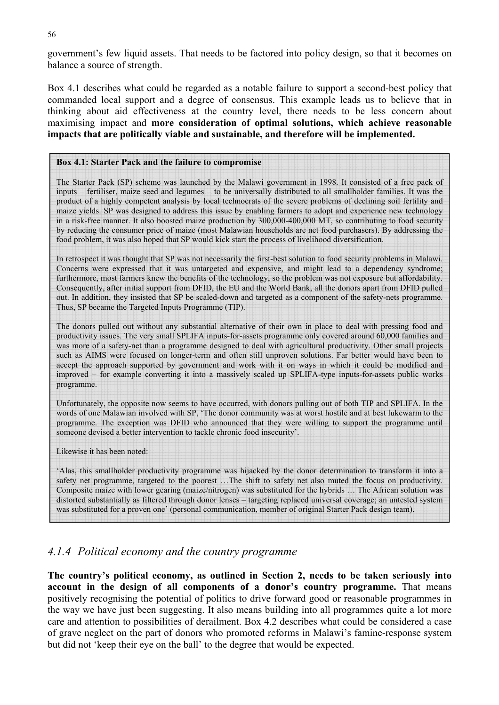government's few liquid assets. That needs to be factored into policy design, so that it becomes on balance a source of strength.

Box 4.1 describes what could be regarded as a notable failure to support a second-best policy that commanded local support and a degree of consensus. This example leads us to believe that in thinking about aid effectiveness at the country level, there needs to be less concern about maximising impact and **more consideration of optimal solutions, which achieve reasonable impacts that are politically viable and sustainable, and therefore will be implemented.** 

#### **Box 4.1: Starter Pack and the failure to compromise**

The Starter Pack (SP) scheme was launched by the Malawi government in 1998. It consisted of a free pack of inputs – fertiliser, maize seed and legumes – to be universally distributed to all smallholder families. It was the product of a highly competent analysis by local technocrats of the severe problems of declining soil fertility and maize yields. SP was designed to address this issue by enabling farmers to adopt and experience new technology in a risk-free manner. It also boosted maize production by 300,000-400,000 MT, so contributing to food security by reducing the consumer price of maize (most Malawian households are net food purchasers). By addressing the food problem, it was also hoped that SP would kick start the process of livelihood diversification.

In retrospect it was thought that SP was not necessarily the first-best solution to food security problems in Malawi. Concerns were expressed that it was untargeted and expensive, and might lead to a dependency syndrome; furthermore, most farmers knew the benefits of the technology, so the problem was not exposure but affordability. Consequently, after initial support from DFID, the EU and the World Bank, all the donors apart from DFID pulled out. In addition, they insisted that SP be scaled-down and targeted as a component of the safety-nets programme. Thus, SP became the Targeted Inputs Programme (TIP).

The donors pulled out without any substantial alternative of their own in place to deal with pressing food and productivity issues. The very small SPLIFA inputs-for-assets programme only covered around 60,000 families and was more of a safety-net than a programme designed to deal with agricultural productivity. Other small projects such as AIMS were focused on longer-term and often still unproven solutions. Far better would have been to accept the approach supported by government and work with it on ways in which it could be modified and improved – for example converting it into a massively scaled up SPLIFA-type inputs-for-assets public works programme.

Unfortunately, the opposite now seems to have occurred, with donors pulling out of both TIP and SPLIFA. In the words of one Malawian involved with SP, 'The donor community was at worst hostile and at best lukewarm to the programme. The exception was DFID who announced that they were willing to support the programme until someone devised a better intervention to tackle chronic food insecurity'.

Likewise it has been noted:

'Alas, this smallholder productivity programme was hijacked by the donor determination to transform it into a safety net programme, targeted to the poorest …The shift to safety net also muted the focus on productivity. Composite maize with lower gearing (maize/nitrogen) was substituted for the hybrids … The African solution was distorted substantially as filtered through donor lenses – targeting replaced universal coverage; an untested system was substituted for a proven one' (personal communication, member of original Starter Pack design team).

#### *4.1.4 Political economy and the country programme*

**The country's political economy, as outlined in Section 2, needs to be taken seriously into account in the design of all components of a donor's country programme.** That means positively recognising the potential of politics to drive forward good or reasonable programmes in the way we have just been suggesting. It also means building into all programmes quite a lot more care and attention to possibilities of derailment. Box 4.2 describes what could be considered a case of grave neglect on the part of donors who promoted reforms in Malawi's famine-response system but did not 'keep their eye on the ball' to the degree that would be expected.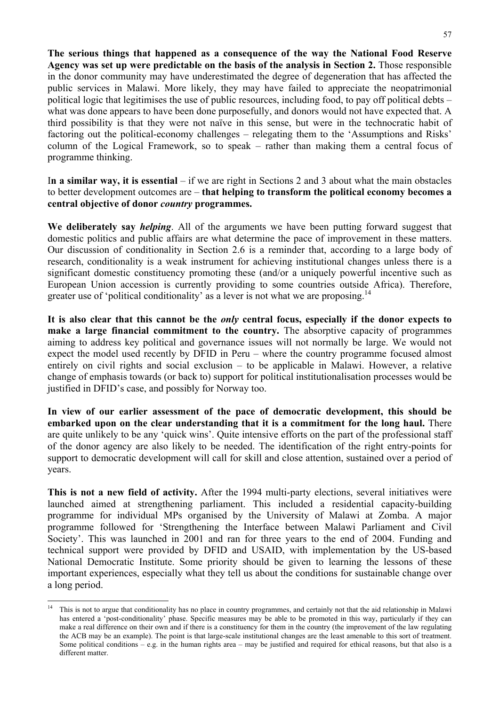**The serious things that happened as a consequence of the way the National Food Reserve Agency was set up were predictable on the basis of the analysis in Section 2.** Those responsible in the donor community may have underestimated the degree of degeneration that has affected the public services in Malawi. More likely, they may have failed to appreciate the neopatrimonial political logic that legitimises the use of public resources, including food, to pay off political debts – what was done appears to have been done purposefully, and donors would not have expected that. A third possibility is that they were not naïve in this sense, but were in the technocratic habit of factoring out the political-economy challenges – relegating them to the 'Assumptions and Risks' column of the Logical Framework, so to speak – rather than making them a central focus of programme thinking.

I**n a similar way, it is essential** – if we are right in Sections 2 and 3 about what the main obstacles to better development outcomes are – **that helping to transform the political economy becomes a central objective of donor** *country* **programmes.** 

**We deliberately say** *helping*. All of the arguments we have been putting forward suggest that domestic politics and public affairs are what determine the pace of improvement in these matters. Our discussion of conditionality in Section 2.6 is a reminder that, according to a large body of research, conditionality is a weak instrument for achieving institutional changes unless there is a significant domestic constituency promoting these (and/or a uniquely powerful incentive such as European Union accession is currently providing to some countries outside Africa). Therefore, greater use of 'political conditionality' as a lever is not what we are proposing.<sup>14</sup>

**It is also clear that this cannot be the** *only* **central focus, especially if the donor expects to make a large financial commitment to the country.** The absorptive capacity of programmes aiming to address key political and governance issues will not normally be large. We would not expect the model used recently by DFID in Peru – where the country programme focused almost entirely on civil rights and social exclusion – to be applicable in Malawi. However, a relative change of emphasis towards (or back to) support for political institutionalisation processes would be justified in DFID's case, and possibly for Norway too.

**In view of our earlier assessment of the pace of democratic development, this should be embarked upon on the clear understanding that it is a commitment for the long haul.** There are quite unlikely to be any 'quick wins'. Quite intensive efforts on the part of the professional staff of the donor agency are also likely to be needed. The identification of the right entry-points for support to democratic development will call for skill and close attention, sustained over a period of years.

**This is not a new field of activity.** After the 1994 multi-party elections, several initiatives were launched aimed at strengthening parliament. This included a residential capacity-building programme for individual MPs organised by the University of Malawi at Zomba. A major programme followed for 'Strengthening the Interface between Malawi Parliament and Civil Society'. This was launched in 2001 and ran for three years to the end of 2004. Funding and technical support were provided by DFID and USAID, with implementation by the US-based National Democratic Institute. Some priority should be given to learning the lessons of these important experiences, especially what they tell us about the conditions for sustainable change over a long period.

 $14$ 14 This is not to argue that conditionality has no place in country programmes, and certainly not that the aid relationship in Malawi has entered a 'post-conditionality' phase. Specific measures may be able to be promoted in this way, particularly if they can make a real difference on their own and if there is a constituency for them in the country (the improvement of the law regulating the ACB may be an example). The point is that large-scale institutional changes are the least amenable to this sort of treatment. Some political conditions – e.g. in the human rights area – may be justified and required for ethical reasons, but that also is a different matter.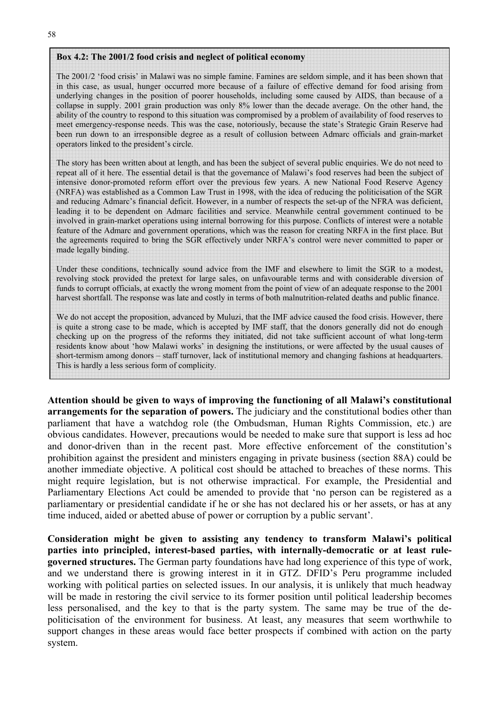#### **Box 4.2: The 2001/2 food crisis and neglect of political economy**

The 2001/2 'food crisis' in Malawi was no simple famine. Famines are seldom simple, and it has been shown that in this case, as usual, hunger occurred more because of a failure of effective demand for food arising from underlying changes in the position of poorer households, including some caused by AIDS, than because of a collapse in supply. 2001 grain production was only 8% lower than the decade average. On the other hand, the ability of the country to respond to this situation was compromised by a problem of availability of food reserves to meet emergency-response needs. This was the case, notoriously, because the state's Strategic Grain Reserve had been run down to an irresponsible degree as a result of collusion between Admarc officials and grain-market operators linked to the president's circle.

The story has been written about at length, and has been the subject of several public enquiries. We do not need to repeat all of it here. The essential detail is that the governance of Malawi's food reserves had been the subject of intensive donor-promoted reform effort over the previous few years. A new National Food Reserve Agency (NRFA) was established as a Common Law Trust in 1998, with the idea of reducing the politicisation of the SGR and reducing Admarc's financial deficit. However, in a number of respects the set-up of the NFRA was deficient, leading it to be dependent on Admarc facilities and service. Meanwhile central government continued to be involved in grain-market operations using internal borrowing for this purpose. Conflicts of interest were a notable feature of the Admarc and government operations, which was the reason for creating NRFA in the first place. But the agreements required to bring the SGR effectively under NRFA's control were never committed to paper or made legally binding.

Under these conditions, technically sound advice from the IMF and elsewhere to limit the SGR to a modest, revolving stock provided the pretext for large sales, on unfavourable terms and with considerable diversion of funds to corrupt officials, at exactly the wrong moment from the point of view of an adequate response to the 2001 harvest shortfall. The response was late and costly in terms of both malnutrition-related deaths and public finance.

We do not accept the proposition, advanced by Muluzi, that the IMF advice caused the food crisis. However, there is quite a strong case to be made, which is accepted by IMF staff, that the donors generally did not do enough checking up on the progress of the reforms they initiated, did not take sufficient account of what long-term residents know about 'how Malawi works' in designing the institutions, or were affected by the usual causes of short-termism among donors – staff turnover, lack of institutional memory and changing fashions at headquarters. This is hardly a less serious form of complicity.

**Attention should be given to ways of improving the functioning of all Malawi's constitutional arrangements for the separation of powers.** The judiciary and the constitutional bodies other than parliament that have a watchdog role (the Ombudsman, Human Rights Commission, etc.) are obvious candidates. However, precautions would be needed to make sure that support is less ad hoc and donor-driven than in the recent past. More effective enforcement of the constitution's prohibition against the president and ministers engaging in private business (section 88A) could be another immediate objective. A political cost should be attached to breaches of these norms. This might require legislation, but is not otherwise impractical. For example, the Presidential and Parliamentary Elections Act could be amended to provide that 'no person can be registered as a parliamentary or presidential candidate if he or she has not declared his or her assets, or has at any time induced, aided or abetted abuse of power or corruption by a public servant'.

**Consideration might be given to assisting any tendency to transform Malawi's political parties into principled, interest-based parties, with internally-democratic or at least rulegoverned structures.** The German party foundations have had long experience of this type of work, and we understand there is growing interest in it in GTZ. DFID's Peru programme included working with political parties on selected issues. In our analysis, it is unlikely that much headway will be made in restoring the civil service to its former position until political leadership becomes less personalised, and the key to that is the party system. The same may be true of the depoliticisation of the environment for business. At least, any measures that seem worthwhile to support changes in these areas would face better prospects if combined with action on the party system.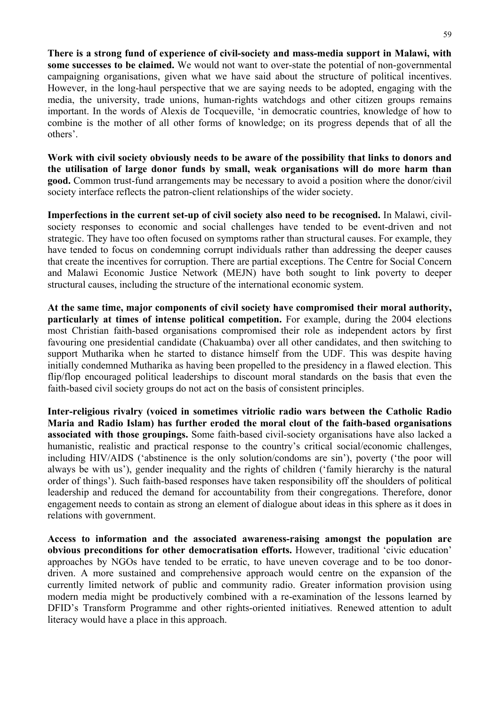**There is a strong fund of experience of civil-society and mass-media support in Malawi, with some successes to be claimed.** We would not want to over-state the potential of non-governmental campaigning organisations, given what we have said about the structure of political incentives. However, in the long-haul perspective that we are saying needs to be adopted, engaging with the media, the university, trade unions, human-rights watchdogs and other citizen groups remains important. In the words of Alexis de Tocqueville, 'in democratic countries, knowledge of how to combine is the mother of all other forms of knowledge; on its progress depends that of all the others'.

**Work with civil society obviously needs to be aware of the possibility that links to donors and the utilisation of large donor funds by small, weak organisations will do more harm than good.** Common trust-fund arrangements may be necessary to avoid a position where the donor/civil society interface reflects the patron-client relationships of the wider society.

**Imperfections in the current set-up of civil society also need to be recognised.** In Malawi, civilsociety responses to economic and social challenges have tended to be event-driven and not strategic. They have too often focused on symptoms rather than structural causes. For example, they have tended to focus on condemning corrupt individuals rather than addressing the deeper causes that create the incentives for corruption. There are partial exceptions. The Centre for Social Concern and Malawi Economic Justice Network (MEJN) have both sought to link poverty to deeper structural causes, including the structure of the international economic system.

**At the same time, major components of civil society have compromised their moral authority, particularly at times of intense political competition.** For example, during the 2004 elections most Christian faith-based organisations compromised their role as independent actors by first favouring one presidential candidate (Chakuamba) over all other candidates, and then switching to support Mutharika when he started to distance himself from the UDF. This was despite having initially condemned Mutharika as having been propelled to the presidency in a flawed election. This flip/flop encouraged political leaderships to discount moral standards on the basis that even the faith-based civil society groups do not act on the basis of consistent principles.

**Inter-religious rivalry (voiced in sometimes vitriolic radio wars between the Catholic Radio Maria and Radio Islam) has further eroded the moral clout of the faith-based organisations associated with those groupings.** Some faith-based civil-society organisations have also lacked a humanistic, realistic and practical response to the country's critical social/economic challenges, including HIV/AIDS ('abstinence is the only solution/condoms are sin'), poverty ('the poor will always be with us'), gender inequality and the rights of children ('family hierarchy is the natural order of things'). Such faith-based responses have taken responsibility off the shoulders of political leadership and reduced the demand for accountability from their congregations. Therefore, donor engagement needs to contain as strong an element of dialogue about ideas in this sphere as it does in relations with government.

**Access to information and the associated awareness-raising amongst the population are obvious preconditions for other democratisation efforts.** However, traditional 'civic education' approaches by NGOs have tended to be erratic, to have uneven coverage and to be too donordriven. A more sustained and comprehensive approach would centre on the expansion of the currently limited network of public and community radio. Greater information provision using modern media might be productively combined with a re-examination of the lessons learned by DFID's Transform Programme and other rights-oriented initiatives. Renewed attention to adult literacy would have a place in this approach.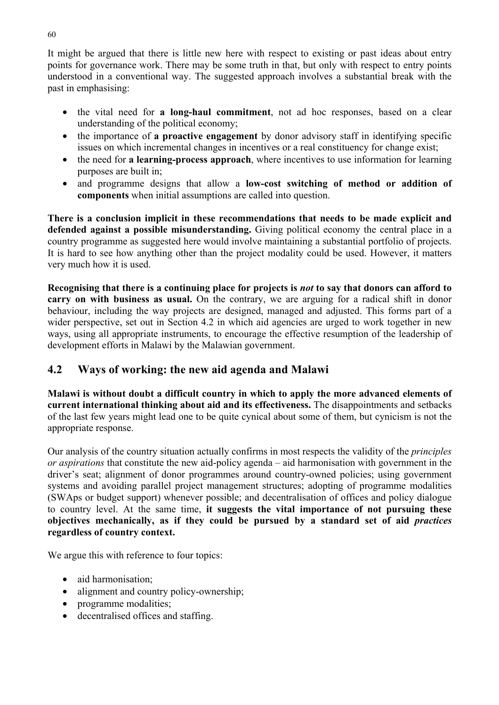It might be argued that there is little new here with respect to existing or past ideas about entry points for governance work. There may be some truth in that, but only with respect to entry points understood in a conventional way. The suggested approach involves a substantial break with the past in emphasising:

- the vital need for **a long-haul commitment**, not ad hoc responses, based on a clear understanding of the political economy;
- the importance of **a proactive engagement** by donor advisory staff in identifying specific issues on which incremental changes in incentives or a real constituency for change exist;
- the need for **a learning-process approach**, where incentives to use information for learning purposes are built in;
- and programme designs that allow a **low-cost switching of method or addition of components** when initial assumptions are called into question.

**There is a conclusion implicit in these recommendations that needs to be made explicit and defended against a possible misunderstanding.** Giving political economy the central place in a country programme as suggested here would involve maintaining a substantial portfolio of projects. It is hard to see how anything other than the project modality could be used. However, it matters very much how it is used.

**Recognising that there is a continuing place for projects is** *not* **to say that donors can afford to carry on with business as usual.** On the contrary, we are arguing for a radical shift in donor behaviour, including the way projects are designed, managed and adjusted. This forms part of a wider perspective, set out in Section 4.2 in which aid agencies are urged to work together in new ways, using all appropriate instruments, to encourage the effective resumption of the leadership of development efforts in Malawi by the Malawian government.

# **4.2 Ways of working: the new aid agenda and Malawi**

**Malawi is without doubt a difficult country in which to apply the more advanced elements of current international thinking about aid and its effectiveness.** The disappointments and setbacks of the last few years might lead one to be quite cynical about some of them, but cynicism is not the appropriate response.

Our analysis of the country situation actually confirms in most respects the validity of the *principles or aspirations* that constitute the new aid-policy agenda – aid harmonisation with government in the driver's seat; alignment of donor programmes around country-owned policies; using government systems and avoiding parallel project management structures; adopting of programme modalities (SWAps or budget support) whenever possible; and decentralisation of offices and policy dialogue to country level. At the same time, **it suggests the vital importance of not pursuing these objectives mechanically, as if they could be pursued by a standard set of aid** *practices* **regardless of country context.** 

We argue this with reference to four topics:

- aid harmonisation;
- alignment and country policy-ownership:
- programme modalities;
- decentralised offices and staffing.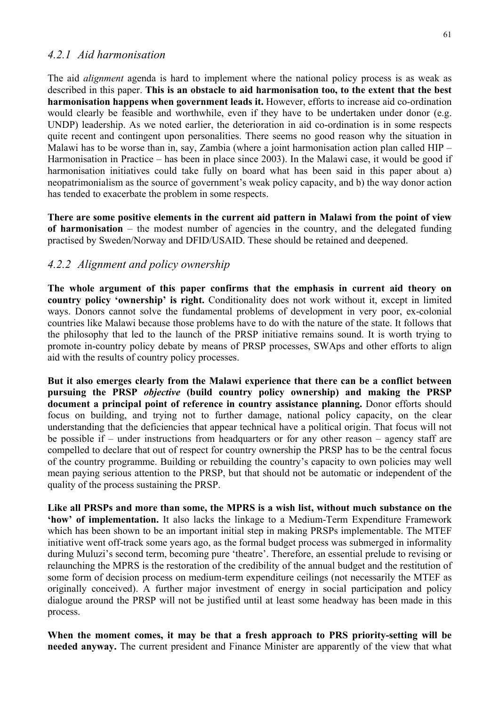#### *4.2.1 Aid harmonisation*

The aid *alignment* agenda is hard to implement where the national policy process is as weak as described in this paper. **This is an obstacle to aid harmonisation too, to the extent that the best harmonisation happens when government leads it.** However, efforts to increase aid co-ordination would clearly be feasible and worthwhile, even if they have to be undertaken under donor (e.g. UNDP) leadership. As we noted earlier, the deterioration in aid co-ordination is in some respects quite recent and contingent upon personalities. There seems no good reason why the situation in Malawi has to be worse than in, say, Zambia (where a joint harmonisation action plan called HIP – Harmonisation in Practice – has been in place since 2003). In the Malawi case, it would be good if harmonisation initiatives could take fully on board what has been said in this paper about a) neopatrimonialism as the source of government's weak policy capacity, and b) the way donor action has tended to exacerbate the problem in some respects.

**There are some positive elements in the current aid pattern in Malawi from the point of view of harmonisation** – the modest number of agencies in the country, and the delegated funding practised by Sweden/Norway and DFID/USAID. These should be retained and deepened.

#### *4.2.2 Alignment and policy ownership*

**The whole argument of this paper confirms that the emphasis in current aid theory on country policy 'ownership' is right.** Conditionality does not work without it, except in limited ways. Donors cannot solve the fundamental problems of development in very poor, ex-colonial countries like Malawi because those problems have to do with the nature of the state. It follows that the philosophy that led to the launch of the PRSP initiative remains sound. It is worth trying to promote in-country policy debate by means of PRSP processes, SWAps and other efforts to align aid with the results of country policy processes.

**But it also emerges clearly from the Malawi experience that there can be a conflict between pursuing the PRSP** *objective* **(build country policy ownership) and making the PRSP document a principal point of reference in country assistance planning.** Donor efforts should focus on building, and trying not to further damage, national policy capacity, on the clear understanding that the deficiencies that appear technical have a political origin. That focus will not be possible if – under instructions from headquarters or for any other reason – agency staff are compelled to declare that out of respect for country ownership the PRSP has to be the central focus of the country programme. Building or rebuilding the country's capacity to own policies may well mean paying serious attention to the PRSP, but that should not be automatic or independent of the quality of the process sustaining the PRSP.

**Like all PRSPs and more than some, the MPRS is a wish list, without much substance on the 'how' of implementation.** It also lacks the linkage to a Medium-Term Expenditure Framework which has been shown to be an important initial step in making PRSPs implementable. The MTEF initiative went off-track some years ago, as the formal budget process was submerged in informality during Muluzi's second term, becoming pure 'theatre'. Therefore, an essential prelude to revising or relaunching the MPRS is the restoration of the credibility of the annual budget and the restitution of some form of decision process on medium-term expenditure ceilings (not necessarily the MTEF as originally conceived). A further major investment of energy in social participation and policy dialogue around the PRSP will not be justified until at least some headway has been made in this process.

**When the moment comes, it may be that a fresh approach to PRS priority-setting will be needed anyway.** The current president and Finance Minister are apparently of the view that what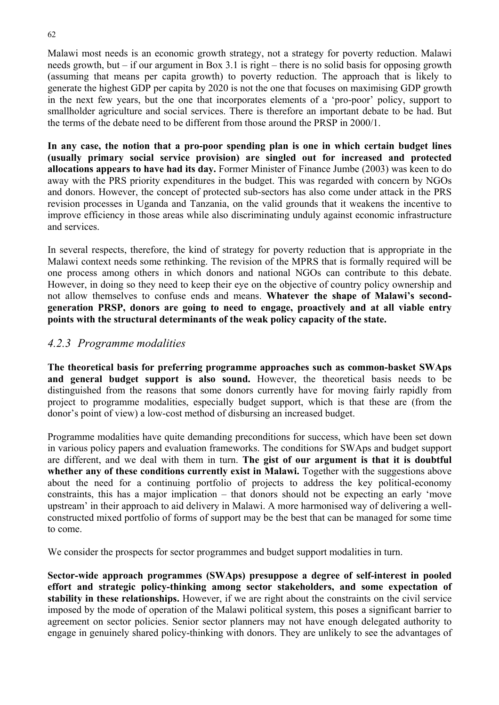Malawi most needs is an economic growth strategy, not a strategy for poverty reduction. Malawi needs growth, but – if our argument in Box 3.1 is right – there is no solid basis for opposing growth (assuming that means per capita growth) to poverty reduction. The approach that is likely to generate the highest GDP per capita by 2020 is not the one that focuses on maximising GDP growth in the next few years, but the one that incorporates elements of a 'pro-poor' policy, support to smallholder agriculture and social services. There is therefore an important debate to be had. But the terms of the debate need to be different from those around the PRSP in 2000/1.

**In any case, the notion that a pro-poor spending plan is one in which certain budget lines (usually primary social service provision) are singled out for increased and protected allocations appears to have had its day.** Former Minister of Finance Jumbe (2003) was keen to do away with the PRS priority expenditures in the budget. This was regarded with concern by NGOs and donors. However, the concept of protected sub-sectors has also come under attack in the PRS revision processes in Uganda and Tanzania, on the valid grounds that it weakens the incentive to improve efficiency in those areas while also discriminating unduly against economic infrastructure and services.

In several respects, therefore, the kind of strategy for poverty reduction that is appropriate in the Malawi context needs some rethinking. The revision of the MPRS that is formally required will be one process among others in which donors and national NGOs can contribute to this debate. However, in doing so they need to keep their eye on the objective of country policy ownership and not allow themselves to confuse ends and means. **Whatever the shape of Malawi's secondgeneration PRSP, donors are going to need to engage, proactively and at all viable entry points with the structural determinants of the weak policy capacity of the state.** 

### *4.2.3 Programme modalities*

**The theoretical basis for preferring programme approaches such as common-basket SWAps and general budget support is also sound.** However, the theoretical basis needs to be distinguished from the reasons that some donors currently have for moving fairly rapidly from project to programme modalities, especially budget support, which is that these are (from the donor's point of view) a low-cost method of disbursing an increased budget.

Programme modalities have quite demanding preconditions for success, which have been set down in various policy papers and evaluation frameworks. The conditions for SWAps and budget support are different, and we deal with them in turn. **The gist of our argument is that it is doubtful**  whether any of these conditions currently exist in Malawi. Together with the suggestions above about the need for a continuing portfolio of projects to address the key political-economy constraints, this has a major implication – that donors should not be expecting an early 'move upstream' in their approach to aid delivery in Malawi. A more harmonised way of delivering a wellconstructed mixed portfolio of forms of support may be the best that can be managed for some time to come.

We consider the prospects for sector programmes and budget support modalities in turn.

**Sector-wide approach programmes (SWAps) presuppose a degree of self-interest in pooled effort and strategic policy-thinking among sector stakeholders, and some expectation of stability in these relationships.** However, if we are right about the constraints on the civil service imposed by the mode of operation of the Malawi political system, this poses a significant barrier to agreement on sector policies. Senior sector planners may not have enough delegated authority to engage in genuinely shared policy-thinking with donors. They are unlikely to see the advantages of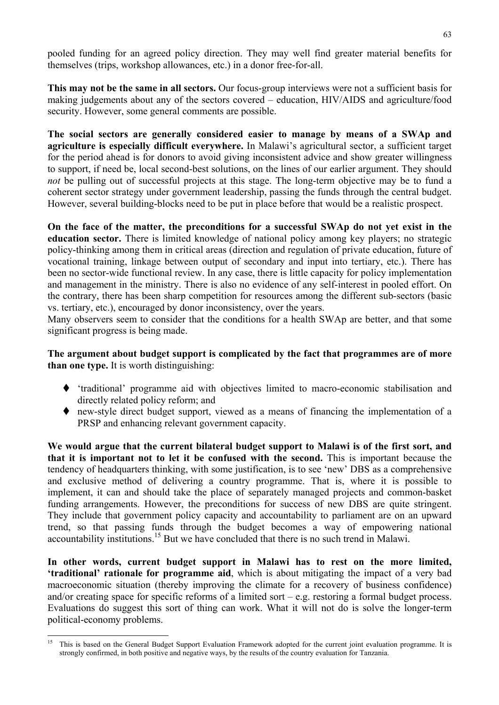pooled funding for an agreed policy direction. They may well find greater material benefits for themselves (trips, workshop allowances, etc.) in a donor free-for-all.

**This may not be the same in all sectors.** Our focus-group interviews were not a sufficient basis for making judgements about any of the sectors covered – education, HIV/AIDS and agriculture/food security. However, some general comments are possible.

**The social sectors are generally considered easier to manage by means of a SWAp and agriculture is especially difficult everywhere.** In Malawi's agricultural sector, a sufficient target for the period ahead is for donors to avoid giving inconsistent advice and show greater willingness to support, if need be, local second-best solutions, on the lines of our earlier argument. They should *not* be pulling out of successful projects at this stage. The long-term objective may be to fund a coherent sector strategy under government leadership, passing the funds through the central budget. However, several building-blocks need to be put in place before that would be a realistic prospect.

**On the face of the matter, the preconditions for a successful SWAp do not yet exist in the education sector.** There is limited knowledge of national policy among key players; no strategic policy-thinking among them in critical areas (direction and regulation of private education, future of vocational training, linkage between output of secondary and input into tertiary, etc.). There has been no sector-wide functional review. In any case, there is little capacity for policy implementation and management in the ministry. There is also no evidence of any self-interest in pooled effort. On the contrary, there has been sharp competition for resources among the different sub-sectors (basic vs. tertiary, etc.), encouraged by donor inconsistency, over the years.

Many observers seem to consider that the conditions for a health SWAp are better, and that some significant progress is being made.

**The argument about budget support is complicated by the fact that programmes are of more than one type.** It is worth distinguishing:

- 'traditional' programme aid with objectives limited to macro-economic stabilisation and directly related policy reform; and
- new-style direct budget support, viewed as a means of financing the implementation of a PRSP and enhancing relevant government capacity.

**We would argue that the current bilateral budget support to Malawi is of the first sort, and that it is important not to let it be confused with the second.** This is important because the tendency of headquarters thinking, with some justification, is to see 'new' DBS as a comprehensive and exclusive method of delivering a country programme. That is, where it is possible to implement, it can and should take the place of separately managed projects and common-basket funding arrangements. However, the preconditions for success of new DBS are quite stringent. They include that government policy capacity and accountability to parliament are on an upward trend, so that passing funds through the budget becomes a way of empowering national accountability institutions.15 But we have concluded that there is no such trend in Malawi.

**In other words, current budget support in Malawi has to rest on the more limited, 'traditional' rationale for programme aid**, which is about mitigating the impact of a very bad macroeconomic situation (thereby improving the climate for a recovery of business confidence) and/or creating space for specific reforms of a limited sort – e.g. restoring a formal budget process. Evaluations do suggest this sort of thing can work. What it will not do is solve the longer-term political-economy problems.

 $15$ 15 This is based on the General Budget Support Evaluation Framework adopted for the current joint evaluation programme. It is strongly confirmed, in both positive and negative ways, by the results of the country evaluation for Tanzania.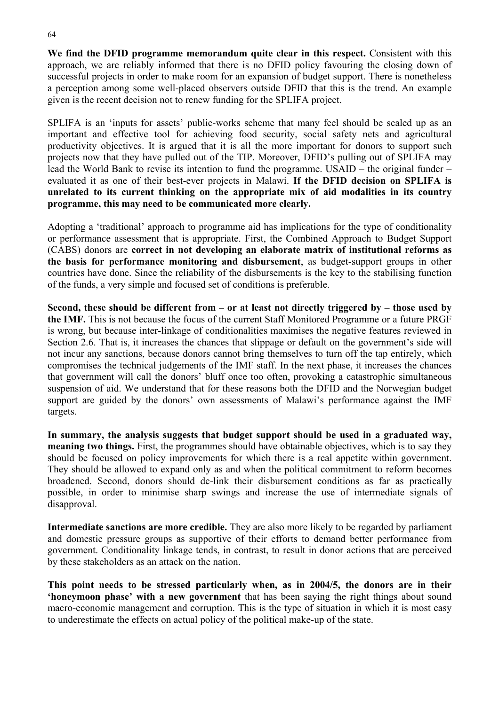**We find the DFID programme memorandum quite clear in this respect.** Consistent with this approach, we are reliably informed that there is no DFID policy favouring the closing down of successful projects in order to make room for an expansion of budget support. There is nonetheless a perception among some well-placed observers outside DFID that this is the trend. An example given is the recent decision not to renew funding for the SPLIFA project.

SPLIFA is an 'inputs for assets' public-works scheme that many feel should be scaled up as an important and effective tool for achieving food security, social safety nets and agricultural productivity objectives. It is argued that it is all the more important for donors to support such projects now that they have pulled out of the TIP. Moreover, DFID's pulling out of SPLIFA may lead the World Bank to revise its intention to fund the programme. USAID – the original funder – evaluated it as one of their best-ever projects in Malawi. **If the DFID decision on SPLIFA is unrelated to its current thinking on the appropriate mix of aid modalities in its country programme, this may need to be communicated more clearly.** 

Adopting a 'traditional' approach to programme aid has implications for the type of conditionality or performance assessment that is appropriate. First, the Combined Approach to Budget Support (CABS) donors are **correct in not developing an elaborate matrix of institutional reforms as the basis for performance monitoring and disbursement**, as budget-support groups in other countries have done. Since the reliability of the disbursements is the key to the stabilising function of the funds, a very simple and focused set of conditions is preferable.

**Second, these should be different from – or at least not directly triggered by – those used by the IMF.** This is not because the focus of the current Staff Monitored Programme or a future PRGF is wrong, but because inter-linkage of conditionalities maximises the negative features reviewed in Section 2.6. That is, it increases the chances that slippage or default on the government's side will not incur any sanctions, because donors cannot bring themselves to turn off the tap entirely, which compromises the technical judgements of the IMF staff. In the next phase, it increases the chances that government will call the donors' bluff once too often, provoking a catastrophic simultaneous suspension of aid. We understand that for these reasons both the DFID and the Norwegian budget support are guided by the donors' own assessments of Malawi's performance against the IMF targets.

**In summary, the analysis suggests that budget support should be used in a graduated way, meaning two things.** First, the programmes should have obtainable objectives, which is to say they should be focused on policy improvements for which there is a real appetite within government. They should be allowed to expand only as and when the political commitment to reform becomes broadened. Second, donors should de-link their disbursement conditions as far as practically possible, in order to minimise sharp swings and increase the use of intermediate signals of disapproval.

**Intermediate sanctions are more credible.** They are also more likely to be regarded by parliament and domestic pressure groups as supportive of their efforts to demand better performance from government. Conditionality linkage tends, in contrast, to result in donor actions that are perceived by these stakeholders as an attack on the nation.

**This point needs to be stressed particularly when, as in 2004/5, the donors are in their 'honeymoon phase' with a new government** that has been saying the right things about sound macro-economic management and corruption. This is the type of situation in which it is most easy to underestimate the effects on actual policy of the political make-up of the state.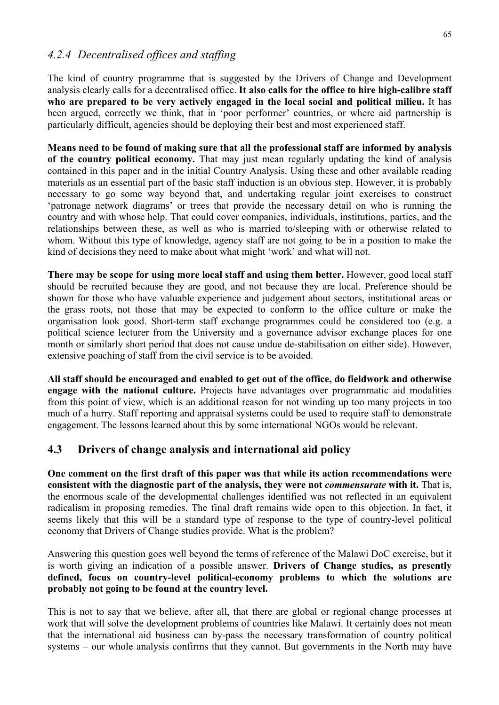#### *4.2.4 Decentralised offices and staffing*

The kind of country programme that is suggested by the Drivers of Change and Development analysis clearly calls for a decentralised office. **It also calls for the office to hire high-calibre staff who are prepared to be very actively engaged in the local social and political milieu.** It has been argued, correctly we think, that in 'poor performer' countries, or where aid partnership is particularly difficult, agencies should be deploying their best and most experienced staff.

**Means need to be found of making sure that all the professional staff are informed by analysis of the country political economy.** That may just mean regularly updating the kind of analysis contained in this paper and in the initial Country Analysis. Using these and other available reading materials as an essential part of the basic staff induction is an obvious step. However, it is probably necessary to go some way beyond that, and undertaking regular joint exercises to construct 'patronage network diagrams' or trees that provide the necessary detail on who is running the country and with whose help. That could cover companies, individuals, institutions, parties, and the relationships between these, as well as who is married to/sleeping with or otherwise related to whom. Without this type of knowledge, agency staff are not going to be in a position to make the kind of decisions they need to make about what might 'work' and what will not.

**There may be scope for using more local staff and using them better.** However, good local staff should be recruited because they are good, and not because they are local. Preference should be shown for those who have valuable experience and judgement about sectors, institutional areas or the grass roots, not those that may be expected to conform to the office culture or make the organisation look good. Short-term staff exchange programmes could be considered too (e.g. a political science lecturer from the University and a governance advisor exchange places for one month or similarly short period that does not cause undue de-stabilisation on either side). However, extensive poaching of staff from the civil service is to be avoided.

**All staff should be encouraged and enabled to get out of the office, do fieldwork and otherwise engage with the national culture.** Projects have advantages over programmatic aid modalities from this point of view, which is an additional reason for not winding up too many projects in too much of a hurry. Staff reporting and appraisal systems could be used to require staff to demonstrate engagement. The lessons learned about this by some international NGOs would be relevant.

# **4.3 Drivers of change analysis and international aid policy**

**One comment on the first draft of this paper was that while its action recommendations were consistent with the diagnostic part of the analysis, they were not** *commensurate* **with it.** That is, the enormous scale of the developmental challenges identified was not reflected in an equivalent radicalism in proposing remedies. The final draft remains wide open to this objection. In fact, it seems likely that this will be a standard type of response to the type of country-level political economy that Drivers of Change studies provide. What is the problem?

Answering this question goes well beyond the terms of reference of the Malawi DoC exercise, but it is worth giving an indication of a possible answer. **Drivers of Change studies, as presently defined, focus on country-level political-economy problems to which the solutions are probably not going to be found at the country level.** 

This is not to say that we believe, after all, that there are global or regional change processes at work that will solve the development problems of countries like Malawi. It certainly does not mean that the international aid business can by-pass the necessary transformation of country political systems – our whole analysis confirms that they cannot. But governments in the North may have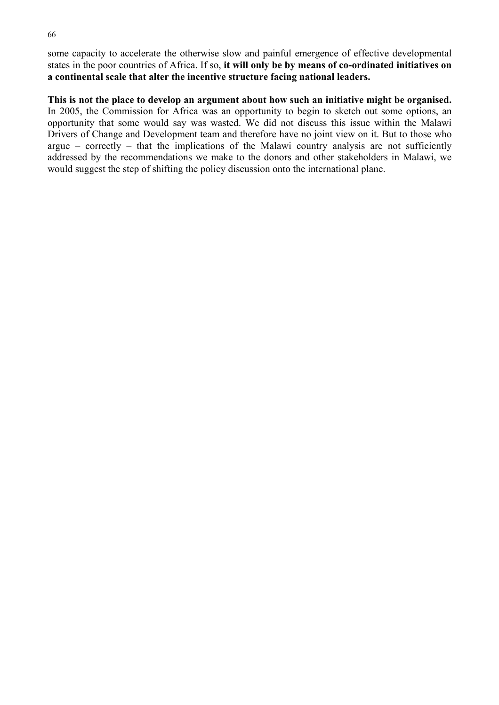some capacity to accelerate the otherwise slow and painful emergence of effective developmental states in the poor countries of Africa. If so, **it will only be by means of co-ordinated initiatives on a continental scale that alter the incentive structure facing national leaders.** 

**This is not the place to develop an argument about how such an initiative might be organised.** In 2005, the Commission for Africa was an opportunity to begin to sketch out some options, an opportunity that some would say was wasted. We did not discuss this issue within the Malawi Drivers of Change and Development team and therefore have no joint view on it. But to those who argue – correctly – that the implications of the Malawi country analysis are not sufficiently addressed by the recommendations we make to the donors and other stakeholders in Malawi, we would suggest the step of shifting the policy discussion onto the international plane.